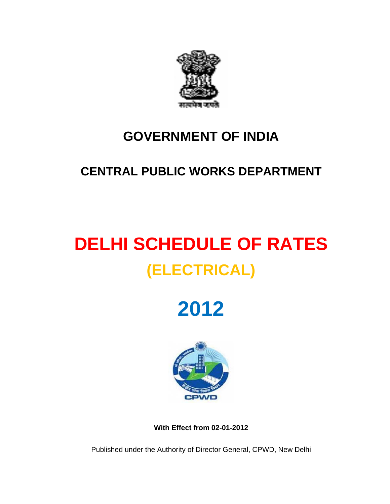

# **GOVERNMENT OF INDIA**

# **CENTRAL PUBLIC WORKS DEPARTMENT**

# **DELHI SCHEDULE OF RATES (ELECTRICAL)**

**2012** 



**With Effect from 02-01-2012** 

Published under the Authority of Director General, CPWD, New Delhi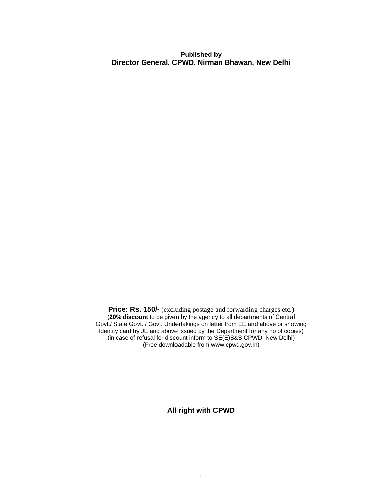**Published by Director General, CPWD, Nirman Bhawan, New Delhi**

**Price: Rs. 150/-** (excluding postage and forwarding charges etc.) (**20% discount** to be given by the agency to all departments of Central Govt./ State Govt. / Govt. Undertakings on letter from EE and above or showing Identity card by JE and above issued by the Department for any no of copies) (in case of refusal for discount inform to SE(E)S&S CPWD, New Delhi) (Free downloadable from www.cpwd.gov.in)

**All right with CPWD**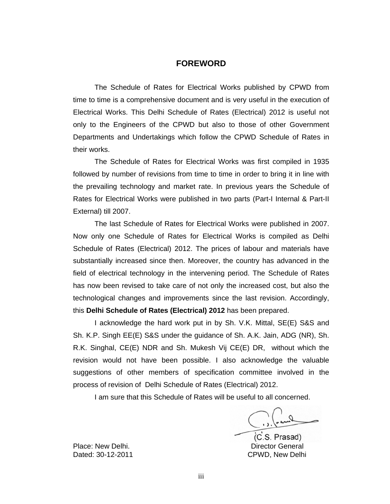### **FOREWORD**

The Schedule of Rates for Electrical Works published by CPWD from time to time is a comprehensive document and is very useful in the execution of Electrical Works. This Delhi Schedule of Rates (Electrical) 2012 is useful not only to the Engineers of the CPWD but also to those of other Government Departments and Undertakings which follow the CPWD Schedule of Rates in their works.

The Schedule of Rates for Electrical Works was first compiled in 1935 followed by number of revisions from time to time in order to bring it in line with the prevailing technology and market rate. In previous years the Schedule of Rates for Electrical Works were published in two parts (Part-I Internal & Part-II External) till 2007.

The last Schedule of Rates for Electrical Works were published in 2007. Now only one Schedule of Rates for Electrical Works is compiled as Delhi Schedule of Rates (Electrical) 2012. The prices of labour and materials have substantially increased since then. Moreover, the country has advanced in the field of electrical technology in the intervening period. The Schedule of Rates has now been revised to take care of not only the increased cost, but also the technological changes and improvements since the last revision. Accordingly, this **Delhi Schedule of Rates (Electrical) 2012** has been prepared.

I acknowledge the hard work put in by Sh. V.K. Mittal, SE(E) S&S and Sh. K.P. Singh EE(E) S&S under the guidance of Sh. A.K. Jain, ADG (NR), Sh. R.K. Singhal, CE(E) NDR and Sh. Mukesh Vij CE(E) DR, without which the revision would not have been possible. I also acknowledge the valuable suggestions of other members of specification committee involved in the process of revision of Delhi Schedule of Rates (Electrical) 2012.

I am sure that this Schedule of Rates will be useful to all concerned.

(C.S. Prasad)

Place: New Delhi. **Director General** Dated: 30-12-2011 CPWD, New Delhi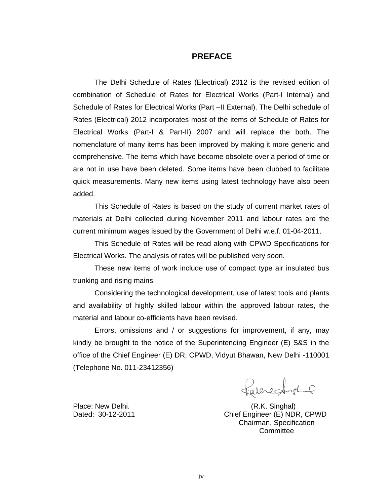### **PREFACE**

The Delhi Schedule of Rates (Electrical) 2012 is the revised edition of combination of Schedule of Rates for Electrical Works (Part-I Internal) and Schedule of Rates for Electrical Works (Part –II External). The Delhi schedule of Rates (Electrical) 2012 incorporates most of the items of Schedule of Rates for Electrical Works (Part-I & Part-II) 2007 and will replace the both. The nomenclature of many items has been improved by making it more generic and comprehensive. The items which have become obsolete over a period of time or are not in use have been deleted. Some items have been clubbed to facilitate quick measurements. Many new items using latest technology have also been added.

This Schedule of Rates is based on the study of current market rates of materials at Delhi collected during November 2011 and labour rates are the current minimum wages issued by the Government of Delhi w.e.f. 01-04-2011.

This Schedule of Rates will be read along with CPWD Specifications for Electrical Works. The analysis of rates will be published very soon.

These new items of work include use of compact type air insulated bus trunking and rising mains.

Considering the technological development, use of latest tools and plants and availability of highly skilled labour within the approved labour rates, the material and labour co-efficients have been revised.

Errors, omissions and / or suggestions for improvement, if any, may kindly be brought to the notice of the Superintending Engineer (E) S&S in the office of the Chief Engineer (E) DR, CPWD, Vidyut Bhawan, New Delhi -110001 (Telephone No. 011-23412356)

alerecard

Place: New Delhi. (R.K. Singhal) Dated: 30-12-2011 Chief Engineer (E) NDR, CPWD Chairman, Specification **Committee**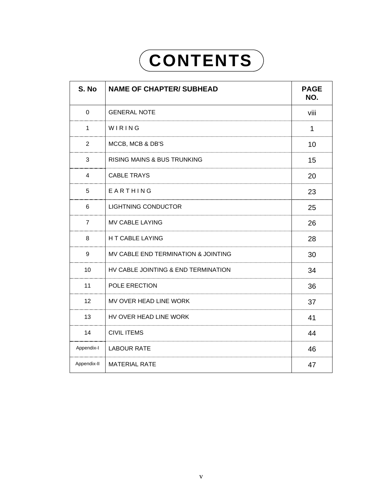# **CONTENTS**

| S. No          | <b>NAME OF CHAPTER/ SUBHEAD</b>        | <b>PAGE</b><br>NO. |
|----------------|----------------------------------------|--------------------|
| 0              | <b>GENERAL NOTE</b>                    | viii               |
| $\mathbf{1}$   | WIRING                                 | $\mathbf{1}$       |
| $\overline{2}$ | MCCB, MCB & DB'S                       | 10                 |
| 3              | <b>RISING MAINS &amp; BUS TRUNKING</b> | 15                 |
| $\overline{4}$ | <b>CABLE TRAYS</b>                     | 20                 |
| 5              | EARTHING                               | 23                 |
| 6              | <b>LIGHTNING CONDUCTOR</b>             | 25                 |
| $\overline{7}$ | <b>MV CABLE LAYING</b>                 | 26                 |
| 8              | H T CABLE LAYING                       | 28                 |
| 9              | MV CABLE END TERMINATION & JOINTING    | 30                 |
| 10             | HV CABLE JOINTING & END TERMINATION    | 34                 |
| 11             | POLE ERECTION                          | 36                 |
| 12             | MV OVER HEAD LINE WORK                 | 37                 |
| 13             | HV OVER HEAD LINE WORK                 | 41                 |
| 14             | <b>CIVIL ITEMS</b>                     | 44                 |
| Appendix-I     | <b>LABOUR RATE</b>                     | 46                 |
| Appendix-II    | <b>MATERIAL RATE</b>                   | 47                 |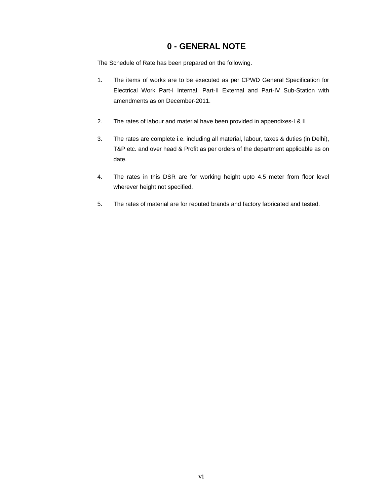# **0 - GENERAL NOTE**

The Schedule of Rate has been prepared on the following.

- 1. The items of works are to be executed as per CPWD General Specification for Electrical Work Part-I Internal. Part-II External and Part-IV Sub-Station with amendments as on December-2011.
- 2. The rates of labour and material have been provided in appendixes-I & II
- 3. The rates are complete i.e. including all material, labour, taxes & duties (in Delhi), T&P etc. and over head & Profit as per orders of the department applicable as on date.
- 4. The rates in this DSR are for working height upto 4.5 meter from floor level wherever height not specified.
- 5. The rates of material are for reputed brands and factory fabricated and tested.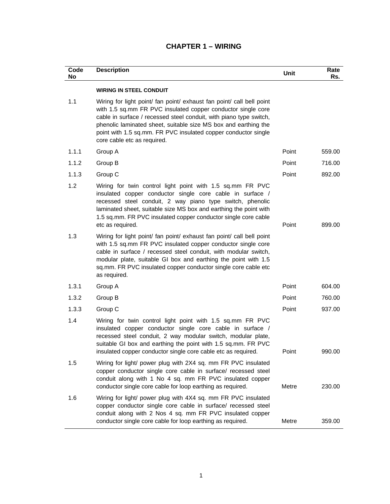| Code<br>No | <b>Description</b>                                                                                                                                                                                                                                                                                                                                                              | Unit  | Rate<br>Rs. |
|------------|---------------------------------------------------------------------------------------------------------------------------------------------------------------------------------------------------------------------------------------------------------------------------------------------------------------------------------------------------------------------------------|-------|-------------|
|            | <b>WIRING IN STEEL CONDUIT</b>                                                                                                                                                                                                                                                                                                                                                  |       |             |
| 1.1        | Wiring for light point/ fan point/ exhaust fan point/ call bell point<br>with 1.5 sq.mm FR PVC insulated copper conductor single core<br>cable in surface / recessed steel conduit, with piano type switch,<br>phenolic laminated sheet, suitable size MS box and earthing the<br>point with 1.5 sq.mm. FR PVC insulated copper conductor single<br>core cable etc as required. |       |             |
| 1.1.1      | Group A                                                                                                                                                                                                                                                                                                                                                                         | Point | 559.00      |
| 1.1.2      | Group B                                                                                                                                                                                                                                                                                                                                                                         | Point | 716.00      |
| 1.1.3      | Group C                                                                                                                                                                                                                                                                                                                                                                         | Point | 892.00      |
| 1.2        | Wiring for twin control light point with 1.5 sq.mm FR PVC<br>insulated copper conductor single core cable in surface /<br>recessed steel conduit, 2 way piano type switch, phenolic<br>laminated sheet, suitable size MS box and earthing the point with<br>1.5 sq.mm. FR PVC insulated copper conductor single core cable<br>etc as required.                                  | Point | 899.00      |
| 1.3        | Wiring for light point/ fan point/ exhaust fan point/ call bell point<br>with 1.5 sq.mm FR PVC insulated copper conductor single core<br>cable in surface / recessed steel conduit, with modular switch,<br>modular plate, suitable GI box and earthing the point with 1.5<br>sq.mm. FR PVC insulated copper conductor single core cable etc<br>as required.                    |       |             |
| 1.3.1      | Group A                                                                                                                                                                                                                                                                                                                                                                         | Point | 604.00      |
| 1.3.2      | Group B                                                                                                                                                                                                                                                                                                                                                                         | Point | 760.00      |
| 1.3.3      | Group C                                                                                                                                                                                                                                                                                                                                                                         | Point | 937.00      |
| 1.4        | Wiring for twin control light point with 1.5 sq.mm FR PVC<br>insulated copper conductor single core cable in surface /<br>recessed steel conduit, 2 way modular switch, modular plate,<br>suitable GI box and earthing the point with 1.5 sq.mm. FR PVC<br>insulated copper conductor single core cable etc as required.                                                        | Point | 990.00      |
| 1.5        | Wiring for light/ power plug with 2X4 sq. mm FR PVC insulated<br>copper conductor single core cable in surface/ recessed steel<br>conduit along with 1 No 4 sq. mm FR PVC insulated copper<br>conductor single core cable for loop earthing as required.                                                                                                                        | Metre | 230.00      |
| 1.6        | Wiring for light/ power plug with 4X4 sq. mm FR PVC insulated<br>copper conductor single core cable in surface/ recessed steel<br>conduit along with 2 Nos 4 sq. mm FR PVC insulated copper<br>conductor single core cable for loop earthing as required.                                                                                                                       | Metre | 359.00      |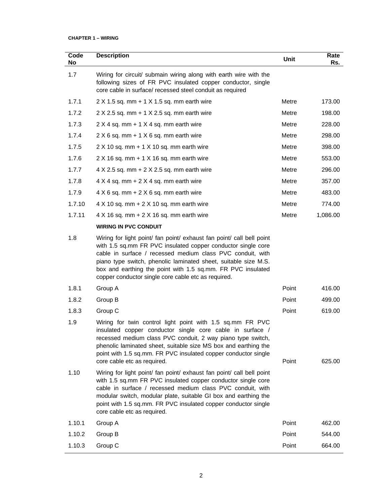| Code<br>No | <b>Description</b>                                                                                                                                                                                                                                                                                                                                                                           | <b>Unit</b> | Rate<br>Rs. |
|------------|----------------------------------------------------------------------------------------------------------------------------------------------------------------------------------------------------------------------------------------------------------------------------------------------------------------------------------------------------------------------------------------------|-------------|-------------|
| 1.7        | Wiring for circuit/ submain wiring along with earth wire with the<br>following sizes of FR PVC insulated copper conductor, single<br>core cable in surface/ recessed steel conduit as required                                                                                                                                                                                               |             |             |
| 1.7.1      | $2 \times 1.5$ sq. mm + 1 $\times$ 1.5 sq. mm earth wire                                                                                                                                                                                                                                                                                                                                     | Metre       | 173.00      |
| 1.7.2      | $2 \times 2.5$ sq. mm + 1 $\times$ 2.5 sq. mm earth wire                                                                                                                                                                                                                                                                                                                                     | Metre       | 198.00      |
| 1.7.3      | $2 \times 4$ sq. mm + 1 $\times$ 4 sq. mm earth wire                                                                                                                                                                                                                                                                                                                                         | Metre       | 228.00      |
| 1.7.4      | $2 \times 6$ sq. mm + 1 $\times$ 6 sq. mm earth wire                                                                                                                                                                                                                                                                                                                                         | Metre       | 298.00      |
| 1.7.5      | $2 X 10 sq.$ mm + 1 $X 10 sq.$ mm earth wire                                                                                                                                                                                                                                                                                                                                                 | Metre       | 398.00      |
| 1.7.6      | $2 X 16 sq.$ mm + 1 $X 16 sq.$ mm earth wire                                                                                                                                                                                                                                                                                                                                                 | Metre       | 553.00      |
| 1.7.7      | $4 \times 2.5$ sq. mm + 2 $\times$ 2.5 sq. mm earth wire                                                                                                                                                                                                                                                                                                                                     | Metre       | 296.00      |
| 1.7.8      | $4 \times 4$ sq. mm + 2 $\times$ 4 sq. mm earth wire                                                                                                                                                                                                                                                                                                                                         | Metre       | 357.00      |
| 1.7.9      | $4 \times 6$ sq. mm + 2 $\times$ 6 sq. mm earth wire                                                                                                                                                                                                                                                                                                                                         | Metre       | 483.00      |
| 1.7.10     | $4 \times 10$ sq. mm + $2 \times 10$ sq. mm earth wire                                                                                                                                                                                                                                                                                                                                       | Metre       | 774.00      |
| 1.7.11     | $4 \times 16$ sq. mm + $2 \times 16$ sq. mm earth wire                                                                                                                                                                                                                                                                                                                                       | Metre       | 1,086.00    |
|            | <b>WIRING IN PVC CONDUIT</b>                                                                                                                                                                                                                                                                                                                                                                 |             |             |
| 1.8        | Wiring for light point/ fan point/ exhaust fan point/ call bell point<br>with 1.5 sq.mm FR PVC insulated copper conductor single core<br>cable in surface / recessed medium class PVC conduit, with<br>piano type switch, phenolic laminated sheet, suitable size M.S.<br>box and earthing the point with 1.5 sq.mm. FR PVC insulated<br>copper conductor single core cable etc as required. |             |             |
| 1.8.1      | Group A                                                                                                                                                                                                                                                                                                                                                                                      | Point       | 416.00      |
| 1.8.2      | Group B                                                                                                                                                                                                                                                                                                                                                                                      | Point       | 499.00      |
| 1.8.3      | Group C                                                                                                                                                                                                                                                                                                                                                                                      | Point       | 619.00      |
| 1.9        | Wiring for twin control light point with 1.5 sq.mm FR PVC<br>insulated copper conductor single core cable in surface /<br>recessed medium class PVC conduit, 2 way piano type switch,<br>phenolic laminated sheet, suitable size MS box and earthing the<br>point with 1.5 sq.mm. FR PVC insulated copper conductor single<br>core cable etc as required.                                    | Point       | 625.00      |
| 1.10       | Wiring for light point/ fan point/ exhaust fan point/ call bell point<br>with 1.5 sq.mm FR PVC insulated copper conductor single core<br>cable in surface / recessed medium class PVC conduit, with<br>modular switch, modular plate, suitable GI box and earthing the<br>point with 1.5 sq.mm. FR PVC insulated copper conductor single<br>core cable etc as required.                      |             |             |
| 1.10.1     | Group A                                                                                                                                                                                                                                                                                                                                                                                      | Point       | 462.00      |
| 1.10.2     | Group B                                                                                                                                                                                                                                                                                                                                                                                      | Point       | 544.00      |
| 1.10.3     | Group C                                                                                                                                                                                                                                                                                                                                                                                      | Point       | 664.00      |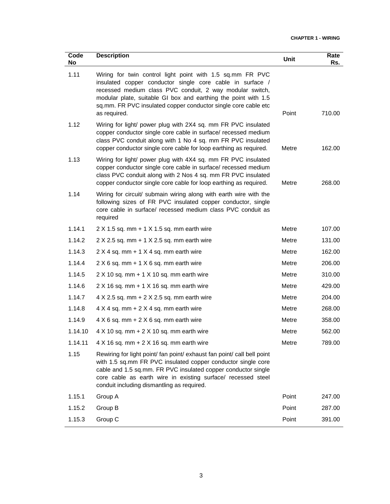| Code<br>No | <b>Description</b>                                                                                                                                                                                                                                                                                                                     | Unit  | Rate<br>Rs. |
|------------|----------------------------------------------------------------------------------------------------------------------------------------------------------------------------------------------------------------------------------------------------------------------------------------------------------------------------------------|-------|-------------|
| 1.11       | Wiring for twin control light point with 1.5 sq.mm FR PVC<br>insulated copper conductor single core cable in surface /<br>recessed medium class PVC conduit, 2 way modular switch,<br>modular plate, suitable GI box and earthing the point with 1.5<br>sq.mm. FR PVC insulated copper conductor single core cable etc<br>as required. | Point | 710.00      |
| 1.12       | Wiring for light/ power plug with 2X4 sq. mm FR PVC insulated<br>copper conductor single core cable in surface/ recessed medium<br>class PVC conduit along with 1 No 4 sq. mm FR PVC insulated<br>copper conductor single core cable for loop earthing as required.                                                                    | Metre | 162.00      |
| 1.13       | Wiring for light/ power plug with 4X4 sq. mm FR PVC insulated<br>copper conductor single core cable in surface/ recessed medium<br>class PVC conduit along with 2 Nos 4 sq. mm FR PVC insulated<br>copper conductor single core cable for loop earthing as required.                                                                   | Metre | 268.00      |
| 1.14       | Wiring for circuit/ submain wiring along with earth wire with the<br>following sizes of FR PVC insulated copper conductor, single<br>core cable in surface/ recessed medium class PVC conduit as<br>required                                                                                                                           |       |             |
| 1.14.1     | $2 X 1.5 sq. mm + 1 X 1.5 sq. mm earth wire$                                                                                                                                                                                                                                                                                           | Metre | 107.00      |
| 1.14.2     | $2 X 2.5 sq. mm + 1 X 2.5 sq. mm earth wire$                                                                                                                                                                                                                                                                                           | Metre | 131.00      |
| 1.14.3     | $2 \times 4$ sq. mm + 1 $\times$ 4 sq. mm earth wire                                                                                                                                                                                                                                                                                   | Metre | 162.00      |
| 1.14.4     | $2 \times 6$ sq. mm + 1 $\times$ 6 sq. mm earth wire                                                                                                                                                                                                                                                                                   | Metre | 206.00      |
| 1.14.5     | $2 X 10 sq.$ mm + 1 $X 10 sq.$ mm earth wire                                                                                                                                                                                                                                                                                           | Metre | 310.00      |
| 1.14.6     | $2 X 16 sq.$ mm + 1 $X 16 sq.$ mm earth wire                                                                                                                                                                                                                                                                                           | Metre | 429.00      |
| 1.14.7     | $4 \times 2.5$ sq. mm + $2 \times 2.5$ sq. mm earth wire                                                                                                                                                                                                                                                                               | Metre | 204.00      |
| 1.14.8     | $4 \times 4$ sq. mm + 2 $\times$ 4 sq. mm earth wire                                                                                                                                                                                                                                                                                   | Metre | 268.00      |
| 1.14.9     | $4 \times 6$ sq. mm + 2 $\times$ 6 sq. mm earth wire                                                                                                                                                                                                                                                                                   | Metre | 358.00      |
| 1.14.10    | $4 \times 10$ sq. mm + $2 \times 10$ sq. mm earth wire                                                                                                                                                                                                                                                                                 | Metre | 562.00      |
| 1.14.11    | $4 \times 16$ sq. mm + $2 \times 16$ sq. mm earth wire                                                                                                                                                                                                                                                                                 | Metre | 789.00      |
| 1.15       | Rewiring for light point/ fan point/ exhaust fan point/ call bell point<br>with 1.5 sq.mm FR PVC insulated copper conductor single core<br>cable and 1.5 sq.mm. FR PVC insulated copper conductor single<br>core cable as earth wire in existing surface/ recessed steel<br>conduit including dismantling as required.                 |       |             |
| 1.15.1     | Group A                                                                                                                                                                                                                                                                                                                                | Point | 247.00      |
| 1.15.2     | Group B                                                                                                                                                                                                                                                                                                                                | Point | 287.00      |
| 1.15.3     | Group C                                                                                                                                                                                                                                                                                                                                | Point | 391.00      |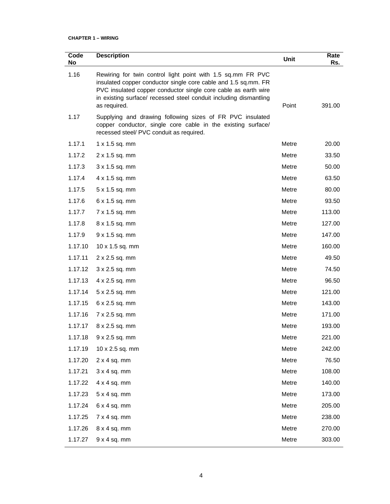| Code<br>No | <b>Description</b>                                                                                                                                                                                                                                                                   | Unit  | Rate<br>Rs. |
|------------|--------------------------------------------------------------------------------------------------------------------------------------------------------------------------------------------------------------------------------------------------------------------------------------|-------|-------------|
| 1.16       | Rewiring for twin control light point with 1.5 sq.mm FR PVC<br>insulated copper conductor single core cable and 1.5 sq.mm. FR<br>PVC insulated copper conductor single core cable as earth wire<br>in existing surface/ recessed steel conduit including dismantling<br>as required. | Point | 391.00      |
| 1.17       | Supplying and drawing following sizes of FR PVC insulated<br>copper conductor, single core cable in the existing surface/<br>recessed steel/ PVC conduit as required.                                                                                                                |       |             |
| 1.17.1     | 1 x 1.5 sq. mm                                                                                                                                                                                                                                                                       | Metre | 20.00       |
| 1.17.2     | 2 x 1.5 sq. mm                                                                                                                                                                                                                                                                       | Metre | 33.50       |
| 1.17.3     | 3 x 1.5 sq. mm                                                                                                                                                                                                                                                                       | Metre | 50.00       |
| 1.17.4     | 4 x 1.5 sq. mm                                                                                                                                                                                                                                                                       | Metre | 63.50       |
| 1.17.5     | 5 x 1.5 sq. mm                                                                                                                                                                                                                                                                       | Metre | 80.00       |
| 1.17.6     | 6 x 1.5 sq. mm                                                                                                                                                                                                                                                                       | Metre | 93.50       |
| 1.17.7     | 7 x 1.5 sq. mm                                                                                                                                                                                                                                                                       | Metre | 113.00      |
| 1.17.8     | 8 x 1.5 sq. mm                                                                                                                                                                                                                                                                       | Metre | 127.00      |
| 1.17.9     | 9 x 1.5 sq. mm                                                                                                                                                                                                                                                                       | Metre | 147.00      |
| 1.17.10    | 10 x 1.5 sq. mm                                                                                                                                                                                                                                                                      | Metre | 160.00      |
| 1.17.11    | 2 x 2.5 sq. mm                                                                                                                                                                                                                                                                       | Metre | 49.50       |
| 1.17.12    | 3 x 2.5 sq. mm                                                                                                                                                                                                                                                                       | Metre | 74.50       |
| 1.17.13    | 4 x 2.5 sq. mm                                                                                                                                                                                                                                                                       | Metre | 96.50       |
| 1.17.14    | $5 \times 2.5$ sq. mm                                                                                                                                                                                                                                                                | Metre | 121.00      |
| 1.17.15    | $6 \times 2.5$ sq. mm                                                                                                                                                                                                                                                                | Metre | 143.00      |
| 1.17.16    | 7 x 2.5 sq. mm                                                                                                                                                                                                                                                                       | Metre | 171.00      |
| 1.17.17    | 8 x 2.5 sq. mm                                                                                                                                                                                                                                                                       | Metre | 193.00      |
| 1.17.18    | $9 \times 2.5$ sq. mm                                                                                                                                                                                                                                                                | Metre | 221.00      |
| 1.17.19    | 10 x 2.5 sq. mm                                                                                                                                                                                                                                                                      | Metre | 242.00      |
| 1.17.20    | $2 \times 4$ sq. mm                                                                                                                                                                                                                                                                  | Metre | 76.50       |
| 1.17.21    | 3x 4 sq. mm                                                                                                                                                                                                                                                                          | Metre | 108.00      |
| 1.17.22    | $4 \times 4$ sq. mm                                                                                                                                                                                                                                                                  | Metre | 140.00      |
| 1.17.23    | $5x4sq.$ mm                                                                                                                                                                                                                                                                          | Metre | 173.00      |
| 1.17.24    | $6x4sq.$ mm                                                                                                                                                                                                                                                                          | Metre | 205.00      |
| 1.17.25    | $7 \times 4$ sq. mm                                                                                                                                                                                                                                                                  | Metre | 238.00      |
| 1.17.26    | $8 \times 4$ sq. mm                                                                                                                                                                                                                                                                  | Metre | 270.00      |
| 1.17.27    | 9x 4 sq. mm                                                                                                                                                                                                                                                                          | Metre | 303.00      |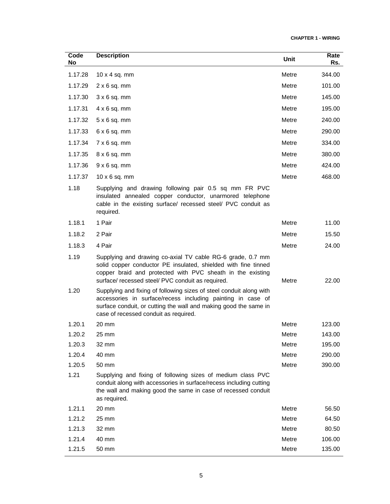| Code<br>No | <b>Description</b>                                                                                                                                                                                                                              | Unit  | Rate<br>Rs. |
|------------|-------------------------------------------------------------------------------------------------------------------------------------------------------------------------------------------------------------------------------------------------|-------|-------------|
| 1.17.28    | $10 \times 4$ sq. mm                                                                                                                                                                                                                            | Metre | 344.00      |
| 1.17.29    | $2 \times 6$ sq. mm                                                                                                                                                                                                                             | Metre | 101.00      |
| 1.17.30    | $3 \times 6$ sq. mm                                                                                                                                                                                                                             | Metre | 145.00      |
| 1.17.31    | $4 \times 6$ sq. mm                                                                                                                                                                                                                             | Metre | 195.00      |
| 1.17.32    | $5 \times 6$ sq. mm                                                                                                                                                                                                                             | Metre | 240.00      |
| 1.17.33    | $6 \times 6$ sq. mm                                                                                                                                                                                                                             | Metre | 290.00      |
| 1.17.34    | $7 \times 6$ sq. mm                                                                                                                                                                                                                             | Metre | 334.00      |
| 1.17.35    | $8 \times 6$ sq. mm                                                                                                                                                                                                                             | Metre | 380.00      |
| 1.17.36    | $9 \times 6$ sq. mm                                                                                                                                                                                                                             | Metre | 424.00      |
| 1.17.37    | $10 \times 6$ sq. mm                                                                                                                                                                                                                            | Metre | 468.00      |
| 1.18       | Supplying and drawing following pair 0.5 sq mm FR PVC<br>insulated annealed copper conductor, unarmored telephone<br>cable in the existing surface/ recessed steel/ PVC conduit as<br>required.                                                 |       |             |
| 1.18.1     | 1 Pair                                                                                                                                                                                                                                          | Metre | 11.00       |
| 1.18.2     | 2 Pair                                                                                                                                                                                                                                          | Metre | 15.50       |
| 1.18.3     | 4 Pair                                                                                                                                                                                                                                          | Metre | 24.00       |
| 1.19       | Supplying and drawing co-axial TV cable RG-6 grade, 0.7 mm<br>solid copper conductor PE insulated, shielded with fine tinned<br>copper braid and protected with PVC sheath in the existing<br>surface/ recessed steel/ PVC conduit as required. | Metre | 22.00       |
| 1.20       | Supplying and fixing of following sizes of steel conduit along with<br>accessories in surface/recess including painting in case of<br>surface conduit, or cutting the wall and making good the same in<br>case of recessed conduit as required. |       |             |
| 1.20.1     | 20 mm                                                                                                                                                                                                                                           | Metre | 123.00      |
| 1.20.2     | 25 mm                                                                                                                                                                                                                                           | Metre | 143.00      |
| 1.20.3     | 32 mm                                                                                                                                                                                                                                           | Metre | 195.00      |
| 1.20.4     | 40 mm                                                                                                                                                                                                                                           | Metre | 290.00      |
| 1.20.5     | 50 mm                                                                                                                                                                                                                                           | Metre | 390.00      |
| 1.21       | Supplying and fixing of following sizes of medium class PVC<br>conduit along with accessories in surface/recess including cutting<br>the wall and making good the same in case of recessed conduit<br>as required.                              |       |             |
| 1.21.1     | 20 mm                                                                                                                                                                                                                                           | Metre | 56.50       |
| 1.21.2     | 25 mm                                                                                                                                                                                                                                           | Metre | 64.50       |
| 1.21.3     | 32 mm                                                                                                                                                                                                                                           | Metre | 80.50       |
| 1.21.4     | 40 mm                                                                                                                                                                                                                                           | Metre | 106.00      |
| 1.21.5     | 50 mm                                                                                                                                                                                                                                           | Metre | 135.00      |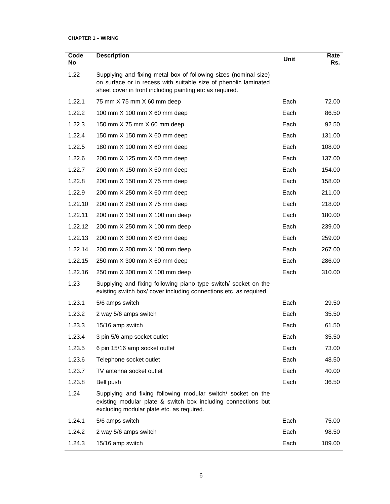| Code<br>No | <b>Description</b>                                                                                                                                                                               | Unit | Rate<br>Rs. |
|------------|--------------------------------------------------------------------------------------------------------------------------------------------------------------------------------------------------|------|-------------|
| 1.22       | Supplying and fixing metal box of following sizes (nominal size)<br>on surface or in recess with suitable size of phenolic laminated<br>sheet cover in front including painting etc as required. |      |             |
| 1.22.1     | 75 mm X 75 mm X 60 mm deep                                                                                                                                                                       | Each | 72.00       |
| 1.22.2     | 100 mm X 100 mm X 60 mm deep                                                                                                                                                                     | Each | 86.50       |
| 1.22.3     | 150 mm X 75 mm X 60 mm deep                                                                                                                                                                      | Each | 92.50       |
| 1.22.4     | 150 mm X 150 mm X 60 mm deep                                                                                                                                                                     | Each | 131.00      |
| 1.22.5     | 180 mm X 100 mm X 60 mm deep                                                                                                                                                                     | Each | 108.00      |
| 1.22.6     | 200 mm X 125 mm X 60 mm deep                                                                                                                                                                     | Each | 137.00      |
| 1.22.7     | 200 mm X 150 mm X 60 mm deep                                                                                                                                                                     | Each | 154.00      |
| 1.22.8     | 200 mm X 150 mm X 75 mm deep                                                                                                                                                                     | Each | 158.00      |
| 1.22.9     | 200 mm X 250 mm X 60 mm deep                                                                                                                                                                     | Each | 211.00      |
| 1.22.10    | 200 mm X 250 mm X 75 mm deep                                                                                                                                                                     | Each | 218.00      |
| 1.22.11    | 200 mm X 150 mm X 100 mm deep                                                                                                                                                                    | Each | 180.00      |
| 1.22.12    | 200 mm X 250 mm X 100 mm deep                                                                                                                                                                    | Each | 239.00      |
| 1.22.13    | 200 mm X 300 mm X 60 mm deep                                                                                                                                                                     | Each | 259.00      |
| 1.22.14    | 200 mm X 300 mm X 100 mm deep                                                                                                                                                                    | Each | 267.00      |
| 1.22.15    | 250 mm X 300 mm X 60 mm deep                                                                                                                                                                     | Each | 286.00      |
| 1.22.16    | 250 mm X 300 mm X 100 mm deep                                                                                                                                                                    | Each | 310.00      |
| 1.23       | Supplying and fixing following piano type switch/ socket on the<br>existing switch box/cover including connections etc. as required.                                                             |      |             |
| 1.23.1     | 5/6 amps switch                                                                                                                                                                                  | Each | 29.50       |
| 1.23.2     | 2 way 5/6 amps switch                                                                                                                                                                            | Each | 35.50       |
| 1.23.3     | 15/16 amp switch                                                                                                                                                                                 | Each | 61.50       |
| 1.23.4     | 3 pin 5/6 amp socket outlet                                                                                                                                                                      | Each | 35.50       |
| 1.23.5     | 6 pin 15/16 amp socket outlet                                                                                                                                                                    | Each | 73.00       |
| 1.23.6     | Telephone socket outlet                                                                                                                                                                          | Each | 48.50       |
| 1.23.7     | TV antenna socket outlet                                                                                                                                                                         | Each | 40.00       |
| 1.23.8     | Bell push                                                                                                                                                                                        | Each | 36.50       |
| 1.24       | Supplying and fixing following modular switch/ socket on the<br>existing modular plate & switch box including connections but<br>excluding modular plate etc. as required.                       |      |             |
| 1.24.1     | 5/6 amps switch                                                                                                                                                                                  | Each | 75.00       |
| 1.24.2     | 2 way 5/6 amps switch                                                                                                                                                                            | Each | 98.50       |
| 1.24.3     | 15/16 amp switch                                                                                                                                                                                 | Each | 109.00      |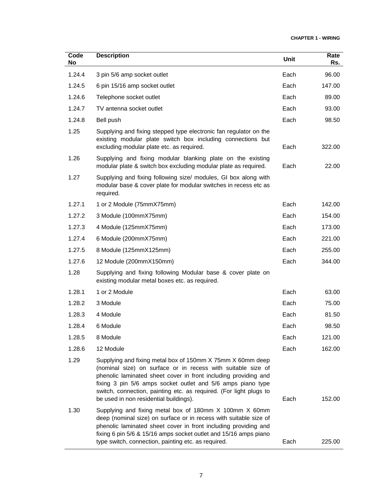| Code<br>No | <b>Description</b>                                                                                                                                                                                                                                                                                                                                                           | <b>Unit</b> | Rate<br>Rs. |
|------------|------------------------------------------------------------------------------------------------------------------------------------------------------------------------------------------------------------------------------------------------------------------------------------------------------------------------------------------------------------------------------|-------------|-------------|
| 1.24.4     | 3 pin 5/6 amp socket outlet                                                                                                                                                                                                                                                                                                                                                  | Each        | 96.00       |
| 1.24.5     | 6 pin 15/16 amp socket outlet                                                                                                                                                                                                                                                                                                                                                | Each        | 147.00      |
| 1.24.6     | Telephone socket outlet                                                                                                                                                                                                                                                                                                                                                      | Each        | 89.00       |
| 1.24.7     | TV antenna socket outlet                                                                                                                                                                                                                                                                                                                                                     | Each        | 93.00       |
| 1.24.8     | Bell push                                                                                                                                                                                                                                                                                                                                                                    | Each        | 98.50       |
| 1.25       | Supplying and fixing stepped type electronic fan regulator on the<br>existing modular plate switch box including connections but<br>excluding modular plate etc. as required.                                                                                                                                                                                                | Each        | 322.00      |
| 1.26       | Supplying and fixing modular blanking plate on the existing<br>modular plate & switch box excluding modular plate as required.                                                                                                                                                                                                                                               | Each        | 22.00       |
| 1.27       | Supplying and fixing following size/ modules, GI box along with<br>modular base & cover plate for modular switches in recess etc as<br>required.                                                                                                                                                                                                                             |             |             |
| 1.27.1     | 1 or 2 Module (75mmX75mm)                                                                                                                                                                                                                                                                                                                                                    | Each        | 142.00      |
| 1.27.2     | 3 Module (100mmX75mm)                                                                                                                                                                                                                                                                                                                                                        | Each        | 154.00      |
| 1.27.3     | 4 Module (125mmX75mm)                                                                                                                                                                                                                                                                                                                                                        | Each        | 173.00      |
| 1.27.4     | 6 Module (200mmX75mm)                                                                                                                                                                                                                                                                                                                                                        | Each        | 221.00      |
| 1.27.5     | 8 Module (125mmX125mm)                                                                                                                                                                                                                                                                                                                                                       | Each        | 255.00      |
| 1.27.6     | 12 Module (200mmX150mm)                                                                                                                                                                                                                                                                                                                                                      | Each        | 344.00      |
| 1.28       | Supplying and fixing following Modular base & cover plate on<br>existing modular metal boxes etc. as required.                                                                                                                                                                                                                                                               |             |             |
| 1.28.1     | 1 or 2 Module                                                                                                                                                                                                                                                                                                                                                                | Each        | 63.00       |
| 1.28.2     | 3 Module                                                                                                                                                                                                                                                                                                                                                                     | Each        | 75.00       |
| 1.28.3     | 4 Module                                                                                                                                                                                                                                                                                                                                                                     | Each        | 81.50       |
| 1.28.4     | 6 Module                                                                                                                                                                                                                                                                                                                                                                     | Each        | 98.50       |
| 1.28.5     | 8 Module                                                                                                                                                                                                                                                                                                                                                                     | Each        | 121.00      |
| 1.28.6     | 12 Module                                                                                                                                                                                                                                                                                                                                                                    | Each        | 162.00      |
| 1.29       | Supplying and fixing metal box of 150mm X 75mm X 60mm deep<br>(nominal size) on surface or in recess with suitable size of<br>phenolic laminated sheet cover in front including providing and<br>fixing 3 pin 5/6 amps socket outlet and 5/6 amps piano type<br>switch, connection, painting etc. as required. (For light plugs to<br>be used in non residential buildings). | Each        | 152.00      |
| 1.30       | Supplying and fixing metal box of 180mm X 100mm X 60mm<br>deep (nominal size) on surface or in recess with suitable size of<br>phenolic laminated sheet cover in front including providing and<br>fixing 6 pin 5/6 & 15/16 amps socket outlet and 15/16 amps piano<br>type switch, connection, painting etc. as required.                                                    | Each        | 225.00      |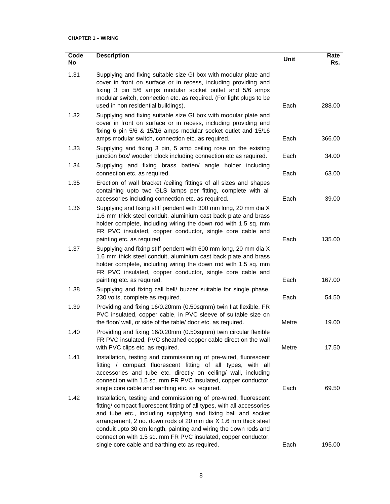| Code<br>No | <b>Description</b>                                                                                                                                                                                                                                                                                                                                                                                                                                                                                                           | Unit         | Rate<br>Rs.     |
|------------|------------------------------------------------------------------------------------------------------------------------------------------------------------------------------------------------------------------------------------------------------------------------------------------------------------------------------------------------------------------------------------------------------------------------------------------------------------------------------------------------------------------------------|--------------|-----------------|
| 1.31       | Supplying and fixing suitable size GI box with modular plate and<br>cover in front on surface or in recess, including providing and<br>fixing 3 pin 5/6 amps modular socket outlet and 5/6 amps<br>modular switch, connection etc. as required. (For light plugs to be<br>used in non residential buildings).                                                                                                                                                                                                                | Each         | 288.00          |
| 1.32       | Supplying and fixing suitable size GI box with modular plate and<br>cover in front on surface or in recess, including providing and<br>fixing 6 pin 5/6 & 15/16 amps modular socket outlet and 15/16<br>amps modular switch, connection etc. as required.                                                                                                                                                                                                                                                                    | Each         | 366.00          |
| 1.33       | Supplying and fixing 3 pin, 5 amp ceiling rose on the existing<br>junction box/ wooden block including connection etc as required.                                                                                                                                                                                                                                                                                                                                                                                           | Each         | 34.00           |
| 1.34       | Supplying and fixing brass batten/ angle holder including<br>connection etc. as required.                                                                                                                                                                                                                                                                                                                                                                                                                                    | Each         | 63.00           |
| 1.35       | Erection of wall bracket /ceiling fittings of all sizes and shapes<br>containing upto two GLS lamps per fitting, complete with all<br>accessories including connection etc. as required.                                                                                                                                                                                                                                                                                                                                     | Each         | 39.00           |
| 1.36       | Supplying and fixing stiff pendent with 300 mm long, 20 mm dia X<br>1.6 mm thick steel conduit, aluminium cast back plate and brass<br>holder complete, including wiring the down rod with 1.5 sq. mm<br>FR PVC insulated, copper conductor, single core cable and<br>painting etc. as required.                                                                                                                                                                                                                             | Each         | 135.00          |
| 1.37       | Supplying and fixing stiff pendent with 600 mm long, 20 mm dia X<br>1.6 mm thick steel conduit, aluminium cast back plate and brass<br>holder complete, including wiring the down rod with 1.5 sq. mm<br>FR PVC insulated, copper conductor, single core cable and<br>painting etc. as required.                                                                                                                                                                                                                             | Each         | 167.00          |
| 1.38       | Supplying and fixing call bell/ buzzer suitable for single phase,<br>230 volts, complete as required.                                                                                                                                                                                                                                                                                                                                                                                                                        | Each         | 54.50           |
| 1.39       | Providing and fixing 16/0.20mm (0.50sqmm) twin flat flexible, FR<br>PVC insulated, copper cable, in PVC sleeve of suitable size on<br>the floor/ wall, or side of the table/ door etc. as required.                                                                                                                                                                                                                                                                                                                          | Metre        | 19.00           |
| 1.40       | Providing and fixing 16/0.20mm (0.50sqmm) twin circular flexible<br>FR PVC insulated, PVC sheathed copper cable direct on the wall<br>with PVC clips etc. as required.                                                                                                                                                                                                                                                                                                                                                       | Metre        | 17.50           |
| 1.41       | Installation, testing and commissioning of pre-wired, fluorescent<br>fitting / compact fluorescent fitting of all types, with all<br>accessories and tube etc. directly on ceiling/ wall, including<br>connection with 1.5 sq. mm FR PVC insulated, copper conductor,                                                                                                                                                                                                                                                        |              |                 |
| 1.42       | single core cable and earthing etc. as required.<br>Installation, testing and commissioning of pre-wired, fluorescent<br>fitting/ compact fluorescent fitting of all types, with all accessories<br>and tube etc., including supplying and fixing ball and socket<br>arrangement, 2 no. down rods of 20 mm dia X 1.6 mm thick steel<br>conduit upto 30 cm length, painting and wiring the down rods and<br>connection with 1.5 sq. mm FR PVC insulated, copper conductor,<br>single core cable and earthing etc as required. | Each<br>Each | 69.50<br>195.00 |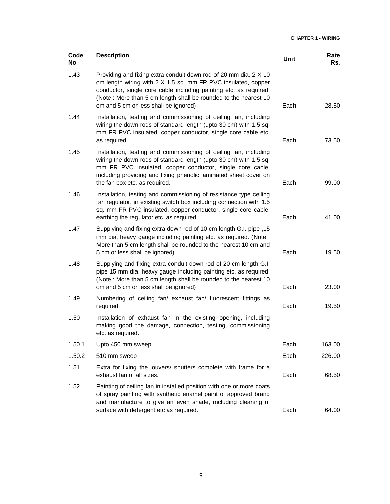| Code<br>No | <b>Description</b>                                                                                                                                                                                                                                                                                                 | Unit | Rate<br>Rs. |
|------------|--------------------------------------------------------------------------------------------------------------------------------------------------------------------------------------------------------------------------------------------------------------------------------------------------------------------|------|-------------|
| 1.43       | Providing and fixing extra conduit down rod of 20 mm dia, 2 X 10<br>cm length wiring with 2 X 1.5 sq. mm FR PVC insulated, copper<br>conductor, single core cable including painting etc. as required.<br>(Note: More than 5 cm length shall be rounded to the nearest 10<br>cm and 5 cm or less shall be ignored) | Each | 28.50       |
| 1.44       | Installation, testing and commissioning of ceiling fan, including<br>wiring the down rods of standard length (upto 30 cm) with 1.5 sq.<br>mm FR PVC insulated, copper conductor, single core cable etc.<br>as required.                                                                                            | Each | 73.50       |
| 1.45       | Installation, testing and commissioning of ceiling fan, including<br>wiring the down rods of standard length (upto 30 cm) with 1.5 sq.<br>mm FR PVC insulated, copper conductor, single core cable,<br>including providing and fixing phenolic laminated sheet cover on<br>the fan box etc. as required.           | Each | 99.00       |
| 1.46       | Installation, testing and commissioning of resistance type ceiling<br>fan regulator, in existing switch box including connection with 1.5<br>sq. mm FR PVC insulated, copper conductor, single core cable,<br>earthing the regulator etc. as required.                                                             | Each | 41.00       |
| 1.47       | 15, Supplying and fixing extra down rod of 10 cm length G.I. pipe<br>mm dia, heavy gauge including painting etc. as required. (Note :<br>More than 5 cm length shall be rounded to the nearest 10 cm and<br>5 cm or less shall be ignored)                                                                         | Each | 19.50       |
| 1.48       | Supplying and fixing extra conduit down rod of 20 cm length G.I.<br>pipe 15 mm dia, heavy gauge including painting etc. as required.<br>(Note: More than 5 cm length shall be rounded to the nearest 10<br>cm and 5 cm or less shall be ignored)                                                                   | Each | 23.00       |
| 1.49       | Numbering of ceiling fan/ exhaust fan/ fluorescent fittings as<br>required.                                                                                                                                                                                                                                        | Each | 19.50       |
| 1.50       | Installation of exhaust fan in the existing opening, including<br>making good the damage, connection, testing, commissioning<br>etc. as required.                                                                                                                                                                  |      |             |
| 1.50.1     | Upto 450 mm sweep                                                                                                                                                                                                                                                                                                  | Each | 163.00      |
| 1.50.2     | 510 mm sweep                                                                                                                                                                                                                                                                                                       | Each | 226.00      |
| 1.51       | Extra for fixing the louvers/ shutters complete with frame for a<br>exhaust fan of all sizes.                                                                                                                                                                                                                      | Each | 68.50       |
| 1.52       | Painting of ceiling fan in installed position with one or more coats<br>of spray painting with synthetic enamel paint of approved brand<br>and manufacture to give an even shade, including cleaning of<br>surface with detergent etc as required.                                                                 | Each | 64.00       |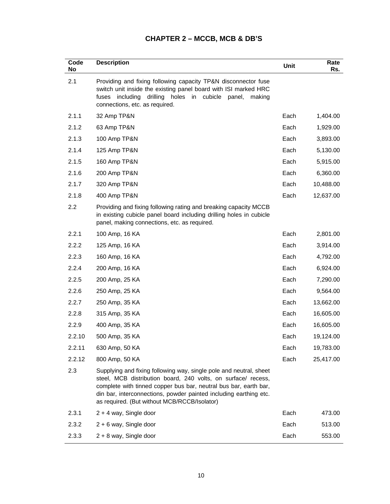# **CHAPTER 2 – MCCB, MCB & DB'S**

| Code<br>No | <b>Description</b>                                                                                                                                                                                                                                                                                                           | Unit | Rate<br>Rs. |
|------------|------------------------------------------------------------------------------------------------------------------------------------------------------------------------------------------------------------------------------------------------------------------------------------------------------------------------------|------|-------------|
| 2.1        | Providing and fixing following capacity TP&N disconnector fuse<br>switch unit inside the existing panel board with ISI marked HRC<br>including drilling<br>in cubicle<br>holes<br>fuses<br>panel,<br>making<br>connections, etc. as required.                                                                                |      |             |
| 2.1.1      | 32 Amp TP&N                                                                                                                                                                                                                                                                                                                  | Each | 1,404.00    |
| 2.1.2      | 63 Amp TP&N                                                                                                                                                                                                                                                                                                                  | Each | 1,929.00    |
| 2.1.3      | 100 Amp TP&N                                                                                                                                                                                                                                                                                                                 | Each | 3,893.00    |
| 2.1.4      | 125 Amp TP&N                                                                                                                                                                                                                                                                                                                 | Each | 5,130.00    |
| 2.1.5      | 160 Amp TP&N                                                                                                                                                                                                                                                                                                                 | Each | 5,915.00    |
| 2.1.6      | 200 Amp TP&N                                                                                                                                                                                                                                                                                                                 | Each | 6,360.00    |
| 2.1.7      | 320 Amp TP&N                                                                                                                                                                                                                                                                                                                 | Each | 10,488.00   |
| 2.1.8      | 400 Amp TP&N                                                                                                                                                                                                                                                                                                                 | Each | 12,637.00   |
| 2.2        | Providing and fixing following rating and breaking capacity MCCB<br>in existing cubicle panel board including drilling holes in cubicle<br>panel, making connections, etc. as required.                                                                                                                                      |      |             |
| 2.2.1      | 100 Amp, 16 KA                                                                                                                                                                                                                                                                                                               | Each | 2,801.00    |
| 2.2.2      | 125 Amp, 16 KA                                                                                                                                                                                                                                                                                                               | Each | 3,914.00    |
| 2.2.3      | 160 Amp, 16 KA                                                                                                                                                                                                                                                                                                               | Each | 4,792.00    |
| 2.2.4      | 200 Amp, 16 KA                                                                                                                                                                                                                                                                                                               | Each | 6,924.00    |
| 2.2.5      | 200 Amp, 25 KA                                                                                                                                                                                                                                                                                                               | Each | 7,290.00    |
| 2.2.6      | 250 Amp, 25 KA                                                                                                                                                                                                                                                                                                               | Each | 9,564.00    |
| 2.2.7      | 250 Amp, 35 KA                                                                                                                                                                                                                                                                                                               | Each | 13,662.00   |
| 2.2.8      | 315 Amp, 35 KA                                                                                                                                                                                                                                                                                                               | Each | 16,605.00   |
| 2.2.9      | 400 Amp, 35 KA                                                                                                                                                                                                                                                                                                               | Each | 16,605.00   |
| 2.2.10     | 500 Amp, 35 KA                                                                                                                                                                                                                                                                                                               | Each | 19,124.00   |
| 2.2.11     | 630 Amp, 50 KA                                                                                                                                                                                                                                                                                                               | Each | 19,783.00   |
| 2.2.12     | 800 Amp, 50 KA                                                                                                                                                                                                                                                                                                               | Each | 25,417.00   |
| 2.3        | Supplying and fixing following way, single pole and neutral, sheet<br>steel, MCB distribution board, 240 volts, on surface/ recess,<br>complete with tinned copper bus bar, neutral bus bar, earth bar,<br>din bar, interconnections, powder painted including earthing etc.<br>as required. (But without MCB/RCCB/Isolator) |      |             |
| 2.3.1      | 2 + 4 way, Single door                                                                                                                                                                                                                                                                                                       | Each | 473.00      |
| 2.3.2      | 2 + 6 way, Single door                                                                                                                                                                                                                                                                                                       | Each | 513.00      |
| 2.3.3      | 2 + 8 way, Single door                                                                                                                                                                                                                                                                                                       | Each | 553.00      |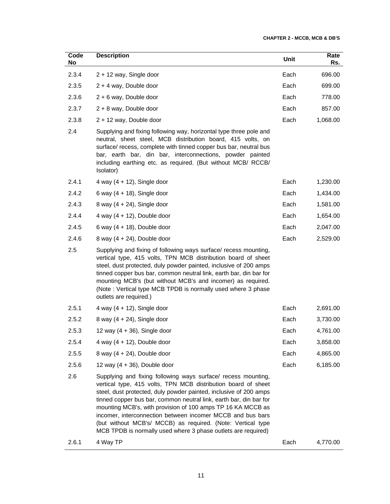| Code<br>No | <b>Description</b>                                                                                                                                                                                                                                                                                                                                                                                                                                                                                                                     | Unit | Rate<br>Rs. |
|------------|----------------------------------------------------------------------------------------------------------------------------------------------------------------------------------------------------------------------------------------------------------------------------------------------------------------------------------------------------------------------------------------------------------------------------------------------------------------------------------------------------------------------------------------|------|-------------|
| 2.3.4      | 2 + 12 way, Single door                                                                                                                                                                                                                                                                                                                                                                                                                                                                                                                | Each | 696.00      |
| 2.3.5      | $2 + 4$ way, Double door                                                                                                                                                                                                                                                                                                                                                                                                                                                                                                               | Each | 699.00      |
| 2.3.6      | 2 + 6 way, Double door                                                                                                                                                                                                                                                                                                                                                                                                                                                                                                                 | Each | 778.00      |
| 2.3.7      | 2 + 8 way, Double door                                                                                                                                                                                                                                                                                                                                                                                                                                                                                                                 | Each | 857.00      |
| 2.3.8      | 2 + 12 way, Double door                                                                                                                                                                                                                                                                                                                                                                                                                                                                                                                | Each | 1,068.00    |
| 2.4        | Supplying and fixing following way, horizontal type three pole and<br>neutral, sheet steel, MCB distribution board, 415 volts, on<br>surface/ recess, complete with tinned copper bus bar, neutral bus<br>bar, earth bar, din bar, interconnections, powder painted<br>including earthing etc. as required. (But without MCB/ RCCB/<br>Isolator)                                                                                                                                                                                       |      |             |
| 2.4.1      | 4 way $(4 + 12)$ , Single door                                                                                                                                                                                                                                                                                                                                                                                                                                                                                                         | Each | 1,230.00    |
| 2.4.2      | 6 way $(4 + 18)$ , Single door                                                                                                                                                                                                                                                                                                                                                                                                                                                                                                         | Each | 1,434.00    |
| 2.4.3      | 8 way $(4 + 24)$ , Single door                                                                                                                                                                                                                                                                                                                                                                                                                                                                                                         | Each | 1,581.00    |
| 2.4.4      | 4 way $(4 + 12)$ , Double door                                                                                                                                                                                                                                                                                                                                                                                                                                                                                                         | Each | 1,654.00    |
| 2.4.5      | 6 way $(4 + 18)$ , Double door                                                                                                                                                                                                                                                                                                                                                                                                                                                                                                         | Each | 2,047.00    |
| 2.4.6      | 8 way $(4 + 24)$ , Double door                                                                                                                                                                                                                                                                                                                                                                                                                                                                                                         | Each | 2,529.00    |
| 2.5        | Supplying and fixing of following ways surface/ recess mounting,<br>vertical type, 415 volts, TPN MCB distribution board of sheet<br>steel, dust protected, duly powder painted, inclusive of 200 amps<br>tinned copper bus bar, common neutral link, earth bar, din bar for<br>mounting MCB's (but without MCB's and incomer) as required.<br>(Note: Vertical type MCB TPDB is normally used where 3 phase<br>outlets are required.)                                                                                                  |      |             |
| 2.5.1      | 4 way $(4 + 12)$ , Single door                                                                                                                                                                                                                                                                                                                                                                                                                                                                                                         | Each | 2,691.00    |
| 2.5.2      | 8 way $(4 + 24)$ , Single door                                                                                                                                                                                                                                                                                                                                                                                                                                                                                                         | Each | 3,730.00    |
| 2.5.3      | 12 way $(4 + 36)$ , Single door                                                                                                                                                                                                                                                                                                                                                                                                                                                                                                        | Each | 4,761.00    |
| 2.5.4      | 4 way $(4 + 12)$ , Double door                                                                                                                                                                                                                                                                                                                                                                                                                                                                                                         | Each | 3,858.00    |
| 2.5.5      | 8 way $(4 + 24)$ , Double door                                                                                                                                                                                                                                                                                                                                                                                                                                                                                                         | Each | 4,865.00    |
| 2.5.6      | 12 way $(4 + 36)$ , Double door                                                                                                                                                                                                                                                                                                                                                                                                                                                                                                        | Each | 6,185.00    |
| 2.6        | Supplying and fixing following ways surface/ recess mounting,<br>vertical type, 415 volts, TPN MCB distribution board of sheet<br>steel, dust protected, duly powder painted, inclusive of 200 amps<br>tinned copper bus bar, common neutral link, earth bar, din bar for<br>mounting MCB's, with provision of 100 amps TP 16 KA MCCB as<br>incomer, interconnection between incomer MCCB and bus bars<br>(but without MCB's/ MCCB) as required. (Note: Vertical type<br>MCB TPDB is normally used where 3 phase outlets are required) |      |             |
| 2.6.1      | 4 Way TP                                                                                                                                                                                                                                                                                                                                                                                                                                                                                                                               | Each | 4,770.00    |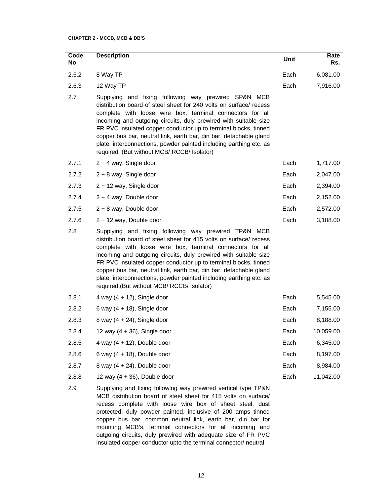#### **CHAPTER 2 - MCCB, MCB & DB'S**

| Code<br>No | <b>Description</b>                                                                                                                                                                                                                                                                                                                                                                                                                                                                                                           | Unit | Rate<br>Rs. |
|------------|------------------------------------------------------------------------------------------------------------------------------------------------------------------------------------------------------------------------------------------------------------------------------------------------------------------------------------------------------------------------------------------------------------------------------------------------------------------------------------------------------------------------------|------|-------------|
| 2.6.2      | 8 Way TP                                                                                                                                                                                                                                                                                                                                                                                                                                                                                                                     | Each | 6,081.00    |
| 2.6.3      | 12 Way TP                                                                                                                                                                                                                                                                                                                                                                                                                                                                                                                    | Each | 7,916.00    |
| 2.7        | Supplying and fixing following way prewired SP&N MCB<br>distribution board of steel sheet for 240 volts on surface/ recess<br>complete with loose wire box, terminal connectors for all<br>incoming and outgoing circuits, duly prewired with suitable size<br>FR PVC insulated copper conductor up to terminal blocks, tinned<br>copper bus bar, neutral link, earth bar, din bar, detachable gland<br>plate, interconnections, powder painted including earthing etc. as<br>required. (But without MCB/ RCCB/ Isolator)    |      |             |
| 2.7.1      | $2 + 4$ way, Single door                                                                                                                                                                                                                                                                                                                                                                                                                                                                                                     | Each | 1,717.00    |
| 2.7.2      | $2 + 8$ way, Single door                                                                                                                                                                                                                                                                                                                                                                                                                                                                                                     | Each | 2,047.00    |
| 2.7.3      | 2 + 12 way, Single door                                                                                                                                                                                                                                                                                                                                                                                                                                                                                                      | Each | 2,394.00    |
| 2.7.4      | $2 + 4$ way, Double door                                                                                                                                                                                                                                                                                                                                                                                                                                                                                                     | Each | 2,152.00    |
| 2.7.5      | $2 + 8$ way, Double door                                                                                                                                                                                                                                                                                                                                                                                                                                                                                                     | Each | 2,572.00    |
| 2.7.6      | 2 + 12 way, Double door                                                                                                                                                                                                                                                                                                                                                                                                                                                                                                      | Each | 3,108.00    |
| 2.8        | Supplying and fixing following way prewired TP&N MCB<br>distribution board of steel sheet for 415 volts on surface/ recess<br>complete with loose wire box, terminal connectors for all<br>incoming and outgoing circuits, duly prewired with suitable size<br>FR PVC insulated copper conductor up to terminal blocks, tinned<br>copper bus bar, neutral link, earth bar, din bar, detachable gland<br>plate, interconnections, powder painted including earthing etc. as<br>required. (But without MCB/ RCCB/ Isolator)    |      |             |
| 2.8.1      | 4 way $(4 + 12)$ , Single door                                                                                                                                                                                                                                                                                                                                                                                                                                                                                               | Each | 5,545.00    |
| 2.8.2      | 6 way $(4 + 18)$ , Single door                                                                                                                                                                                                                                                                                                                                                                                                                                                                                               | Each | 7,155.00    |
| 2.8.3      | 8 way $(4 + 24)$ , Single door                                                                                                                                                                                                                                                                                                                                                                                                                                                                                               | Each | 8,188.00    |
| 2.8.4      | 12 way $(4 + 36)$ , Single door                                                                                                                                                                                                                                                                                                                                                                                                                                                                                              | Each | 10,059.00   |
| 2.8.5      | 4 way $(4 + 12)$ , Double door                                                                                                                                                                                                                                                                                                                                                                                                                                                                                               | Each | 6,345.00    |
| 2.8.6      | 6 way $(4 + 18)$ , Double door                                                                                                                                                                                                                                                                                                                                                                                                                                                                                               | Each | 8,197.00    |
| 2.8.7      | 8 way $(4 + 24)$ , Double door                                                                                                                                                                                                                                                                                                                                                                                                                                                                                               | Each | 8,984.00    |
| 2.8.8      | 12 way $(4 + 36)$ , Double door                                                                                                                                                                                                                                                                                                                                                                                                                                                                                              | Each | 11,042.00   |
| 2.9        | Supplying and fixing following way prewired vertical type TP&N<br>MCB distribution board of steel sheet for 415 volts on surface/<br>recess complete with loose wire box of sheet steel, dust<br>protected, duly powder painted, inclusive of 200 amps tinned<br>copper bus bar, common neutral link, earth bar, din bar for<br>mounting MCB's, terminal connectors for all incoming and<br>outgoing circuits, duly prewired with adequate size of FR PVC<br>insulated copper conductor upto the terminal connector/ neutral |      |             |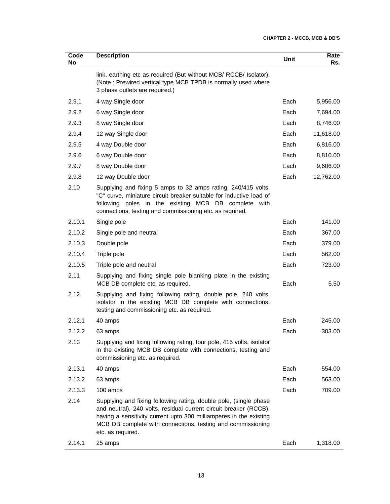| Code<br>No | <b>Description</b>                                                                                                                                                                                                                                                                               | <b>Unit</b> | Rate<br>Rs. |
|------------|--------------------------------------------------------------------------------------------------------------------------------------------------------------------------------------------------------------------------------------------------------------------------------------------------|-------------|-------------|
|            | link, earthing etc as required (But without MCB/ RCCB/ Isolator).<br>(Note: Prewired vertical type MCB TPDB is normally used where<br>3 phase outlets are required.)                                                                                                                             |             |             |
| 2.9.1      | 4 way Single door                                                                                                                                                                                                                                                                                | Each        | 5,956.00    |
| 2.9.2      | 6 way Single door                                                                                                                                                                                                                                                                                | Each        | 7,694.00    |
| 2.9.3      | 8 way Single door                                                                                                                                                                                                                                                                                | Each        | 8,746.00    |
| 2.9.4      | 12 way Single door                                                                                                                                                                                                                                                                               | Each        | 11,618.00   |
| 2.9.5      | 4 way Double door                                                                                                                                                                                                                                                                                | Each        | 6,816.00    |
| 2.9.6      | 6 way Double door                                                                                                                                                                                                                                                                                | Each        | 8,810.00    |
| 2.9.7      | 8 way Double door                                                                                                                                                                                                                                                                                | Each        | 9,606.00    |
| 2.9.8      | 12 way Double door                                                                                                                                                                                                                                                                               | Each        | 12,762.00   |
| 2.10       | Supplying and fixing 5 amps to 32 amps rating, 240/415 volts,<br>"C" curve, miniature circuit breaker suitable for inductive load of<br>following poles in the existing MCB DB complete with<br>connections, testing and commissioning etc. as required.                                         |             |             |
| 2.10.1     | Single pole                                                                                                                                                                                                                                                                                      | Each        | 141.00      |
| 2.10.2     | Single pole and neutral                                                                                                                                                                                                                                                                          | Each        | 367.00      |
| 2.10.3     | Double pole                                                                                                                                                                                                                                                                                      | Each        | 379.00      |
| 2.10.4     | Triple pole                                                                                                                                                                                                                                                                                      | Each        | 562.00      |
| 2.10.5     | Triple pole and neutral                                                                                                                                                                                                                                                                          | Each        | 723.00      |
| 2.11       | Supplying and fixing single pole blanking plate in the existing<br>MCB DB complete etc. as required.                                                                                                                                                                                             | Each        | 5.50        |
| 2.12       | Supplying and fixing following rating, double pole, 240 volts,<br>isolator in the existing MCB DB complete with connections,<br>testing and commissioning etc. as required.                                                                                                                      |             |             |
| 2.12.1     | 40 amps                                                                                                                                                                                                                                                                                          | Each        | 245.00      |
| 2.12.2     | 63 amps                                                                                                                                                                                                                                                                                          | Each        | 303.00      |
| 2.13       | Supplying and fixing following rating, four pole, 415 volts, isolator<br>in the existing MCB DB complete with connections, testing and<br>commissioning etc. as required.                                                                                                                        |             |             |
| 2.13.1     | 40 amps                                                                                                                                                                                                                                                                                          | Each        | 554.00      |
| 2.13.2     | 63 amps                                                                                                                                                                                                                                                                                          | Each        | 563.00      |
| 2.13.3     | 100 amps                                                                                                                                                                                                                                                                                         | Each        | 709.00      |
| 2.14       | Supplying and fixing following rating, double pole, (single phase<br>and neutral), 240 volts, residual current circuit breaker (RCCB),<br>having a sensitivity current upto 300 milliamperes in the existing<br>MCB DB complete with connections, testing and commissioning<br>etc. as required. |             |             |
| 2.14.1     | 25 amps                                                                                                                                                                                                                                                                                          | Each        | 1,318.00    |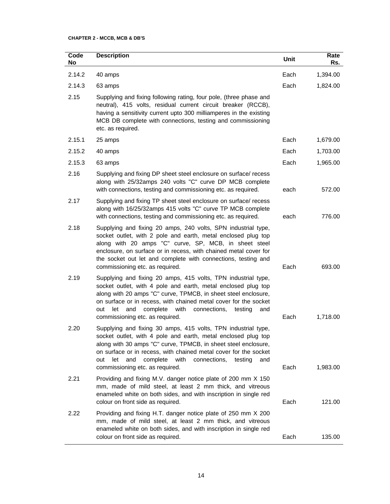#### **CHAPTER 2 - MCCB, MCB & DB'S**

| Code<br>No | <b>Description</b>                                                                                                                                                                                                                                                                                                                                                                 | Unit | Rate<br>Rs. |
|------------|------------------------------------------------------------------------------------------------------------------------------------------------------------------------------------------------------------------------------------------------------------------------------------------------------------------------------------------------------------------------------------|------|-------------|
| 2.14.2     | 40 amps                                                                                                                                                                                                                                                                                                                                                                            | Each | 1,394.00    |
| 2.14.3     | 63 amps                                                                                                                                                                                                                                                                                                                                                                            | Each | 1,824.00    |
| 2.15       | Supplying and fixing following rating, four pole, (three phase and<br>neutral), 415 volts, residual current circuit breaker (RCCB),<br>having a sensitivity current upto 300 milliamperes in the existing<br>MCB DB complete with connections, testing and commissioning<br>etc. as required.                                                                                      |      |             |
| 2.15.1     | 25 amps                                                                                                                                                                                                                                                                                                                                                                            | Each | 1,679.00    |
| 2.15.2     | 40 amps                                                                                                                                                                                                                                                                                                                                                                            | Each | 1,703.00    |
| 2.15.3     | 63 amps                                                                                                                                                                                                                                                                                                                                                                            | Each | 1,965.00    |
| 2.16       | Supplying and fixing DP sheet steel enclosure on surface/ recess<br>along with 25/32amps 240 volts "C" curve DP MCB complete<br>with connections, testing and commissioning etc. as required.                                                                                                                                                                                      | each | 572.00      |
| 2.17       | Supplying and fixing TP sheet steel enclosure on surface/ recess<br>along with 16/25/32amps 415 volts "C" curve TP MCB complete<br>with connections, testing and commissioning etc. as required.                                                                                                                                                                                   | each | 776.00      |
| 2.18       | Supplying and fixing 20 amps, 240 volts, SPN industrial type,<br>socket outlet, with 2 pole and earth, metal enclosed plug top<br>along with 20 amps "C" curve, SP, MCB, in sheet steel<br>enclosure, on surface or in recess, with chained metal cover for<br>the socket out let and complete with connections, testing and<br>commissioning etc. as required.                    | Each | 693.00      |
| 2.19       | Supplying and fixing 20 amps, 415 volts, TPN industrial type,<br>socket outlet, with 4 pole and earth, metal enclosed plug top<br>along with 20 amps "C" curve, TPMCB, in sheet steel enclosure,<br>on surface or in recess, with chained metal cover for the socket<br>and<br>complete<br>with<br>let<br>connections,<br>testing<br>out<br>and<br>commissioning etc. as required. | Each | 1,718.00    |
| 2.20       | Supplying and fixing 30 amps, 415 volts, TPN industrial type,<br>socket outlet, with 4 pole and earth, metal enclosed plug top<br>along with 30 amps "C" curve, TPMCB, in sheet steel enclosure,<br>on surface or in recess, with chained metal cover for the socket<br>and<br>complete<br>with<br>connections,<br>out<br>let<br>testing<br>and<br>commissioning etc. as required. | Each | 1,983.00    |
| 2.21       | Providing and fixing M.V. danger notice plate of 200 mm X 150<br>mm, made of mild steel, at least 2 mm thick, and vitreous<br>enameled white on both sides, and with inscription in single red<br>colour on front side as required.                                                                                                                                                | Each | 121.00      |
| 2.22       | Providing and fixing H.T. danger notice plate of 250 mm X 200<br>mm, made of mild steel, at least 2 mm thick, and vitreous<br>enameled white on both sides, and with inscription in single red<br>colour on front side as required.                                                                                                                                                | Each | 135.00      |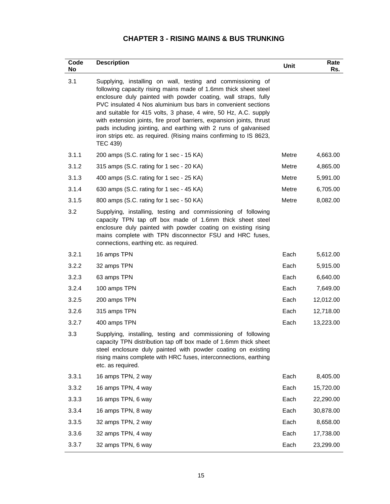| Code<br>No | <b>Description</b>                                                                                                                                                                                                                                                                                                                                                                                                                                                                                                                                                | Unit  | Rate<br>Rs. |
|------------|-------------------------------------------------------------------------------------------------------------------------------------------------------------------------------------------------------------------------------------------------------------------------------------------------------------------------------------------------------------------------------------------------------------------------------------------------------------------------------------------------------------------------------------------------------------------|-------|-------------|
| 3.1        | Supplying, installing on wall, testing and commissioning of<br>following capacity rising mains made of 1.6mm thick sheet steel<br>enclosure duly painted with powder coating, wall straps, fully<br>PVC insulated 4 Nos aluminium bus bars in convenient sections<br>and suitable for 415 volts, 3 phase, 4 wire, 50 Hz, A.C. supply<br>with extension joints, fire proof barriers, expansion joints, thrust<br>pads including jointing, and earthing with 2 runs of galvanised<br>iron strips etc. as required. (Rising mains confirming to IS 8623,<br>TEC 439) |       |             |
| 3.1.1      | 200 amps (S.C. rating for 1 sec - 15 KA)                                                                                                                                                                                                                                                                                                                                                                                                                                                                                                                          | Metre | 4,663.00    |
| 3.1.2      | 315 amps (S.C. rating for 1 sec - 20 KA)                                                                                                                                                                                                                                                                                                                                                                                                                                                                                                                          | Metre | 4,865.00    |
| 3.1.3      | 400 amps (S.C. rating for 1 sec - 25 KA)                                                                                                                                                                                                                                                                                                                                                                                                                                                                                                                          | Metre | 5,991.00    |
| 3.1.4      | 630 amps (S.C. rating for 1 sec - 45 KA)                                                                                                                                                                                                                                                                                                                                                                                                                                                                                                                          | Metre | 6,705.00    |
| 3.1.5      | 800 amps (S.C. rating for 1 sec - 50 KA)                                                                                                                                                                                                                                                                                                                                                                                                                                                                                                                          | Metre | 8,082.00    |
| 3.2        | Supplying, installing, testing and commissioning of following<br>capacity TPN tap off box made of 1.6mm thick sheet steel<br>enclosure duly painted with powder coating on existing rising<br>mains complete with TPN disconnector FSU and HRC fuses,<br>connections, earthing etc. as required.                                                                                                                                                                                                                                                                  |       |             |
| 3.2.1      | 16 amps TPN                                                                                                                                                                                                                                                                                                                                                                                                                                                                                                                                                       | Each  | 5,612.00    |
| 3.2.2      | 32 amps TPN                                                                                                                                                                                                                                                                                                                                                                                                                                                                                                                                                       | Each  | 5,915.00    |
| 3.2.3      | 63 amps TPN                                                                                                                                                                                                                                                                                                                                                                                                                                                                                                                                                       | Each  | 6,640.00    |
| 3.2.4      | 100 amps TPN                                                                                                                                                                                                                                                                                                                                                                                                                                                                                                                                                      | Each  | 7,649.00    |
| 3.2.5      | 200 amps TPN                                                                                                                                                                                                                                                                                                                                                                                                                                                                                                                                                      | Each  | 12,012.00   |
| 3.2.6      | 315 amps TPN                                                                                                                                                                                                                                                                                                                                                                                                                                                                                                                                                      | Each  | 12,718.00   |
| 3.2.7      | 400 amps TPN                                                                                                                                                                                                                                                                                                                                                                                                                                                                                                                                                      | Each  | 13,223.00   |
| 3.3        | Supplying, installing, testing and commissioning of following<br>capacity TPN distribution tap off box made of 1.6mm thick sheet<br>steel enclosure duly painted with powder coating on existing<br>rising mains complete with HRC fuses, interconnections, earthing<br>etc. as required.                                                                                                                                                                                                                                                                         |       |             |
| 3.3.1      | 16 amps TPN, 2 way                                                                                                                                                                                                                                                                                                                                                                                                                                                                                                                                                | Each  | 8,405.00    |
| 3.3.2      | 16 amps TPN, 4 way                                                                                                                                                                                                                                                                                                                                                                                                                                                                                                                                                | Each  | 15,720.00   |
| 3.3.3      | 16 amps TPN, 6 way                                                                                                                                                                                                                                                                                                                                                                                                                                                                                                                                                | Each  | 22,290.00   |
| 3.3.4      | 16 amps TPN, 8 way                                                                                                                                                                                                                                                                                                                                                                                                                                                                                                                                                | Each  | 30,878.00   |
| 3.3.5      | 32 amps TPN, 2 way                                                                                                                                                                                                                                                                                                                                                                                                                                                                                                                                                | Each  | 8,658.00    |
| 3.3.6      | 32 amps TPN, 4 way                                                                                                                                                                                                                                                                                                                                                                                                                                                                                                                                                | Each  | 17,738.00   |
| 3.3.7      | 32 amps TPN, 6 way                                                                                                                                                                                                                                                                                                                                                                                                                                                                                                                                                | Each  | 23,299.00   |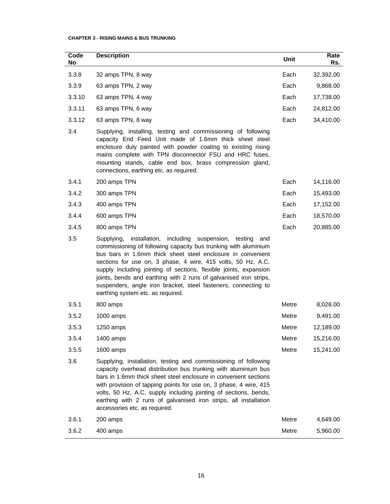| Code<br>No | <b>Description</b>                                                                                                                                                                                                                                                                                                                                                                                                                                                                                                           | Unit  | Rate<br>Rs. |
|------------|------------------------------------------------------------------------------------------------------------------------------------------------------------------------------------------------------------------------------------------------------------------------------------------------------------------------------------------------------------------------------------------------------------------------------------------------------------------------------------------------------------------------------|-------|-------------|
| 3.3.8      | 32 amps TPN, 8 way                                                                                                                                                                                                                                                                                                                                                                                                                                                                                                           | Each  | 32,392.00   |
| 3.3.9      | 63 amps TPN, 2 way                                                                                                                                                                                                                                                                                                                                                                                                                                                                                                           | Each  | 9,868.00    |
| 3.3.10     | 63 amps TPN, 4 way                                                                                                                                                                                                                                                                                                                                                                                                                                                                                                           | Each  | 17,738.00   |
| 3.3.11     | 63 amps TPN, 6 way                                                                                                                                                                                                                                                                                                                                                                                                                                                                                                           | Each  | 24,812.00   |
| 3.3.12     | 63 amps TPN, 8 way                                                                                                                                                                                                                                                                                                                                                                                                                                                                                                           | Each  | 34,410.00   |
| 3.4        | Supplying, installing, testing and commissioning of following<br>capacity End Feed Unit made of 1.6mm thick sheet steel<br>enclosure duly painted with powder coating to existing rising<br>mains complete with TPN disconnector FSU and HRC fuses,<br>mounting stands, cable end box, brass compression gland,<br>connections, earthing etc. as required.                                                                                                                                                                   |       |             |
| 3.4.1      | 200 amps TPN                                                                                                                                                                                                                                                                                                                                                                                                                                                                                                                 | Each  | 14,116.00   |
| 3.4.2      | 300 amps TPN                                                                                                                                                                                                                                                                                                                                                                                                                                                                                                                 | Each  | 15,493.00   |
| 3.4.3      | 400 amps TPN                                                                                                                                                                                                                                                                                                                                                                                                                                                                                                                 | Each  | 17,152.00   |
| 3.4.4      | 600 amps TPN                                                                                                                                                                                                                                                                                                                                                                                                                                                                                                                 | Each  | 18,570.00   |
| 3.4.5      | 800 amps TPN                                                                                                                                                                                                                                                                                                                                                                                                                                                                                                                 | Each  | 20,885.00   |
| 3.5        | installation,<br>including<br>suspension,<br>Supplying,<br>testing<br>and<br>commissioning of following capacity bus trunking with aluminium<br>bus bars in 1.6mm thick sheet steel enclosure in convenient<br>sections for use on, 3 phase, 4 wire, 415 volts, 50 Hz, A.C.<br>supply including jointing of sections, flexible joints, expansion<br>joints, bends and earthing with 2 runs of galvanised iron strips,<br>suspenders, angle iron bracket, steel fasteners, connecting to<br>earthing system etc. as required. |       |             |
| 3.5.1      | 800 amps                                                                                                                                                                                                                                                                                                                                                                                                                                                                                                                     | Metre | 8,028.00    |
| 3.5.2      | $1000$ amps                                                                                                                                                                                                                                                                                                                                                                                                                                                                                                                  | Metre | 9,491.00    |
| 3.5.3      | 1250 amps                                                                                                                                                                                                                                                                                                                                                                                                                                                                                                                    | Metre | 12,189.00   |
| 3.5.4      | 1400 amps                                                                                                                                                                                                                                                                                                                                                                                                                                                                                                                    | Metre | 15,216.00   |
| 3.5.5      | 1600 amps                                                                                                                                                                                                                                                                                                                                                                                                                                                                                                                    | Metre | 15,241.00   |
| 3.6        | Supplying, installation, testing and commissioning of following<br>capacity overhead distribution bus trunking with aluminium bus<br>bars in 1.6mm thick sheet steel enclosure in convenient sections<br>with provision of tapping points for use on, 3 phase, 4 wire, 415<br>volts, 50 Hz, A.C. supply including jointing of sections, bends,<br>earthing with 2 runs of galvanised iron strips, all installation<br>accessories etc. as required.                                                                          |       |             |
| 3.6.1      | 200 amps                                                                                                                                                                                                                                                                                                                                                                                                                                                                                                                     | Metre | 4,649.00    |
| 3.6.2      | 400 amps                                                                                                                                                                                                                                                                                                                                                                                                                                                                                                                     | Metre | 5,960.00    |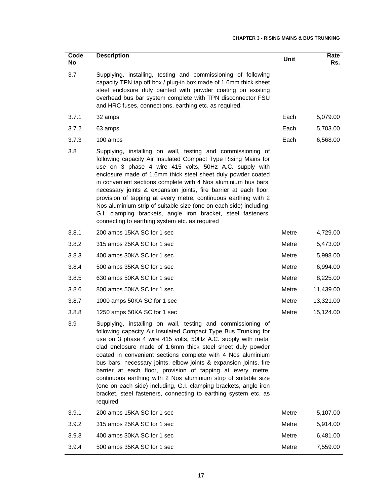| Code<br>No | <b>Description</b>                                                                                                                                                                                                                                                                                                                                                                                                                                                                                                                                                                                                                                                                   | Unit  | Rate<br>Rs. |
|------------|--------------------------------------------------------------------------------------------------------------------------------------------------------------------------------------------------------------------------------------------------------------------------------------------------------------------------------------------------------------------------------------------------------------------------------------------------------------------------------------------------------------------------------------------------------------------------------------------------------------------------------------------------------------------------------------|-------|-------------|
| 3.7        | Supplying, installing, testing and commissioning of following<br>capacity TPN tap off box / plug-in box made of 1.6mm thick sheet<br>steel enclosure duly painted with powder coating on existing<br>overhead bus bar system complete with TPN disconnector FSU<br>and HRC fuses, connections, earthing etc. as required.                                                                                                                                                                                                                                                                                                                                                            |       |             |
| 3.7.1      | 32 amps                                                                                                                                                                                                                                                                                                                                                                                                                                                                                                                                                                                                                                                                              | Each  | 5,079.00    |
| 3.7.2      | 63 amps                                                                                                                                                                                                                                                                                                                                                                                                                                                                                                                                                                                                                                                                              | Each  | 5,703.00    |
| 3.7.3      | 100 amps                                                                                                                                                                                                                                                                                                                                                                                                                                                                                                                                                                                                                                                                             | Each  | 6,568.00    |
| 3.8        | Supplying, installing on wall, testing and commissioning of<br>following capacity Air Insulated Compact Type Rising Mains for<br>use on 3 phase 4 wire 415 volts, 50Hz A.C. supply with<br>enclosure made of 1.6mm thick steel sheet duly powder coated<br>in convenient sections complete with 4 Nos aluminium bus bars,<br>necessary joints & expansion joints, fire barrier at each floor,<br>provision of tapping at every metre, continuous earthing with 2<br>Nos aluminium strip of suitable size (one on each side) including,<br>G.I. clamping brackets, angle iron bracket, steel fasteners,<br>connecting to earthing system etc. as required                             |       |             |
| 3.8.1      | 200 amps 15KA SC for 1 sec                                                                                                                                                                                                                                                                                                                                                                                                                                                                                                                                                                                                                                                           | Metre | 4,729.00    |
| 3.8.2      | 315 amps 25KA SC for 1 sec                                                                                                                                                                                                                                                                                                                                                                                                                                                                                                                                                                                                                                                           | Metre | 5,473.00    |
| 3.8.3      | 400 amps 30KA SC for 1 sec                                                                                                                                                                                                                                                                                                                                                                                                                                                                                                                                                                                                                                                           | Metre | 5,998.00    |
| 3.8.4      | 500 amps 35KA SC for 1 sec                                                                                                                                                                                                                                                                                                                                                                                                                                                                                                                                                                                                                                                           | Metre | 6,994.00    |
| 3.8.5      | 630 amps 50KA SC for 1 sec                                                                                                                                                                                                                                                                                                                                                                                                                                                                                                                                                                                                                                                           | Metre | 8,225.00    |
| 3.8.6      | 800 amps 50KA SC for 1 sec                                                                                                                                                                                                                                                                                                                                                                                                                                                                                                                                                                                                                                                           | Metre | 11,439.00   |
| 3.8.7      | 1000 amps 50KA SC for 1 sec                                                                                                                                                                                                                                                                                                                                                                                                                                                                                                                                                                                                                                                          | Metre | 13,321.00   |
| 3.8.8      | 1250 amps 50KA SC for 1 sec                                                                                                                                                                                                                                                                                                                                                                                                                                                                                                                                                                                                                                                          | Metre | 15,124.00   |
| 3.9        | Supplying, installing on wall, testing and commissioning of<br>following capacity Air Insulated Compact Type Bus Trunking for<br>use on 3 phase 4 wire 415 volts, 50Hz A.C. supply with metal<br>clad enclosure made of 1.6mm thick steel sheet duly powder<br>coated in convenient sections complete with 4 Nos aluminium<br>bus bars, necessary joints, elbow joints & expansion joints, fire<br>barrier at each floor, provision of tapping at every metre,<br>continuous earthing with 2 Nos aluminium strip of suitable size<br>(one on each side) including, G.I. clamping brackets, angle iron<br>bracket, steel fasteners, connecting to earthing system etc. as<br>required |       |             |
| 3.9.1      | 200 amps 15KA SC for 1 sec                                                                                                                                                                                                                                                                                                                                                                                                                                                                                                                                                                                                                                                           | Metre | 5,107.00    |
| 3.9.2      | 315 amps 25KA SC for 1 sec                                                                                                                                                                                                                                                                                                                                                                                                                                                                                                                                                                                                                                                           | Metre | 5,914.00    |
| 3.9.3      | 400 amps 30KA SC for 1 sec                                                                                                                                                                                                                                                                                                                                                                                                                                                                                                                                                                                                                                                           | Metre | 6,481.00    |
| 3.9.4      | 500 amps 35KA SC for 1 sec                                                                                                                                                                                                                                                                                                                                                                                                                                                                                                                                                                                                                                                           | Metre | 7,559.00    |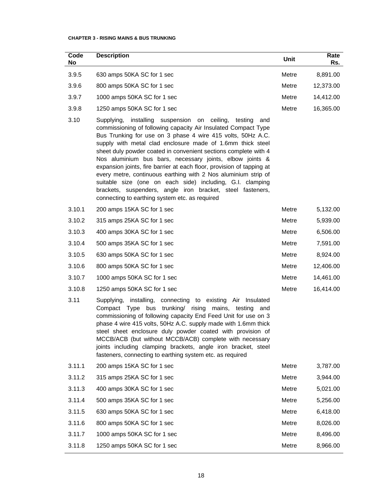| Code<br>No | <b>Description</b>                                                                                                                                                                                                                                                                                                                                                                                                                                                                                                                                                                                                                                                                                                      | Unit  | Rate<br>Rs. |
|------------|-------------------------------------------------------------------------------------------------------------------------------------------------------------------------------------------------------------------------------------------------------------------------------------------------------------------------------------------------------------------------------------------------------------------------------------------------------------------------------------------------------------------------------------------------------------------------------------------------------------------------------------------------------------------------------------------------------------------------|-------|-------------|
| 3.9.5      | 630 amps 50KA SC for 1 sec                                                                                                                                                                                                                                                                                                                                                                                                                                                                                                                                                                                                                                                                                              | Metre | 8,891.00    |
| 3.9.6      | 800 amps 50KA SC for 1 sec                                                                                                                                                                                                                                                                                                                                                                                                                                                                                                                                                                                                                                                                                              | Metre | 12,373.00   |
| 3.9.7      | 1000 amps 50KA SC for 1 sec                                                                                                                                                                                                                                                                                                                                                                                                                                                                                                                                                                                                                                                                                             | Metre | 14,412.00   |
| 3.9.8      | 1250 amps 50KA SC for 1 sec                                                                                                                                                                                                                                                                                                                                                                                                                                                                                                                                                                                                                                                                                             | Metre | 16,365.00   |
| 3.10       | Supplying,<br>installing suspension on ceiling,<br>testing<br>and<br>commissioning of following capacity Air Insulated Compact Type<br>Bus Trunking for use on 3 phase 4 wire 415 volts, 50Hz A.C.<br>supply with metal clad enclosure made of 1.6mm thick steel<br>sheet duly powder coated in convenient sections complete with 4<br>Nos aluminium bus bars, necessary joints, elbow joints &<br>expansion joints, fire barrier at each floor, provision of tapping at<br>every metre, continuous earthing with 2 Nos aluminium strip of<br>suitable size (one on each side) including, G.I. clamping<br>brackets, suspenders, angle iron bracket, steel fasteners,<br>connecting to earthing system etc. as required |       |             |
| 3.10.1     | 200 amps 15KA SC for 1 sec                                                                                                                                                                                                                                                                                                                                                                                                                                                                                                                                                                                                                                                                                              | Metre | 5,132.00    |
| 3.10.2     | 315 amps 25KA SC for 1 sec                                                                                                                                                                                                                                                                                                                                                                                                                                                                                                                                                                                                                                                                                              | Metre | 5,939.00    |
| 3.10.3     | 400 amps 30KA SC for 1 sec                                                                                                                                                                                                                                                                                                                                                                                                                                                                                                                                                                                                                                                                                              | Metre | 6,506.00    |
| 3.10.4     | 500 amps 35KA SC for 1 sec                                                                                                                                                                                                                                                                                                                                                                                                                                                                                                                                                                                                                                                                                              | Metre | 7,591.00    |
| 3.10.5     | 630 amps 50KA SC for 1 sec                                                                                                                                                                                                                                                                                                                                                                                                                                                                                                                                                                                                                                                                                              | Metre | 8,924.00    |
| 3.10.6     | 800 amps 50KA SC for 1 sec                                                                                                                                                                                                                                                                                                                                                                                                                                                                                                                                                                                                                                                                                              | Metre | 12,406.00   |
| 3.10.7     | 1000 amps 50KA SC for 1 sec                                                                                                                                                                                                                                                                                                                                                                                                                                                                                                                                                                                                                                                                                             | Metre | 14,461.00   |
| 3.10.8     | 1250 amps 50KA SC for 1 sec                                                                                                                                                                                                                                                                                                                                                                                                                                                                                                                                                                                                                                                                                             | Metre | 16,414.00   |
| 3.11       | Supplying, installing, connecting to existing Air Insulated<br>Compact Type bus trunking/ rising mains, testing and<br>commissioning of following capacity End Feed Unit for use on 3<br>phase 4 wire 415 volts, 50Hz A.C. supply made with 1.6mm thick<br>steel sheet enclosure duly powder coated with provision of<br>MCCB/ACB (but without MCCB/ACB) complete with necessary<br>joints including clamping brackets, angle iron bracket, steel<br>fasteners, connecting to earthing system etc. as required                                                                                                                                                                                                          |       |             |
| 3.11.1     | 200 amps 15KA SC for 1 sec                                                                                                                                                                                                                                                                                                                                                                                                                                                                                                                                                                                                                                                                                              | Metre | 3,787.00    |
| 3.11.2     | 315 amps 25KA SC for 1 sec                                                                                                                                                                                                                                                                                                                                                                                                                                                                                                                                                                                                                                                                                              | Metre | 3,944.00    |
| 3.11.3     | 400 amps 30KA SC for 1 sec                                                                                                                                                                                                                                                                                                                                                                                                                                                                                                                                                                                                                                                                                              | Metre | 5,021.00    |
| 3.11.4     | 500 amps 35KA SC for 1 sec                                                                                                                                                                                                                                                                                                                                                                                                                                                                                                                                                                                                                                                                                              | Metre | 5,256.00    |
| 3.11.5     | 630 amps 50KA SC for 1 sec                                                                                                                                                                                                                                                                                                                                                                                                                                                                                                                                                                                                                                                                                              | Metre | 6,418.00    |
| 3.11.6     | 800 amps 50KA SC for 1 sec                                                                                                                                                                                                                                                                                                                                                                                                                                                                                                                                                                                                                                                                                              | Metre | 8,026.00    |
| 3.11.7     | 1000 amps 50KA SC for 1 sec                                                                                                                                                                                                                                                                                                                                                                                                                                                                                                                                                                                                                                                                                             | Metre | 8,496.00    |
| 3.11.8     | 1250 amps 50KA SC for 1 sec                                                                                                                                                                                                                                                                                                                                                                                                                                                                                                                                                                                                                                                                                             | Metre | 8,966.00    |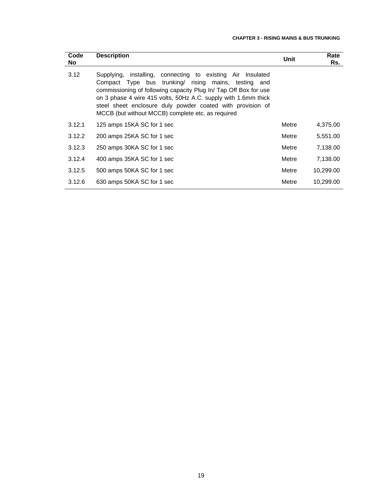| Code<br>No. | <b>Description</b>                                                                                                                                                                                                                                                                                                                                                          | Unit  | Rate<br>Rs. |
|-------------|-----------------------------------------------------------------------------------------------------------------------------------------------------------------------------------------------------------------------------------------------------------------------------------------------------------------------------------------------------------------------------|-------|-------------|
| 3.12        | Supplying, installing, connecting to existing Air Insulated<br>Compact Type bus trunking rising mains, testing and<br>commissioning of following capacity Plug In/ Tap Off Box for use<br>on 3 phase 4 wire 415 volts, 50Hz A.C. supply with 1.6mm thick<br>steel sheet enclosure duly powder coated with provision of<br>MCCB (but without MCCB) complete etc. as required |       |             |
| 3.12.1      | 125 amps 15KA SC for 1 sec                                                                                                                                                                                                                                                                                                                                                  | Metre | 4,375.00    |
| 3.12.2      | 200 amps 25KA SC for 1 sec                                                                                                                                                                                                                                                                                                                                                  | Metre | 5,551.00    |
| 3.12.3      | 250 amps 30KA SC for 1 sec                                                                                                                                                                                                                                                                                                                                                  | Metre | 7,138.00    |
| 3.12.4      | 400 amps 35KA SC for 1 sec                                                                                                                                                                                                                                                                                                                                                  | Metre | 7,138.00    |
| 3.12.5      | 500 amps 50KA SC for 1 sec                                                                                                                                                                                                                                                                                                                                                  | Metre | 10,299.00   |
| 3.12.6      | 630 amps 50KA SC for 1 sec                                                                                                                                                                                                                                                                                                                                                  | Metre | 10,299.00   |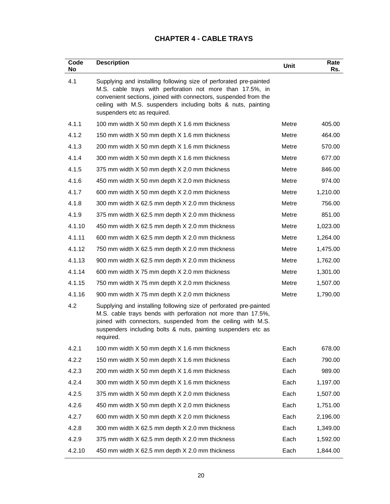# **CHAPTER 4 - CABLE TRAYS**

| Code<br>No | <b>Description</b>                                                                                                                                                                                                                                                                                | Unit  | Rate<br>Rs. |
|------------|---------------------------------------------------------------------------------------------------------------------------------------------------------------------------------------------------------------------------------------------------------------------------------------------------|-------|-------------|
| 4.1        | Supplying and installing following size of perforated pre-painted<br>M.S. cable trays with perforation not more than 17.5%, in<br>convenient sections, joined with connectors, suspended from the<br>ceiling with M.S. suspenders including bolts & nuts, painting<br>suspenders etc as required. |       |             |
| 4.1.1      | 100 mm width X 50 mm depth X 1.6 mm thickness                                                                                                                                                                                                                                                     | Metre | 405.00      |
| 4.1.2      | 150 mm width X 50 mm depth X 1.6 mm thickness                                                                                                                                                                                                                                                     | Metre | 464.00      |
| 4.1.3      | 200 mm width X 50 mm depth X 1.6 mm thickness                                                                                                                                                                                                                                                     | Metre | 570.00      |
| 4.1.4      | 300 mm width X 50 mm depth X 1.6 mm thickness                                                                                                                                                                                                                                                     | Metre | 677.00      |
| 4.1.5      | 375 mm width X 50 mm depth X 2.0 mm thickness                                                                                                                                                                                                                                                     | Metre | 846.00      |
| 4.1.6      | 450 mm width X 50 mm depth X 2.0 mm thickness                                                                                                                                                                                                                                                     | Metre | 974.00      |
| 4.1.7      | 600 mm width X 50 mm depth X 2.0 mm thickness                                                                                                                                                                                                                                                     | Metre | 1,210.00    |
| 4.1.8      | 300 mm width X 62.5 mm depth X 2.0 mm thickness                                                                                                                                                                                                                                                   | Metre | 756.00      |
| 4.1.9      | 375 mm width X 62.5 mm depth X 2.0 mm thickness                                                                                                                                                                                                                                                   | Metre | 851.00      |
| 4.1.10     | 450 mm width X 62.5 mm depth X 2.0 mm thickness                                                                                                                                                                                                                                                   | Metre | 1,023.00    |
| 4.1.11     | 600 mm width X 62.5 mm depth X 2.0 mm thickness                                                                                                                                                                                                                                                   | Metre | 1,264.00    |
| 4.1.12     | 750 mm width X 62.5 mm depth X 2.0 mm thickness                                                                                                                                                                                                                                                   | Metre | 1,475.00    |
| 4.1.13     | 900 mm width X 62.5 mm depth X 2.0 mm thickness                                                                                                                                                                                                                                                   | Metre | 1,762.00    |
| 4.1.14     | 600 mm width X 75 mm depth X 2.0 mm thickness                                                                                                                                                                                                                                                     | Metre | 1,301.00    |
| 4.1.15     | 750 mm width X 75 mm depth X 2.0 mm thickness                                                                                                                                                                                                                                                     | Metre | 1,507.00    |
| 4.1.16     | 900 mm width X 75 mm depth X 2.0 mm thickness                                                                                                                                                                                                                                                     | Metre | 1,790.00    |
| 4.2        | Supplying and installing following size of perforated pre-painted<br>M.S. cable trays bends with perforation not more than 17.5%,<br>joined with connectors, suspended from the ceiling with M.S.<br>suspenders including bolts & nuts, painting suspenders etc as<br>required.                   |       |             |
| 4.2.1      | 100 mm width X 50 mm depth X 1.6 mm thickness                                                                                                                                                                                                                                                     | Each  | 678.00      |
| 4.2.2      | 150 mm width X 50 mm depth X 1.6 mm thickness                                                                                                                                                                                                                                                     | Each  | 790.00      |
| 4.2.3      | 200 mm width X 50 mm depth X 1.6 mm thickness                                                                                                                                                                                                                                                     | Each  | 989.00      |
| 4.2.4      | 300 mm width X 50 mm depth X 1.6 mm thickness                                                                                                                                                                                                                                                     | Each  | 1,197.00    |
| 4.2.5      | 375 mm width X 50 mm depth X 2.0 mm thickness                                                                                                                                                                                                                                                     | Each  | 1,507.00    |
| 4.2.6      | 450 mm width X 50 mm depth X 2.0 mm thickness                                                                                                                                                                                                                                                     | Each  | 1,751.00    |
| 4.2.7      | 600 mm width X 50 mm depth X 2.0 mm thickness                                                                                                                                                                                                                                                     | Each  | 2,196.00    |
| 4.2.8      | 300 mm width X 62.5 mm depth X 2.0 mm thickness                                                                                                                                                                                                                                                   | Each  | 1,349.00    |
| 4.2.9      | 375 mm width X 62.5 mm depth X 2.0 mm thickness                                                                                                                                                                                                                                                   | Each  | 1,592.00    |
| 4.2.10     | 450 mm width X 62.5 mm depth X 2.0 mm thickness                                                                                                                                                                                                                                                   | Each  | 1,844.00    |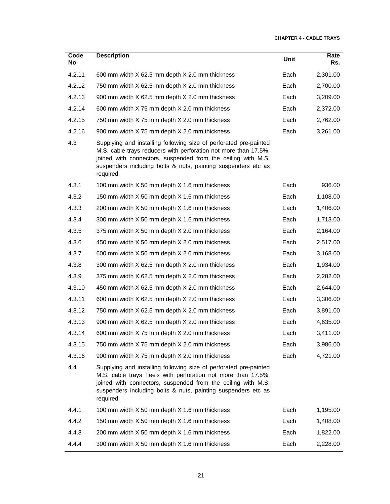| Code<br>No | <b>Description</b>                                                                                                                                                                                                                                                                 | Unit | Rate<br>Rs. |
|------------|------------------------------------------------------------------------------------------------------------------------------------------------------------------------------------------------------------------------------------------------------------------------------------|------|-------------|
| 4.2.11     | 600 mm width X 62.5 mm depth X 2.0 mm thickness                                                                                                                                                                                                                                    | Each | 2,301.00    |
| 4.2.12     | 750 mm width X 62.5 mm depth X 2.0 mm thickness                                                                                                                                                                                                                                    | Each | 2,700.00    |
| 4.2.13     | 900 mm width X 62.5 mm depth X 2.0 mm thickness                                                                                                                                                                                                                                    | Each | 3,209.00    |
| 4.2.14     | 600 mm width X 75 mm depth X 2.0 mm thickness                                                                                                                                                                                                                                      | Each | 2,372.00    |
| 4.2.15     | 750 mm width X 75 mm depth X 2.0 mm thickness                                                                                                                                                                                                                                      | Each | 2,762.00    |
| 4.2.16     | 900 mm width X 75 mm depth X 2.0 mm thickness                                                                                                                                                                                                                                      | Each | 3,261.00    |
| 4.3        | Supplying and installing following size of perforated pre-painted<br>M.S. cable trays reducers with perforation not more than 17.5%,<br>joined with connectors, suspended from the ceiling with M.S.<br>suspenders including bolts & nuts, painting suspenders etc as<br>required. |      |             |
| 4.3.1      | 100 mm width X 50 mm depth X 1.6 mm thickness                                                                                                                                                                                                                                      | Each | 936.00      |
| 4.3.2      | 150 mm width X 50 mm depth X 1.6 mm thickness                                                                                                                                                                                                                                      | Each | 1,108.00    |
| 4.3.3      | 200 mm width X 50 mm depth X 1.6 mm thickness                                                                                                                                                                                                                                      | Each | 1,406.00    |
| 4.3.4      | 300 mm width X 50 mm depth X 1.6 mm thickness                                                                                                                                                                                                                                      | Each | 1,713.00    |
| 4.3.5      | 375 mm width X 50 mm depth X 2.0 mm thickness                                                                                                                                                                                                                                      | Each | 2,164.00    |
| 4.3.6      | 450 mm width X 50 mm depth X 2.0 mm thickness                                                                                                                                                                                                                                      | Each | 2,517.00    |
| 4.3.7      | 600 mm width X 50 mm depth X 2.0 mm thickness                                                                                                                                                                                                                                      | Each | 3,168.00    |
| 4.3.8      | 300 mm width X 62.5 mm depth X 2.0 mm thickness                                                                                                                                                                                                                                    | Each | 1,934.00    |
| 4.3.9      | 375 mm width X 62.5 mm depth X 2.0 mm thickness                                                                                                                                                                                                                                    | Each | 2,282.00    |
| 4.3.10     | 450 mm width X 62.5 mm depth X 2.0 mm thickness                                                                                                                                                                                                                                    | Each | 2,644.00    |
| 4.3.11     | 600 mm width X 62.5 mm depth X 2.0 mm thickness                                                                                                                                                                                                                                    | Each | 3,306.00    |
| 4.3.12     | 750 mm width X 62.5 mm depth X 2.0 mm thickness                                                                                                                                                                                                                                    | Each | 3,891.00    |
| 4.3.13     | 900 mm width X 62.5 mm depth X 2.0 mm thickness                                                                                                                                                                                                                                    | Each | 4,635.00    |
| 4.3.14     | 600 mm width X 75 mm depth X 2.0 mm thickness                                                                                                                                                                                                                                      | Each | 3,411.00    |
| 4.3.15     | 750 mm width X 75 mm depth X 2.0 mm thickness                                                                                                                                                                                                                                      | Each | 3,986.00    |
| 4.3.16     | 900 mm width X 75 mm depth X 2.0 mm thickness                                                                                                                                                                                                                                      | Each | 4,721.00    |
| 4.4        | Supplying and installing following size of perforated pre-painted<br>M.S. cable trays Tee's with perforation not more than 17.5%,<br>joined with connectors, suspended from the ceiling with M.S.<br>suspenders including bolts & nuts, painting suspenders etc as<br>required.    |      |             |
| 4.4.1      | 100 mm width X 50 mm depth X 1.6 mm thickness                                                                                                                                                                                                                                      | Each | 1,195.00    |
| 4.4.2      | 150 mm width X 50 mm depth X 1.6 mm thickness                                                                                                                                                                                                                                      | Each | 1,408.00    |
| 4.4.3      | 200 mm width X 50 mm depth X 1.6 mm thickness                                                                                                                                                                                                                                      | Each | 1,822.00    |
| 4.4.4      | 300 mm width X 50 mm depth X 1.6 mm thickness                                                                                                                                                                                                                                      | Each | 2,228.00    |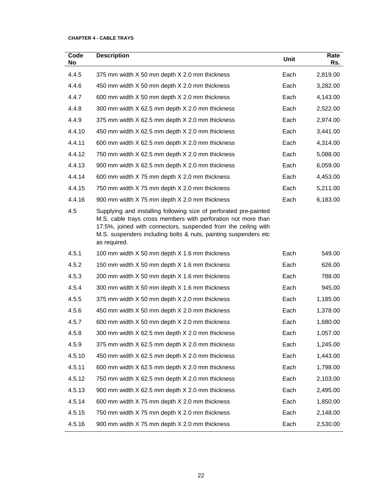#### **CHAPTER 4 - CABLE TRAYS**

| Code<br>No | <b>Description</b>                                                                                                                                                                                                                                                                      | Unit | Rate<br>Rs. |
|------------|-----------------------------------------------------------------------------------------------------------------------------------------------------------------------------------------------------------------------------------------------------------------------------------------|------|-------------|
| 4.4.5      | 375 mm width X 50 mm depth X 2.0 mm thickness                                                                                                                                                                                                                                           | Each | 2,819.00    |
| 4.4.6      | 450 mm width X 50 mm depth X 2.0 mm thickness                                                                                                                                                                                                                                           | Each | 3,282.00    |
| 4.4.7      | 600 mm width X 50 mm depth X 2.0 mm thickness                                                                                                                                                                                                                                           | Each | 4,143.00    |
| 4.4.8      | 300 mm width X 62.5 mm depth X 2.0 mm thickness                                                                                                                                                                                                                                         | Each | 2,522.00    |
| 4.4.9      | 375 mm width X 62.5 mm depth X 2.0 mm thickness                                                                                                                                                                                                                                         | Each | 2,974.00    |
| 4.4.10     | 450 mm width X 62.5 mm depth X 2.0 mm thickness                                                                                                                                                                                                                                         | Each | 3,441.00    |
| 4.4.11     | 600 mm width X 62.5 mm depth X 2.0 mm thickness                                                                                                                                                                                                                                         | Each | 4,314.00    |
| 4.4.12     | 750 mm width X 62.5 mm depth X 2.0 mm thickness                                                                                                                                                                                                                                         | Each | 5,088.00    |
| 4.4.13     | 900 mm width X 62.5 mm depth X 2.0 mm thickness                                                                                                                                                                                                                                         | Each | 6,059.00    |
| 4.4.14     | 600 mm width X 75 mm depth X 2.0 mm thickness                                                                                                                                                                                                                                           | Each | 4,453.00    |
| 4.4.15     | 750 mm width X 75 mm depth X 2.0 mm thickness                                                                                                                                                                                                                                           | Each | 5,211.00    |
| 4.4.16     | 900 mm width X 75 mm depth X 2.0 mm thickness                                                                                                                                                                                                                                           | Each | 6,183.00    |
| 4.5        | Supplying and installing following size of perforated pre-painted<br>M.S. cable trays cross members with perforation not more than<br>17.5%, joined with connectors, suspended from the ceiling with<br>M.S. suspenders including bolts & nuts, painting suspenders etc<br>as required. |      |             |
| 4.5.1      | 100 mm width X 50 mm depth X 1.6 mm thickness                                                                                                                                                                                                                                           | Each | 549.00      |
| 4.5.2      | 150 mm width X 50 mm depth X 1.6 mm thickness                                                                                                                                                                                                                                           | Each | 626.00      |
| 4.5.3      | 200 mm width X 50 mm depth X 1.6 mm thickness                                                                                                                                                                                                                                           | Each | 788.00      |
| 4.5.4      | 300 mm width X 50 mm depth X 1.6 mm thickness                                                                                                                                                                                                                                           | Each | 945.00      |
| 4.5.5      | 375 mm width X 50 mm depth X 2.0 mm thickness                                                                                                                                                                                                                                           | Each | 1,185.00    |
| 4.5.6      | 450 mm width X 50 mm depth X 2.0 mm thickness                                                                                                                                                                                                                                           | Each | 1,378.00    |
| 4.5.7      | 600 mm width X 50 mm depth X 2.0 mm thickness                                                                                                                                                                                                                                           | Each | 1,680.00    |
| 4.5.8      | 300 mm width X 62.5 mm depth X 2.0 mm thickness                                                                                                                                                                                                                                         | Each | 1,057.00    |
| 4.5.9      | 375 mm width X 62.5 mm depth X 2.0 mm thickness                                                                                                                                                                                                                                         | Each | 1,245.00    |
| 4.5.10     | 450 mm width X 62.5 mm depth X 2.0 mm thickness                                                                                                                                                                                                                                         | Each | 1,443.00    |
| 4.5.11     | 600 mm width X 62.5 mm depth X 2.0 mm thickness                                                                                                                                                                                                                                         | Each | 1,798.00    |
| 4.5.12     | 750 mm width X 62.5 mm depth X 2.0 mm thickness                                                                                                                                                                                                                                         | Each | 2,103.00    |
| 4.5.13     | 900 mm width X 62.5 mm depth X 2.0 mm thickness                                                                                                                                                                                                                                         | Each | 2,495.00    |
| 4.5.14     | 600 mm width X 75 mm depth X 2.0 mm thickness                                                                                                                                                                                                                                           | Each | 1,850.00    |
| 4.5.15     | 750 mm width X 75 mm depth X 2.0 mm thickness                                                                                                                                                                                                                                           | Each | 2,148.00    |
| 4.5.16     | 900 mm width X 75 mm depth X 2.0 mm thickness                                                                                                                                                                                                                                           | Each | 2,530.00    |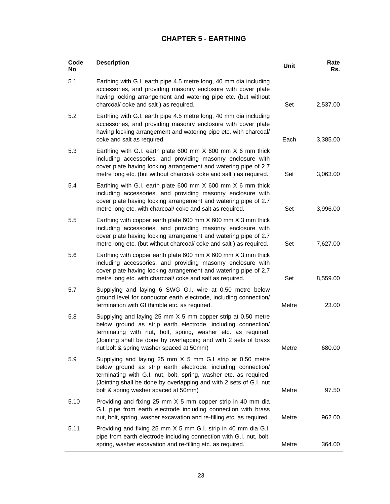# **CHAPTER 5 - EARTHING**

| Code<br>No | <b>Description</b>                                                                                                                                                                                                                                                                                           | Unit  | Rate<br>Rs. |
|------------|--------------------------------------------------------------------------------------------------------------------------------------------------------------------------------------------------------------------------------------------------------------------------------------------------------------|-------|-------------|
| 5.1        | Earthing with G.I. earth pipe 4.5 metre long, 40 mm dia including<br>accessories, and providing masonry enclosure with cover plate<br>having locking arrangement and watering pipe etc. (but without<br>charcoal/ coke and salt) as required.                                                                | Set   | 2,537.00    |
| 5.2        | Earthing with G.I. earth pipe 4.5 metre long, 40 mm dia including<br>accessories, and providing masonry enclosure with cover plate<br>having locking arrangement and watering pipe etc. with charcoal/<br>coke and salt as required.                                                                         | Each  | 3,385.00    |
| 5.3        | Earthing with G.I. earth plate 600 mm X 600 mm X 6 mm thick<br>including accessories, and providing masonry enclosure with<br>cover plate having locking arrangement and watering pipe of 2.7<br>metre long etc. (but without charcoal/coke and salt) as required.                                           | Set   | 3,063.00    |
| 5.4        | Earthing with G.I. earth plate 600 mm X 600 mm X 6 mm thick<br>including accessories, and providing masonry enclosure with<br>cover plate having locking arrangement and watering pipe of 2.7<br>metre long etc. with charcoal/ coke and salt as required.                                                   | Set   | 3,996.00    |
| 5.5        | Earthing with copper earth plate 600 mm X 600 mm X 3 mm thick<br>including accessories, and providing masonry enclosure with<br>cover plate having locking arrangement and watering pipe of 2.7<br>metre long etc. (but without charcoal/coke and salt) as required.                                         | Set   | 7,627.00    |
| 5.6        | Earthing with copper earth plate 600 mm X 600 mm X 3 mm thick<br>including accessories, and providing masonry enclosure with<br>cover plate having locking arrangement and watering pipe of 2.7<br>metre long etc. with charcoal/ coke and salt as required.                                                 | Set   | 8,559.00    |
| 5.7        | Supplying and laying 6 SWG G.I. wire at 0.50 metre below<br>ground level for conductor earth electrode, including connection/<br>termination with GI thimble etc. as required.                                                                                                                               | Metre | 23.00       |
| 5.8        | Supplying and laying 25 mm X 5 mm copper strip at 0.50 metre<br>below ground as strip earth electrode, including connection/<br>terminating with nut, bolt, spring, washer etc. as required.<br>(Jointing shall be done by overlapping and with 2 sets of brass<br>nut bolt & spring washer spaced at 50mm)  | Metre | 680.00      |
| 5.9        | Supplying and laying 25 mm X 5 mm G.I strip at 0.50 metre<br>below ground as strip earth electrode, including connection/<br>terminating with G.I. nut, bolt, spring, washer etc. as required.<br>(Jointing shall be done by overlapping and with 2 sets of G.I. nut<br>bolt & spring washer spaced at 50mm) | Metre | 97.50       |
| 5.10       | Providing and fixing 25 mm X 5 mm copper strip in 40 mm dia<br>G.I. pipe from earth electrode including connection with brass<br>nut, bolt, spring, washer excavation and re-filling etc. as required.                                                                                                       | Metre | 962.00      |
| 5.11       | Providing and fixing 25 mm X 5 mm G.I. strip in 40 mm dia G.I.<br>pipe from earth electrode including connection with G.I. nut, bolt,<br>spring, washer excavation and re-filling etc. as required.                                                                                                          | Metre | 364.00      |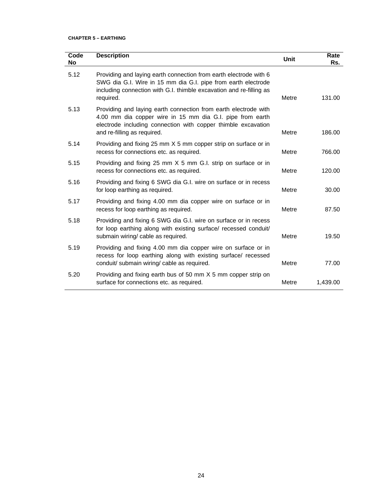| Code<br><b>No</b> | <b>Description</b>                                                                                                                                                                                                           | Unit  | Rate<br>Rs. |
|-------------------|------------------------------------------------------------------------------------------------------------------------------------------------------------------------------------------------------------------------------|-------|-------------|
| 5.12              | Providing and laying earth connection from earth electrode with 6<br>SWG dia G.I. Wire in 15 mm dia G.I. pipe from earth electrode<br>including connection with G.I. thimble excavation and re-filling as<br>required.       | Metre | 131.00      |
| 5.13              | Providing and laying earth connection from earth electrode with<br>4.00 mm dia copper wire in 15 mm dia G.I. pipe from earth<br>electrode including connection with copper thimble excavation<br>and re-filling as required. | Metre | 186.00      |
| 5.14              | Providing and fixing 25 mm X 5 mm copper strip on surface or in<br>recess for connections etc. as required.                                                                                                                  | Metre | 766.00      |
| 5.15              | Providing and fixing 25 mm X 5 mm G.I. strip on surface or in<br>recess for connections etc. as required.                                                                                                                    | Metre | 120.00      |
| 5.16              | Providing and fixing 6 SWG dia G.I. wire on surface or in recess<br>for loop earthing as required.                                                                                                                           | Metre | 30.00       |
| 5.17              | Providing and fixing 4.00 mm dia copper wire on surface or in<br>recess for loop earthing as required.                                                                                                                       | Metre | 87.50       |
| 5.18              | Providing and fixing 6 SWG dia G.I. wire on surface or in recess<br>for loop earthing along with existing surface/ recessed conduit/<br>submain wiring/ cable as required.                                                   | Metre | 19.50       |
| 5.19              | Providing and fixing 4.00 mm dia copper wire on surface or in<br>recess for loop earthing along with existing surface/ recessed<br>conduit/ submain wiring/ cable as required.                                               | Metre | 77.00       |
| 5.20              | Providing and fixing earth bus of 50 mm X 5 mm copper strip on<br>surface for connections etc. as required.                                                                                                                  | Metre | 1,439.00    |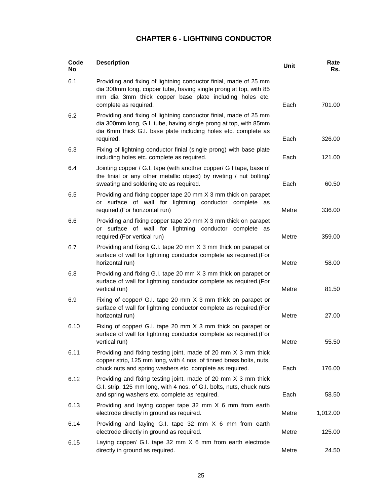# **CHAPTER 6 - LIGHTNING CONDUCTOR**

| Code<br>No | <b>Description</b>                                                                                                                                                                                                        | Unit  | Rate<br>Rs. |
|------------|---------------------------------------------------------------------------------------------------------------------------------------------------------------------------------------------------------------------------|-------|-------------|
| 6.1        | Providing and fixing of lightning conductor finial, made of 25 mm<br>dia 300mm long, copper tube, having single prong at top, with 85<br>mm dia 3mm thick copper base plate including holes etc.<br>complete as required. | Each  | 701.00      |
| 6.2        | Providing and fixing of lightning conductor finial, made of 25 mm<br>dia 300mm long, G.I. tube, having single prong at top, with 85mm<br>dia 6mm thick G.I. base plate including holes etc. complete as<br>required.      | Each  | 326.00      |
| 6.3        | Fixing of lightning conductor finial (single prong) with base plate<br>including holes etc. complete as required.                                                                                                         | Each  | 121.00      |
| 6.4        | Jointing copper / G.I. tape (with another copper/ G I tape, base of<br>the finial or any other metallic object) by riveting / nut bolting/<br>sweating and soldering etc as required.                                     | Each  | 60.50       |
| 6.5        | Providing and fixing copper tape 20 mm X 3 mm thick on parapet<br>surface of wall for lightning conductor complete as<br>or<br>required.(For horizontal run)                                                              | Metre | 336.00      |
| 6.6        | Providing and fixing copper tape 20 mm X 3 mm thick on parapet<br>or surface of wall for lightning conductor complete as<br>required.(For vertical run)                                                                   | Metre | 359.00      |
| 6.7        | Providing and fixing G.I. tape 20 mm X 3 mm thick on parapet or<br>surface of wall for lightning conductor complete as required.(For<br>horizontal run)                                                                   | Metre | 58.00       |
| 6.8        | Providing and fixing G.I. tape 20 mm X 3 mm thick on parapet or<br>surface of wall for lightning conductor complete as required.(For<br>vertical run)                                                                     | Metre | 81.50       |
| 6.9        | Fixing of copper/ G.I. tape 20 mm X 3 mm thick on parapet or<br>surface of wall for lightning conductor complete as required.(For<br>horizontal run)                                                                      | Metre | 27.00       |
| 6.10       | Fixing of copper/ G.I. tape 20 mm X 3 mm thick on parapet or<br>surface of wall for lightning conductor complete as required.(For<br>vertical run)                                                                        | Metre | 55.50       |
| 6.11       | Providing and fixing testing joint, made of 20 mm X 3 mm thick<br>copper strip, 125 mm long, with 4 nos. of tinned brass bolts, nuts,<br>chuck nuts and spring washers etc. complete as required.                         | Each  | 176.00      |
| 6.12       | Providing and fixing testing joint, made of 20 mm X 3 mm thick<br>G.I. strip, 125 mm long, with 4 nos. of G.I. bolts, nuts, chuck nuts<br>and spring washers etc. complete as required.                                   | Each  | 58.50       |
| 6.13       | Providing and laying copper tape 32 mm X 6 mm from earth<br>electrode directly in ground as required.                                                                                                                     | Metre | 1,012.00    |
| 6.14       | Providing and laying G.I. tape 32 mm X 6 mm from earth<br>electrode directly in ground as required.                                                                                                                       | Metre | 125.00      |
| 6.15       | Laying copper/ G.I. tape 32 mm X 6 mm from earth electrode<br>directly in ground as required.                                                                                                                             | Metre | 24.50       |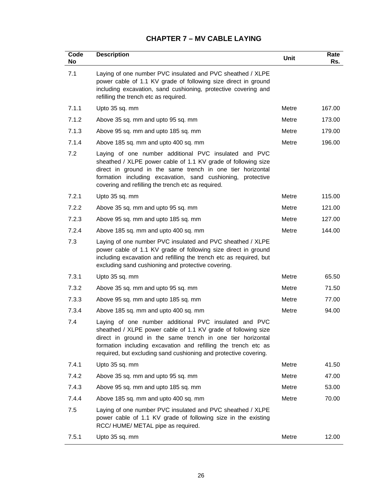# **CHAPTER 7 – MV CABLE LAYING**

| Code<br>No | <b>Description</b>                                                                                                                                                                                                                                                                                                         | Unit  | Rate<br>Rs. |
|------------|----------------------------------------------------------------------------------------------------------------------------------------------------------------------------------------------------------------------------------------------------------------------------------------------------------------------------|-------|-------------|
| 7.1        | Laying of one number PVC insulated and PVC sheathed / XLPE<br>power cable of 1.1 KV grade of following size direct in ground<br>including excavation, sand cushioning, protective covering and<br>refilling the trench etc as required.                                                                                    |       |             |
| 7.1.1      | Upto 35 sq. mm                                                                                                                                                                                                                                                                                                             | Metre | 167.00      |
| 7.1.2      | Above 35 sq. mm and upto 95 sq. mm                                                                                                                                                                                                                                                                                         | Metre | 173.00      |
| 7.1.3      | Above 95 sq. mm and upto 185 sq. mm                                                                                                                                                                                                                                                                                        | Metre | 179.00      |
| 7.1.4      | Above 185 sq. mm and upto 400 sq. mm                                                                                                                                                                                                                                                                                       | Metre | 196.00      |
| 7.2        | Laying of one number additional PVC insulated and PVC<br>sheathed / XLPE power cable of 1.1 KV grade of following size<br>direct in ground in the same trench in one tier horizontal<br>formation including excavation, sand cushioning, protective<br>covering and refilling the trench etc as required.                  |       |             |
| 7.2.1      | Upto 35 sq. mm                                                                                                                                                                                                                                                                                                             | Metre | 115.00      |
| 7.2.2      | Above 35 sq. mm and upto 95 sq. mm                                                                                                                                                                                                                                                                                         | Metre | 121.00      |
| 7.2.3      | Above 95 sq. mm and upto 185 sq. mm                                                                                                                                                                                                                                                                                        | Metre | 127.00      |
| 7.2.4      | Above 185 sq. mm and upto 400 sq. mm                                                                                                                                                                                                                                                                                       | Metre | 144.00      |
| 7.3        | Laying of one number PVC insulated and PVC sheathed / XLPE<br>power cable of 1.1 KV grade of following size direct in ground<br>including excavation and refilling the trench etc as required, but<br>excluding sand cushioning and protective covering.                                                                   |       |             |
| 7.3.1      | Upto 35 sq. mm                                                                                                                                                                                                                                                                                                             | Metre | 65.50       |
| 7.3.2      | Above 35 sq. mm and upto 95 sq. mm                                                                                                                                                                                                                                                                                         | Metre | 71.50       |
| 7.3.3      | Above 95 sq. mm and upto 185 sq. mm                                                                                                                                                                                                                                                                                        | Metre | 77.00       |
| 7.3.4      | Above 185 sq. mm and upto 400 sq. mm                                                                                                                                                                                                                                                                                       | Metre | 94.00       |
| 7.4        | Laying of one number additional PVC insulated and PVC<br>sheathed / XLPE power cable of 1.1 KV grade of following size<br>direct in ground in the same trench in one tier horizontal<br>formation including excavation and refilling the trench etc as<br>required, but excluding sand cushioning and protective covering. |       |             |
| 7.4.1      | Upto 35 sq. mm                                                                                                                                                                                                                                                                                                             | Metre | 41.50       |
| 7.4.2      | Above 35 sq. mm and upto 95 sq. mm                                                                                                                                                                                                                                                                                         | Metre | 47.00       |
| 7.4.3      | Above 95 sq. mm and upto 185 sq. mm                                                                                                                                                                                                                                                                                        | Metre | 53.00       |
| 7.4.4      | Above 185 sq. mm and upto 400 sq. mm                                                                                                                                                                                                                                                                                       | Metre | 70.00       |
| 7.5        | Laying of one number PVC insulated and PVC sheathed / XLPE<br>power cable of 1.1 KV grade of following size in the existing<br>RCC/HUME/METAL pipe as required.                                                                                                                                                            |       |             |
| 7.5.1      | Upto 35 sq. mm                                                                                                                                                                                                                                                                                                             | Metre | 12.00       |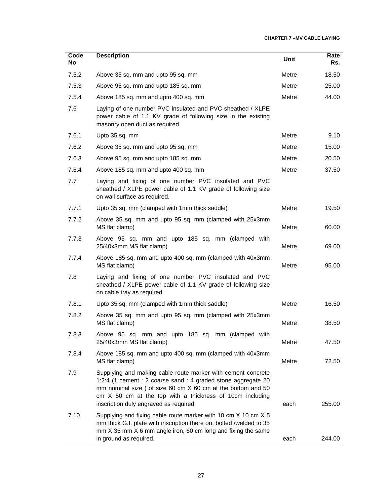| Code<br>No | <b>Description</b>                                                                                                                                                                                                                                                                                  | <b>Unit</b> | Rate<br>Rs. |
|------------|-----------------------------------------------------------------------------------------------------------------------------------------------------------------------------------------------------------------------------------------------------------------------------------------------------|-------------|-------------|
| 7.5.2      | Above 35 sq. mm and upto 95 sq. mm                                                                                                                                                                                                                                                                  | Metre       | 18.50       |
| 7.5.3      | Above 95 sq. mm and upto 185 sq. mm                                                                                                                                                                                                                                                                 | Metre       | 25.00       |
| 7.5.4      | Above 185 sq. mm and upto 400 sq. mm                                                                                                                                                                                                                                                                | Metre       | 44.00       |
| 7.6        | Laying of one number PVC insulated and PVC sheathed / XLPE<br>power cable of 1.1 KV grade of following size in the existing<br>masonry open duct as required.                                                                                                                                       |             |             |
| 7.6.1      | Upto 35 sq. mm                                                                                                                                                                                                                                                                                      | Metre       | 9.10        |
| 7.6.2      | Above 35 sq. mm and upto 95 sq. mm                                                                                                                                                                                                                                                                  | Metre       | 15.00       |
| 7.6.3      | Above 95 sq. mm and upto 185 sq. mm                                                                                                                                                                                                                                                                 | Metre       | 20.50       |
| 7.6.4      | Above 185 sq. mm and upto 400 sq. mm                                                                                                                                                                                                                                                                | Metre       | 37.50       |
| 7.7        | Laying and fixing of one number PVC insulated and PVC<br>sheathed / XLPE power cable of 1.1 KV grade of following size<br>on wall surface as required.                                                                                                                                              |             |             |
| 7.7.1      | Upto 35 sq. mm (clamped with 1mm thick saddle)                                                                                                                                                                                                                                                      | Metre       | 19.50       |
| 7.7.2      | Above 35 sq. mm and upto 95 sq. mm (clamped with 25x3mm<br>MS flat clamp)                                                                                                                                                                                                                           | Metre       | 60.00       |
| 7.7.3      | Above 95 sq. mm and upto 185 sq. mm (clamped with<br>25/40x3mm MS flat clamp)                                                                                                                                                                                                                       | Metre       | 69.00       |
| 7.7.4      | Above 185 sq. mm and upto 400 sq. mm (clamped with 40x3mm<br>MS flat clamp)                                                                                                                                                                                                                         | Metre       | 95.00       |
| 7.8        | Laying and fixing of one number PVC insulated and PVC<br>sheathed / XLPE power cable of 1.1 KV grade of following size<br>on cable tray as required.                                                                                                                                                |             |             |
| 7.8.1      | Upto 35 sq. mm (clamped with 1mm thick saddle)                                                                                                                                                                                                                                                      | Metre       | 16.50       |
| 7.8.2      | Above 35 sq. mm and upto 95 sq. mm (clamped with 25x3mm<br>MS flat clamp)                                                                                                                                                                                                                           | Metre       | 38.50       |
| 7.8.3      | Above 95 sq. mm and upto 185 sq. mm (clamped with<br>25/40x3mm MS flat clamp)                                                                                                                                                                                                                       | Metre       | 47.50       |
| 7.8.4      | Above 185 sq. mm and upto 400 sq. mm (clamped with 40x3mm<br>MS flat clamp)                                                                                                                                                                                                                         | Metre       | 72.50       |
| 7.9        | Supplying and making cable route marker with cement concrete<br>1:2:4 (1 cement : 2 coarse sand : 4 graded stone aggregate 20<br>mm nominal size ) of size 60 cm X 60 cm at the bottom and 50<br>cm X 50 cm at the top with a thickness of 10cm including<br>inscription duly engraved as required. | each        | 255.00      |
| 7.10       | Supplying and fixing cable route marker with 10 cm X 10 cm X 5<br>mm thick G.I. plate with inscription there on, bolted /welded to 35<br>mm X 35 mm X 6 mm angle iron, 60 cm long and fixing the same<br>in ground as required.                                                                     | each        | 244.00      |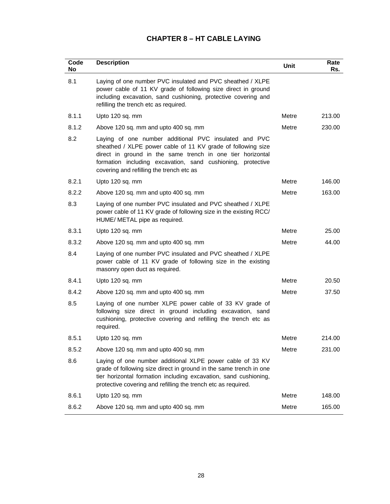# **CHAPTER 8 – HT CABLE LAYING**

| Code<br>No | <b>Description</b>                                                                                                                                                                                                                                                                             | <b>Unit</b> | Rate<br>Rs. |
|------------|------------------------------------------------------------------------------------------------------------------------------------------------------------------------------------------------------------------------------------------------------------------------------------------------|-------------|-------------|
| 8.1        | Laying of one number PVC insulated and PVC sheathed / XLPE<br>power cable of 11 KV grade of following size direct in ground<br>including excavation, sand cushioning, protective covering and<br>refilling the trench etc as required.                                                         |             |             |
| 8.1.1      | Upto 120 sq. mm                                                                                                                                                                                                                                                                                | Metre       | 213.00      |
| 8.1.2      | Above 120 sq. mm and upto 400 sq. mm                                                                                                                                                                                                                                                           | Metre       | 230.00      |
| 8.2        | Laying of one number additional PVC insulated and PVC<br>sheathed / XLPE power cable of 11 KV grade of following size<br>direct in ground in the same trench in one tier horizontal<br>formation including excavation, sand cushioning, protective<br>covering and refilling the trench etc as |             |             |
| 8.2.1      | Upto 120 sq. mm                                                                                                                                                                                                                                                                                | Metre       | 146.00      |
| 8.2.2      | Above 120 sq. mm and upto 400 sq. mm                                                                                                                                                                                                                                                           | Metre       | 163.00      |
| 8.3        | Laying of one number PVC insulated and PVC sheathed / XLPE<br>power cable of 11 KV grade of following size in the existing RCC/<br>HUME/ METAL pipe as required.                                                                                                                               |             |             |
| 8.3.1      | Upto 120 sq. mm                                                                                                                                                                                                                                                                                | Metre       | 25.00       |
| 8.3.2      | Above 120 sq. mm and upto 400 sq. mm                                                                                                                                                                                                                                                           | Metre       | 44.00       |
| 8.4        | Laying of one number PVC insulated and PVC sheathed / XLPE<br>power cable of 11 KV grade of following size in the existing<br>masonry open duct as required.                                                                                                                                   |             |             |
| 8.4.1      | Upto 120 sq. mm                                                                                                                                                                                                                                                                                | Metre       | 20.50       |
| 8.4.2      | Above 120 sq. mm and upto 400 sq. mm                                                                                                                                                                                                                                                           | Metre       | 37.50       |
| 8.5        | Laying of one number XLPE power cable of 33 KV grade of<br>following size direct in ground including excavation, sand<br>cushioning, protective covering and refilling the trench etc as<br>required.                                                                                          |             |             |
| 8.5.1      | Upto 120 sq. mm                                                                                                                                                                                                                                                                                | Metre       | 214.00      |
| 8.5.2      | Above 120 sq. mm and upto 400 sq. mm                                                                                                                                                                                                                                                           | Metre       | 231.00      |
| 8.6        | Laying of one number additional XLPE power cable of 33 KV<br>grade of following size direct in ground in the same trench in one<br>tier horizontal formation including excavation, sand cushioning,<br>protective covering and refilling the trench etc as required.                           |             |             |
| 8.6.1      | Upto 120 sq. mm                                                                                                                                                                                                                                                                                | Metre       | 148.00      |
| 8.6.2      | Above 120 sq. mm and upto 400 sq. mm                                                                                                                                                                                                                                                           | Metre       | 165.00      |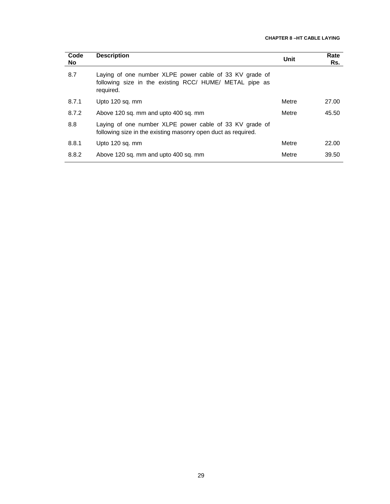| Code<br><b>No</b> | <b>Description</b>                                                                                                              | Unit  | Rate<br>Rs. |
|-------------------|---------------------------------------------------------------------------------------------------------------------------------|-------|-------------|
| 8.7               | Laying of one number XLPE power cable of 33 KV grade of<br>following size in the existing RCC/ HUME/ METAL pipe as<br>required. |       |             |
| 8.7.1             | Upto 120 sq. mm                                                                                                                 | Metre | 27.00       |
| 8.7.2             | Above 120 sq. mm and upto 400 sq. mm                                                                                            | Metre | 45.50       |
| 8.8               | Laying of one number XLPE power cable of 33 KV grade of<br>following size in the existing masonry open duct as required.        |       |             |
| 8.8.1             | Upto 120 sq. mm                                                                                                                 | Metre | 22.00       |
| 8.8.2             | Above 120 sq. mm and upto 400 sq. mm                                                                                            | Metre | 39.50       |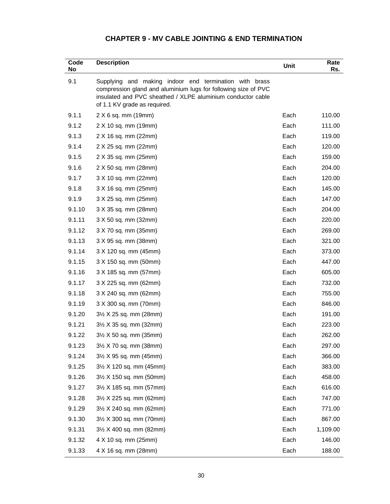# **CHAPTER 9 - MV CABLE JOINTING & END TERMINATION**

| Code<br>No | <b>Description</b>                                                                                                                                                                                                         | Unit | Rate<br>Rs. |
|------------|----------------------------------------------------------------------------------------------------------------------------------------------------------------------------------------------------------------------------|------|-------------|
| 9.1        | Supplying and making<br>indoor end termination with brass<br>compression gland and aluminium lugs for following size of PVC<br>insulated and PVC sheathed / XLPE aluminium conductor cable<br>of 1.1 KV grade as required. |      |             |
| 9.1.1      | $2 \times 6$ sq. mm (19mm)                                                                                                                                                                                                 | Each | 110.00      |
| 9.1.2      | 2 X 10 sq. mm (19mm)                                                                                                                                                                                                       | Each | 111.00      |
| 9.1.3      | 2 X 16 sq. mm (22mm)                                                                                                                                                                                                       | Each | 119.00      |
| 9.1.4      | 2 X 25 sq. mm (22mm)                                                                                                                                                                                                       | Each | 120.00      |
| 9.1.5      | 2 X 35 sq. mm (25mm)                                                                                                                                                                                                       | Each | 159.00      |
| 9.1.6      | 2 X 50 sq. mm (28mm)                                                                                                                                                                                                       | Each | 204.00      |
| 9.1.7      | 3 X 10 sq. mm (22mm)                                                                                                                                                                                                       | Each | 120.00      |
| 9.1.8      | 3 X 16 sq. mm (25mm)                                                                                                                                                                                                       | Each | 145.00      |
| 9.1.9      | 3 X 25 sq. mm (25mm)                                                                                                                                                                                                       | Each | 147.00      |
| 9.1.10     | 3 X 35 sq. mm (28mm)                                                                                                                                                                                                       | Each | 204.00      |
| 9.1.11     | 3 X 50 sq. mm (32mm)                                                                                                                                                                                                       | Each | 220.00      |
| 9.1.12     | 3 X 70 sq. mm (35mm)                                                                                                                                                                                                       | Each | 269.00      |
| 9.1.13     | 3 X 95 sq. mm (38mm)                                                                                                                                                                                                       | Each | 321.00      |
| 9.1.14     | 3 X 120 sq. mm (45mm)                                                                                                                                                                                                      | Each | 373.00      |
| 9.1.15     | 3 X 150 sq. mm (50mm)                                                                                                                                                                                                      | Each | 447.00      |
| 9.1.16     | 3 X 185 sq. mm (57mm)                                                                                                                                                                                                      | Each | 605.00      |
| 9.1.17     | 3 X 225 sq. mm (62mm)                                                                                                                                                                                                      | Each | 732.00      |
| 9.1.18     | 3 X 240 sq. mm (62mm)                                                                                                                                                                                                      | Each | 755.00      |
| 9.1.19     | 3 X 300 sq. mm (70mm)                                                                                                                                                                                                      | Each | 846.00      |
| 9.1.20     | $3\frac{1}{2}$ X 25 sq. mm (28mm)                                                                                                                                                                                          | Each | 191.00      |
| 9.1.21     | 3½ X 35 sq. mm (32mm)                                                                                                                                                                                                      | Each | 223.00      |
| 9.1.22     | $3\frac{1}{2}$ X 50 sq. mm (35mm)                                                                                                                                                                                          | Each | 262.00      |
| 9.1.23     | 3½ X 70 sq. mm (38mm)                                                                                                                                                                                                      | Each | 297.00      |
| 9.1.24     | $3\frac{1}{2}$ X 95 sq. mm (45mm)                                                                                                                                                                                          | Each | 366.00      |
| 9.1.25     | 3½ X 120 sq. mm (45mm)                                                                                                                                                                                                     | Each | 383.00      |
| 9.1.26     | $3\frac{1}{2}$ X 150 sq. mm (50mm)                                                                                                                                                                                         | Each | 458.00      |
| 9.1.27     | 3½ X 185 sq. mm (57mm)                                                                                                                                                                                                     | Each | 616.00      |
| 9.1.28     | $3\frac{1}{2}$ X 225 sq. mm (62mm)                                                                                                                                                                                         | Each | 747.00      |
| 9.1.29     | 3½ X 240 sq. mm (62mm)                                                                                                                                                                                                     | Each | 771.00      |
| 9.1.30     | 3½ X 300 sq. mm (70mm)                                                                                                                                                                                                     | Each | 867.00      |
| 9.1.31     | 3½ X 400 sq. mm (82mm)                                                                                                                                                                                                     | Each | 1,109.00    |
| 9.1.32     | 4 X 10 sq. mm (25mm)                                                                                                                                                                                                       | Each | 146.00      |
| 9.1.33     | 4 X 16 sq. mm (28mm)                                                                                                                                                                                                       | Each | 188.00      |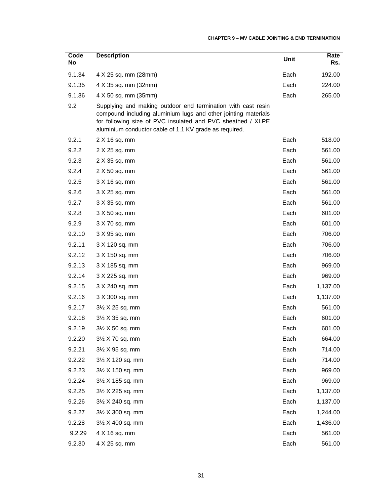#### **CHAPTER 9 – MV CABLE JOINTING & END TERMINATION**

| Code<br>No | <b>Description</b>                                                                                                                                                                                                                                      | Unit | Rate<br>Rs. |
|------------|---------------------------------------------------------------------------------------------------------------------------------------------------------------------------------------------------------------------------------------------------------|------|-------------|
| 9.1.34     | 4 X 25 sq. mm (28mm)                                                                                                                                                                                                                                    | Each | 192.00      |
| 9.1.35     | 4 X 35 sq. mm (32mm)                                                                                                                                                                                                                                    | Each | 224.00      |
| 9.1.36     | 4 X 50 sq. mm (35mm)                                                                                                                                                                                                                                    | Each | 265.00      |
| 9.2        | Supplying and making outdoor end termination with cast resin<br>compound including aluminium lugs and other jointing materials<br>for following size of PVC insulated and PVC sheathed / XLPE<br>aluminium conductor cable of 1.1 KV grade as required. |      |             |
| 9.2.1      | 2 X 16 sq. mm                                                                                                                                                                                                                                           | Each | 518.00      |
| 9.2.2      | 2 X 25 sq. mm                                                                                                                                                                                                                                           | Each | 561.00      |
| 9.2.3      | 2 X 35 sq. mm                                                                                                                                                                                                                                           | Each | 561.00      |
| 9.2.4      | 2 X 50 sq. mm                                                                                                                                                                                                                                           | Each | 561.00      |
| 9.2.5      | 3 X 16 sq. mm                                                                                                                                                                                                                                           | Each | 561.00      |
| 9.2.6      | 3 X 25 sq. mm                                                                                                                                                                                                                                           | Each | 561.00      |
| 9.2.7      | 3 X 35 sq. mm                                                                                                                                                                                                                                           | Each | 561.00      |
| 9.2.8      | 3 X 50 sq. mm                                                                                                                                                                                                                                           | Each | 601.00      |
| 9.2.9      | 3 X 70 sq. mm                                                                                                                                                                                                                                           | Each | 601.00      |
| 9.2.10     | 3 X 95 sq. mm                                                                                                                                                                                                                                           | Each | 706.00      |
| 9.2.11     | 3 X 120 sq. mm                                                                                                                                                                                                                                          | Each | 706.00      |
| 9.2.12     | 3 X 150 sq. mm                                                                                                                                                                                                                                          | Each | 706.00      |
| 9.2.13     | 3 X 185 sq. mm                                                                                                                                                                                                                                          | Each | 969.00      |
| 9.2.14     | 3 X 225 sq. mm                                                                                                                                                                                                                                          | Each | 969.00      |
| 9.2.15     | 3 X 240 sq. mm                                                                                                                                                                                                                                          | Each | 1,137.00    |
| 9.2.16     | 3 X 300 sq. mm                                                                                                                                                                                                                                          | Each | 1,137.00    |
| 9.2.17     | $3\frac{1}{2}$ X 25 sq. mm                                                                                                                                                                                                                              | Each | 561.00      |
| 9.2.18     | $3\frac{1}{2}$ X 35 sq. mm                                                                                                                                                                                                                              | Each | 601.00      |
| 9.2.19     | $3\frac{1}{2}$ X 50 sq. mm                                                                                                                                                                                                                              | Each | 601.00      |
| 9.2.20     | $3\frac{1}{2}$ X 70 sq. mm                                                                                                                                                                                                                              | Each | 664.00      |
| 9.2.21     | 3½ X 95 sq. mm                                                                                                                                                                                                                                          | Each | 714.00      |
| 9.2.22     | 31/2 X 120 sq. mm                                                                                                                                                                                                                                       | Each | 714.00      |
| 9.2.23     | 3½ X 150 sq. mm                                                                                                                                                                                                                                         | Each | 969.00      |
| 9.2.24     | 3½ X 185 sq. mm                                                                                                                                                                                                                                         | Each | 969.00      |
| 9.2.25     | $3\frac{1}{2}$ X 225 sq. mm                                                                                                                                                                                                                             | Each | 1,137.00    |
| 9.2.26     | 3½ X 240 sq. mm                                                                                                                                                                                                                                         | Each | 1,137.00    |
| 9.2.27     | 3½ X 300 sq. mm                                                                                                                                                                                                                                         | Each | 1,244.00    |
| 9.2.28     | 3½ X 400 sq. mm                                                                                                                                                                                                                                         | Each | 1,436.00    |
| 9.2.29     | 4 X 16 sq. mm                                                                                                                                                                                                                                           | Each | 561.00      |
| 9.2.30     | 4 X 25 sq. mm                                                                                                                                                                                                                                           | Each | 561.00      |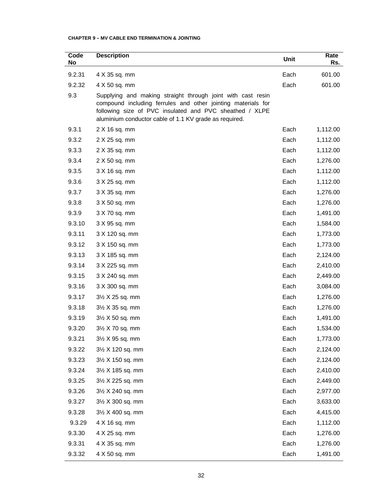## **CHAPTER 9 – MV CABLE END TERMINATION & JOINTING**

| Code<br>No | <b>Description</b>                                                                                                                                                                                                                               | Unit | Rate<br>Rs. |
|------------|--------------------------------------------------------------------------------------------------------------------------------------------------------------------------------------------------------------------------------------------------|------|-------------|
| 9.2.31     | 4 X 35 sq. mm                                                                                                                                                                                                                                    | Each | 601.00      |
| 9.2.32     | 4 X 50 sq. mm                                                                                                                                                                                                                                    | Each | 601.00      |
| 9.3        | Supplying and making straight through joint with cast resin<br>compound including ferrules and other jointing materials for<br>following size of PVC insulated and PVC sheathed / XLPE<br>aluminium conductor cable of 1.1 KV grade as required. |      |             |
| 9.3.1      | 2 X 16 sq. mm                                                                                                                                                                                                                                    | Each | 1,112.00    |
| 9.3.2      | 2 X 25 sq. mm                                                                                                                                                                                                                                    | Each | 1,112.00    |
| 9.3.3      | 2 X 35 sq. mm                                                                                                                                                                                                                                    | Each | 1,112.00    |
| 9.3.4      | 2 X 50 sq. mm                                                                                                                                                                                                                                    | Each | 1,276.00    |
| 9.3.5      | 3 X 16 sq. mm                                                                                                                                                                                                                                    | Each | 1,112.00    |
| 9.3.6      | 3 X 25 sq. mm                                                                                                                                                                                                                                    | Each | 1,112.00    |
| 9.3.7      | 3 X 35 sq. mm                                                                                                                                                                                                                                    | Each | 1,276.00    |
| 9.3.8      | 3 X 50 sq. mm                                                                                                                                                                                                                                    | Each | 1,276.00    |
| 9.3.9      | 3 X 70 sq. mm                                                                                                                                                                                                                                    | Each | 1,491.00    |
| 9.3.10     | 3 X 95 sq. mm                                                                                                                                                                                                                                    | Each | 1,584.00    |
| 9.3.11     | 3 X 120 sq. mm                                                                                                                                                                                                                                   | Each | 1,773.00    |
| 9.3.12     | 3 X 150 sq. mm                                                                                                                                                                                                                                   | Each | 1,773.00    |
| 9.3.13     | 3 X 185 sq. mm                                                                                                                                                                                                                                   | Each | 2,124.00    |
| 9.3.14     | 3 X 225 sq. mm                                                                                                                                                                                                                                   | Each | 2,410.00    |
| 9.3.15     | 3 X 240 sq. mm                                                                                                                                                                                                                                   | Each | 2,449.00    |
| 9.3.16     | 3 X 300 sq. mm                                                                                                                                                                                                                                   | Each | 3,084.00    |
| 9.3.17     | $3\frac{1}{2}$ X 25 sq. mm                                                                                                                                                                                                                       | Each | 1,276.00    |
| 9.3.18     | $3\frac{1}{2}$ X 35 sq. mm                                                                                                                                                                                                                       | Each | 1,276.00    |
| 9.3.19     | $3\frac{1}{2}$ X 50 sq. mm                                                                                                                                                                                                                       | Each | 1,491.00    |
| 9.3.20     | $3\frac{1}{2}$ X 70 sq. mm                                                                                                                                                                                                                       | Each | 1,534.00    |
| 9.3.21     | $3\frac{1}{2}$ X 95 sq. mm                                                                                                                                                                                                                       | Each | 1,773.00    |
| 9.3.22     | 3½ X 120 sq. mm                                                                                                                                                                                                                                  | Each | 2,124.00    |
| 9.3.23     | 31/2 X 150 sq. mm                                                                                                                                                                                                                                | Each | 2,124.00    |
| 9.3.24     | 31/2 X 185 sq. mm                                                                                                                                                                                                                                | Each | 2,410.00    |
| 9.3.25     | $3\frac{1}{2}$ X 225 sq. mm                                                                                                                                                                                                                      | Each | 2,449.00    |
| 9.3.26     | 31/2 X 240 sq. mm                                                                                                                                                                                                                                | Each | 2,977.00    |
| 9.3.27     | 3½ X 300 sq. mm                                                                                                                                                                                                                                  | Each | 3,633.00    |
| 9.3.28     | 3½ X 400 sq. mm                                                                                                                                                                                                                                  | Each | 4,415.00    |
| 9.3.29     | 4 X 16 sq. mm                                                                                                                                                                                                                                    | Each | 1,112.00    |
| 9.3.30     | 4 X 25 sq. mm                                                                                                                                                                                                                                    | Each | 1,276.00    |
| 9.3.31     | 4 X 35 sq. mm                                                                                                                                                                                                                                    | Each | 1,276.00    |
| 9.3.32     | 4 X 50 sq. mm                                                                                                                                                                                                                                    | Each | 1,491.00    |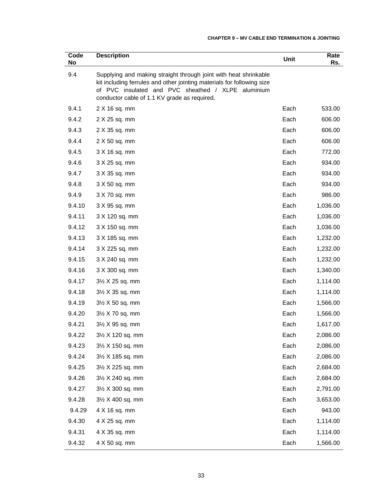| Code<br>No | <b>Description</b>                                                                                                                                                                                                                               | <b>Unit</b> | Rate<br>Rs. |
|------------|--------------------------------------------------------------------------------------------------------------------------------------------------------------------------------------------------------------------------------------------------|-------------|-------------|
| 9.4        | Supplying and making straight through joint with heat shrinkable<br>kit including ferrules and other jointing materials for following size<br>of PVC insulated and PVC sheathed / XLPE aluminium<br>conductor cable of 1.1 KV grade as required. |             |             |
| 9.4.1      | 2 X 16 sq. mm                                                                                                                                                                                                                                    | Each        | 533.00      |
| 9.4.2      | 2 X 25 sq. mm                                                                                                                                                                                                                                    | Each        | 606.00      |
| 9.4.3      | 2 X 35 sq. mm                                                                                                                                                                                                                                    | Each        | 606.00      |
| 9.4.4      | 2 X 50 sq. mm                                                                                                                                                                                                                                    | Each        | 606.00      |
| 9.4.5      | 3 X 16 sq. mm                                                                                                                                                                                                                                    | Each        | 772.00      |
| 9.4.6      | 3 X 25 sq. mm                                                                                                                                                                                                                                    | Each        | 934.00      |
| 9.4.7      | 3 X 35 sq. mm                                                                                                                                                                                                                                    | Each        | 934.00      |
| 9.4.8      | 3 X 50 sq. mm                                                                                                                                                                                                                                    | Each        | 934.00      |
| 9.4.9      | 3 X 70 sq. mm                                                                                                                                                                                                                                    | Each        | 986.00      |
| 9.4.10     | 3 X 95 sq. mm                                                                                                                                                                                                                                    | Each        | 1,036.00    |
| 9.4.11     | 3 X 120 sq. mm                                                                                                                                                                                                                                   | Each        | 1,036.00    |
| 9.4.12     | 3 X 150 sq. mm                                                                                                                                                                                                                                   | Each        | 1,036.00    |
| 9.4.13     | 3 X 185 sq. mm                                                                                                                                                                                                                                   | Each        | 1,232.00    |
| 9.4.14     | 3 X 225 sq. mm                                                                                                                                                                                                                                   | Each        | 1,232.00    |
| 9.4.15     | 3 X 240 sq. mm                                                                                                                                                                                                                                   | Each        | 1,232.00    |
| 9.4.16     | 3 X 300 sq. mm                                                                                                                                                                                                                                   | Each        | 1,340.00    |
| 9.4.17     | $3\frac{1}{2}$ X 25 sq. mm                                                                                                                                                                                                                       | Each        | 1,114.00    |
| 9.4.18     | $3\frac{1}{2}$ X 35 sq. mm                                                                                                                                                                                                                       | Each        | 1,114.00    |
| 9.4.19     | $3\frac{1}{2}$ X 50 sq. mm                                                                                                                                                                                                                       | Each        | 1,566.00    |
| 9.4.20     | $3\frac{1}{2}$ X 70 sq. mm                                                                                                                                                                                                                       | Each        | 1,566.00    |
| 9.4.21     | $3\frac{1}{2}$ X 95 sq. mm                                                                                                                                                                                                                       | Each        | 1,617.00    |
| 9.4.22     | $3\frac{1}{2}$ X 120 sq. mm                                                                                                                                                                                                                      | Each        | 2,086.00    |
| 9.4.23     | 3½ X 150 sq. mm                                                                                                                                                                                                                                  | Each        | 2,086.00    |
| 9.4.24     | $3\frac{1}{2}$ X 185 sq. mm                                                                                                                                                                                                                      | Each        | 2,086.00    |
| 9.4.25     | $3\frac{1}{2}$ X 225 sq. mm                                                                                                                                                                                                                      | Each        | 2,684.00    |
| 9.4.26     | 31/2 X 240 sq. mm                                                                                                                                                                                                                                | Each        | 2,684.00    |
| 9.4.27     | 3½ X 300 sq. mm                                                                                                                                                                                                                                  | Each        | 2,791.00    |
| 9.4.28     | 31/2 X 400 sq. mm                                                                                                                                                                                                                                | Each        | 3,653.00    |
| 9.4.29     | 4 X 16 sq. mm                                                                                                                                                                                                                                    | Each        | 943.00      |
| 9.4.30     | 4 X 25 sq. mm                                                                                                                                                                                                                                    | Each        | 1,114.00    |
| 9.4.31     | 4 X 35 sq. mm                                                                                                                                                                                                                                    | Each        | 1,114.00    |
| 9.4.32     | 4 X 50 sq. mm                                                                                                                                                                                                                                    | Each        | 1,566.00    |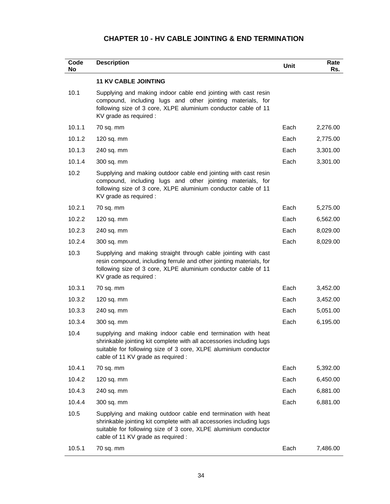## **CHAPTER 10 - HV CABLE JOINTING & END TERMINATION**

| Code<br>No | <b>Description</b>                                                                                                                                                                                                                            | Unit | Rate<br>Rs. |
|------------|-----------------------------------------------------------------------------------------------------------------------------------------------------------------------------------------------------------------------------------------------|------|-------------|
|            | <b>11 KV CABLE JOINTING</b>                                                                                                                                                                                                                   |      |             |
| 10.1       | Supplying and making indoor cable end jointing with cast resin<br>compound, including lugs and other jointing materials, for<br>following size of 3 core, XLPE aluminium conductor cable of 11<br>KV grade as required :                      |      |             |
| 10.1.1     | 70 sq. mm                                                                                                                                                                                                                                     | Each | 2,276.00    |
| 10.1.2     | 120 sq. mm                                                                                                                                                                                                                                    | Each | 2,775.00    |
| 10.1.3     | 240 sq. mm                                                                                                                                                                                                                                    | Each | 3,301.00    |
| 10.1.4     | 300 sq. mm                                                                                                                                                                                                                                    | Each | 3,301.00    |
| 10.2       | Supplying and making outdoor cable end jointing with cast resin<br>compound, including lugs and other jointing materials, for<br>following size of 3 core, XLPE aluminium conductor cable of 11<br>KV grade as required :                     |      |             |
| 10.2.1     | 70 sq. mm                                                                                                                                                                                                                                     | Each | 5,275.00    |
| 10.2.2     | $120$ sq. mm                                                                                                                                                                                                                                  | Each | 6,562.00    |
| 10.2.3     | 240 sq. mm                                                                                                                                                                                                                                    | Each | 8,029.00    |
| 10.2.4     | 300 sq. mm                                                                                                                                                                                                                                    | Each | 8,029.00    |
| 10.3       | Supplying and making straight through cable jointing with cast<br>resin compound, including ferrule and other jointing materials, for<br>following size of 3 core, XLPE aluminium conductor cable of 11<br>KV grade as required :             |      |             |
| 10.3.1     | 70 sq. mm                                                                                                                                                                                                                                     | Each | 3,452.00    |
| 10.3.2     | $120$ sq. mm                                                                                                                                                                                                                                  | Each | 3,452.00    |
| 10.3.3     | 240 sq. mm                                                                                                                                                                                                                                    | Each | 5,051.00    |
| 10.3.4     | 300 sq. mm                                                                                                                                                                                                                                    | Each | 6,195.00    |
| 10.4       | supplying and making indoor cable end termination with heat<br>shrinkable jointing kit complete with all accessories including lugs<br>suitable for following size of 3 core, XLPE aluminium conductor<br>cable of 11 KV grade as required :  |      |             |
| 10.4.1     | 70 sq. mm                                                                                                                                                                                                                                     | Each | 5,392.00    |
| 10.4.2     | $120$ sq. mm                                                                                                                                                                                                                                  | Each | 6,450.00    |
| 10.4.3     | 240 sq. mm                                                                                                                                                                                                                                    | Each | 6,881.00    |
| 10.4.4     | 300 sq. mm                                                                                                                                                                                                                                    | Each | 6,881.00    |
| 10.5       | Supplying and making outdoor cable end termination with heat<br>shrinkable jointing kit complete with all accessories including lugs<br>suitable for following size of 3 core, XLPE aluminium conductor<br>cable of 11 KV grade as required : |      |             |
| 10.5.1     | 70 sq. mm                                                                                                                                                                                                                                     | Each | 7,486.00    |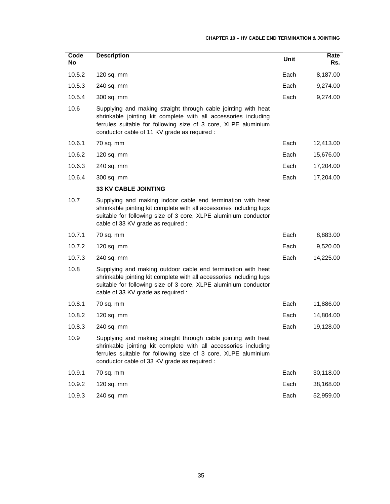## **CHAPTER 10 – HV CABLE END TERMINATION & JOINTING**

| Code<br>No | <b>Description</b>                                                                                                                                                                                                                                  | Unit | Rate<br>Rs. |
|------------|-----------------------------------------------------------------------------------------------------------------------------------------------------------------------------------------------------------------------------------------------------|------|-------------|
| 10.5.2     | $120$ sq. mm                                                                                                                                                                                                                                        | Each | 8,187.00    |
| 10.5.3     | 240 sq. mm                                                                                                                                                                                                                                          | Each | 9,274.00    |
| 10.5.4     | 300 sq. mm                                                                                                                                                                                                                                          | Each | 9,274.00    |
| 10.6       | Supplying and making straight through cable jointing with heat<br>shrinkable jointing kit complete with all accessories including<br>ferrules suitable for following size of 3 core, XLPE aluminium<br>conductor cable of 11 KV grade as required : |      |             |
| 10.6.1     | 70 sq. mm                                                                                                                                                                                                                                           | Each | 12,413.00   |
| 10.6.2     | 120 sq. mm                                                                                                                                                                                                                                          | Each | 15,676.00   |
| 10.6.3     | 240 sq. mm                                                                                                                                                                                                                                          | Each | 17,204.00   |
| 10.6.4     | 300 sq. mm                                                                                                                                                                                                                                          | Each | 17,204.00   |
|            | <b>33 KV CABLE JOINTING</b>                                                                                                                                                                                                                         |      |             |
| 10.7       | Supplying and making indoor cable end termination with heat<br>shrinkable jointing kit complete with all accessories including lugs<br>suitable for following size of 3 core, XLPE aluminium conductor<br>cable of 33 KV grade as required :        |      |             |
| 10.7.1     | 70 sq. mm                                                                                                                                                                                                                                           | Each | 8,883.00    |
| 10.7.2     | $120$ sq. mm                                                                                                                                                                                                                                        | Each | 9,520.00    |
| 10.7.3     | 240 sq. mm                                                                                                                                                                                                                                          | Each | 14,225.00   |
| 10.8       | Supplying and making outdoor cable end termination with heat<br>shrinkable jointing kit complete with all accessories including lugs<br>suitable for following size of 3 core, XLPE aluminium conductor<br>cable of 33 KV grade as required :       |      |             |
| 10.8.1     | 70 sq. mm                                                                                                                                                                                                                                           | Each | 11,886.00   |
| 10.8.2     | $120$ sq. mm                                                                                                                                                                                                                                        | Each | 14,804.00   |
| 10.8.3     | 240 sq. mm                                                                                                                                                                                                                                          | Each | 19,128.00   |
| 10.9       | Supplying and making straight through cable jointing with heat<br>shrinkable jointing kit complete with all accessories including<br>ferrules suitable for following size of 3 core, XLPE aluminium<br>conductor cable of 33 KV grade as required : |      |             |
| 10.9.1     | 70 sq. mm                                                                                                                                                                                                                                           | Each | 30,118.00   |
| 10.9.2     | 120 sq. mm                                                                                                                                                                                                                                          | Each | 38,168.00   |
| 10.9.3     | 240 sq. mm                                                                                                                                                                                                                                          | Each | 52,959.00   |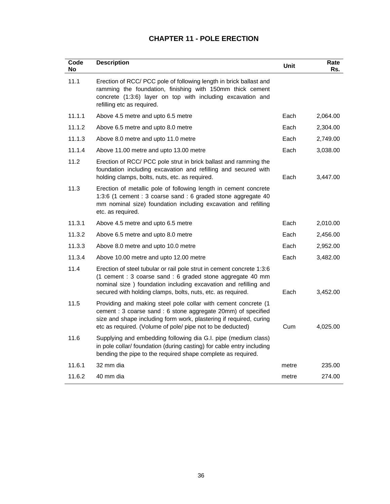# **CHAPTER 11 - POLE ERECTION**

| Code<br>No | <b>Description</b>                                                                                                                                                                                                                                                     | Unit  | Rate<br>Rs. |
|------------|------------------------------------------------------------------------------------------------------------------------------------------------------------------------------------------------------------------------------------------------------------------------|-------|-------------|
| 11.1       | Erection of RCC/ PCC pole of following length in brick ballast and<br>ramming the foundation, finishing with 150mm thick cement<br>concrete (1:3:6) layer on top with including excavation and<br>refilling etc as required.                                           |       |             |
| 11.1.1     | Above 4.5 metre and upto 6.5 metre                                                                                                                                                                                                                                     | Each  | 2,064.00    |
| 11.1.2     | Above 6.5 metre and upto 8.0 metre                                                                                                                                                                                                                                     | Each  | 2,304.00    |
| 11.1.3     | Above 8.0 metre and upto 11.0 metre                                                                                                                                                                                                                                    | Each  | 2,749.00    |
| 11.1.4     | Above 11.00 metre and upto 13.00 metre                                                                                                                                                                                                                                 | Each  | 3,038.00    |
| 11.2       | Erection of RCC/ PCC pole strut in brick ballast and ramming the<br>foundation including excavation and refilling and secured with<br>holding clamps, bolts, nuts, etc. as required.                                                                                   | Each  | 3,447.00    |
| 11.3       | Erection of metallic pole of following length in cement concrete<br>1:3:6 (1 cement : 3 coarse sand : 6 graded stone aggregate 40<br>mm nominal size) foundation including excavation and refilling<br>etc. as required.                                               |       |             |
| 11.3.1     | Above 4.5 metre and upto 6.5 metre                                                                                                                                                                                                                                     | Each  | 2,010.00    |
| 11.3.2     | Above 6.5 metre and upto 8.0 metre                                                                                                                                                                                                                                     | Each  | 2,456.00    |
| 11.3.3     | Above 8.0 metre and upto 10.0 metre                                                                                                                                                                                                                                    | Each  | 2,952.00    |
| 11.3.4     | Above 10.00 metre and upto 12.00 metre                                                                                                                                                                                                                                 | Each  | 3,482.00    |
| 11.4       | Erection of steel tubular or rail pole strut in cement concrete 1:3:6<br>(1 cement : 3 coarse sand : 6 graded stone aggregate 40 mm<br>nominal size ) foundation including excavation and refilling and<br>secured with holding clamps, bolts, nuts, etc. as required. | Each  | 3,452.00    |
| 11.5       | Providing and making steel pole collar with cement concrete (1<br>cement : 3 coarse sand : 6 stone aggregate 20mm) of specified<br>size and shape including form work, plastering if required, curing<br>etc as required. (Volume of pole/ pipe not to be deducted)    | Cum   | 4,025.00    |
| 11.6       | Supplying and embedding following dia G.I. pipe (medium class)<br>in pole collar/ foundation (during casting) for cable entry including<br>bending the pipe to the required shape complete as required.                                                                |       |             |
| 11.6.1     | 32 mm dia                                                                                                                                                                                                                                                              | metre | 235.00      |
| 11.6.2     | 40 mm dia                                                                                                                                                                                                                                                              | metre | 274.00      |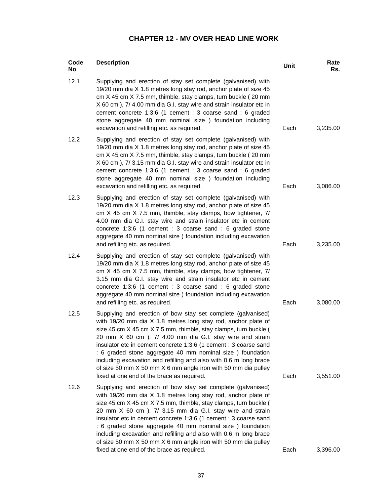# **CHAPTER 12 - MV OVER HEAD LINE WORK**

| Code<br>No | <b>Description</b>                                                                                                                                                                                                                                                                                                                                                                                                                                                                                                                                                                   | Unit | Rate<br>Rs. |
|------------|--------------------------------------------------------------------------------------------------------------------------------------------------------------------------------------------------------------------------------------------------------------------------------------------------------------------------------------------------------------------------------------------------------------------------------------------------------------------------------------------------------------------------------------------------------------------------------------|------|-------------|
| 12.1       | Supplying and erection of stay set complete (galvanised) with<br>19/20 mm dia X 1.8 metres long stay rod, anchor plate of size 45<br>cm X 45 cm X 7.5 mm, thimble, stay clamps, turn buckle (20 mm<br>X 60 cm), 7/ 4.00 mm dia G.I. stay wire and strain insulator etc in<br>cement concrete 1:3:6 (1 cement : 3 coarse sand : 6 graded<br>stone aggregate 40 mm nominal size ) foundation including<br>excavation and refilling etc. as required.                                                                                                                                   | Each | 3,235.00    |
| 12.2       | Supplying and erection of stay set complete (galvanised) with<br>19/20 mm dia X 1.8 metres long stay rod, anchor plate of size 45<br>cm X 45 cm X 7.5 mm, thimble, stay clamps, turn buckle (20 mm<br>X 60 cm), 7/3.15 mm dia G.I. stay wire and strain insulator etc in<br>cement concrete 1:3:6 (1 cement : 3 coarse sand : 6 graded<br>stone aggregate 40 mm nominal size ) foundation including<br>excavation and refilling etc. as required.                                                                                                                                    | Each | 3,086.00    |
| 12.3       | Supplying and erection of stay set complete (galvanised) with<br>19/20 mm dia X 1.8 metres long stay rod, anchor plate of size 45<br>cm X 45 cm X 7.5 mm, thimble, stay clamps, bow tightener, 7/<br>4.00 mm dia G.I. stay wire and strain insulator etc in cement<br>concrete 1:3:6 (1 cement : 3 coarse sand : 6 graded stone<br>aggregate 40 mm nominal size) foundation including excavation<br>and refilling etc. as required.                                                                                                                                                  | Each | 3,235.00    |
| 12.4       | Supplying and erection of stay set complete (galvanised) with<br>19/20 mm dia X 1.8 metres long stay rod, anchor plate of size 45<br>cm X 45 cm X 7.5 mm, thimble, stay clamps, bow tightener, 7/<br>3.15 mm dia G.I. stay wire and strain insulator etc in cement<br>concrete 1:3:6 (1 cement : 3 coarse sand : 6 graded stone<br>aggregate 40 mm nominal size) foundation including excavation<br>and refilling etc. as required.                                                                                                                                                  | Each | 3,080.00    |
| 12.5       | Supplying and erection of bow stay set complete (galvanised)<br>with 19/20 mm dia X 1.8 metres long stay rod, anchor plate of<br>size 45 cm X 45 cm X 7.5 mm, thimble, stay clamps, turn buckle (<br>20 mm X 60 cm ), 7/ 4.00 mm dia G.I. stay wire and strain<br>insulator etc in cement concrete 1:3:6 (1 cement : 3 coarse sand<br>: 6 graded stone aggregate 40 mm nominal size ) foundation<br>including excavation and refilling and also with 0.6 m long brace<br>of size 50 mm X 50 mm X 6 mm angle iron with 50 mm dia pulley<br>fixed at one end of the brace as required. | Each | 3,551.00    |
| 12.6       | Supplying and erection of bow stay set complete (galvanised)<br>with 19/20 mm dia X 1.8 metres long stay rod, anchor plate of<br>size 45 cm X 45 cm X 7.5 mm, thimble, stay clamps, turn buckle (<br>20 mm X 60 cm ), 7/ 3.15 mm dia G.I. stay wire and strain<br>insulator etc in cement concrete 1:3:6 (1 cement : 3 coarse sand<br>: 6 graded stone aggregate 40 mm nominal size ) foundation<br>including excavation and refilling and also with 0.6 m long brace<br>of size 50 mm X 50 mm X 6 mm angle iron with 50 mm dia pulley<br>fixed at one end of the brace as required. | Each | 3,396.00    |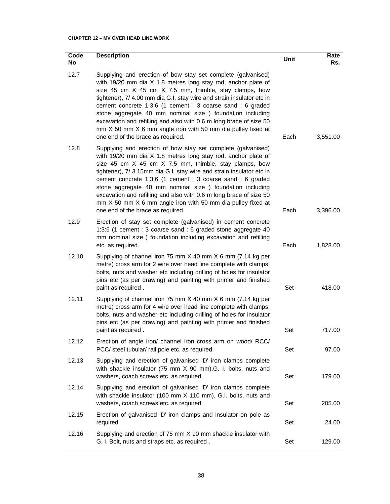## **CHAPTER 12 – MV OVER HEAD LINE WORK**

| Code<br>No | <b>Description</b>                                                                                                                                                                                                                                                                                                                                                                                                                                                                                                                                                    | Unit | Rate<br>Rs. |
|------------|-----------------------------------------------------------------------------------------------------------------------------------------------------------------------------------------------------------------------------------------------------------------------------------------------------------------------------------------------------------------------------------------------------------------------------------------------------------------------------------------------------------------------------------------------------------------------|------|-------------|
| 12.7       | Supplying and erection of bow stay set complete (galvanised)<br>with 19/20 mm dia X 1.8 metres long stay rod, anchor plate of<br>size 45 cm X 45 cm X 7.5 mm, thimble, stay clamps, bow<br>tightener), 7/ 4.00 mm dia G.I. stay wire and strain insulator etc in<br>cement concrete 1:3:6 (1 cement : 3 coarse sand : 6 graded<br>stone aggregate 40 mm nominal size ) foundation including<br>excavation and refilling and also with 0.6 m long brace of size 50<br>mm X 50 mm X 6 mm angle iron with 50 mm dia pulley fixed at<br>one end of the brace as required. | Each | 3,551.00    |
| 12.8       | Supplying and erection of bow stay set complete (galvanised)<br>with 19/20 mm dia X 1.8 metres long stay rod, anchor plate of<br>size 45 cm X 45 cm X 7.5 mm, thimble, stay clamps, bow<br>tightener), 7/ 3.15mm dia G.I. stay wire and strain insulator etc in<br>cement concrete 1:3:6 (1 cement : 3 coarse sand : 6 graded<br>stone aggregate 40 mm nominal size ) foundation including<br>excavation and refilling and also with 0.6 m long brace of size 50<br>mm X 50 mm X 6 mm angle iron with 50 mm dia pulley fixed at<br>one end of the brace as required.  | Each | 3,396.00    |
| 12.9       | Erection of stay set complete (galvanised) in cement concrete<br>1:3:6 (1 cement : 3 coarse sand : 6 graded stone aggregate 40<br>mm nominal size ) foundation including excavation and refilling<br>etc. as required.                                                                                                                                                                                                                                                                                                                                                | Each | 1,828.00    |
| 12.10      | Supplying of channel iron 75 mm X 40 mm X 6 mm (7.14 kg per<br>metre) cross arm for 2 wire over head line complete with clamps,<br>bolts, nuts and washer etc including drilling of holes for insulator<br>pins etc (as per drawing) and painting with primer and finished<br>paint as required.                                                                                                                                                                                                                                                                      | Set  | 418.00      |
| 12.11      | Supplying of channel iron 75 mm X 40 mm X 6 mm (7.14 kg per<br>metre) cross arm for 4 wire over head line complete with clamps,<br>bolts, nuts and washer etc including drilling of holes for insulator<br>pins etc (as per drawing) and painting with primer and finished<br>paint as required.                                                                                                                                                                                                                                                                      | Set  | 717.00      |
| 12.12      | Erection of angle iron/ channel iron cross arm on wood/ RCC/<br>PCC/ steel tubular/ rail pole etc. as required.                                                                                                                                                                                                                                                                                                                                                                                                                                                       | Set  | 97.00       |
| 12.13      | Supplying and erection of galvanised 'D' iron clamps complete<br>with shackle insulator (75 mm X 90 mm), G. I. bolts, nuts and<br>washers, coach screws etc. as required.                                                                                                                                                                                                                                                                                                                                                                                             | Set  | 179.00      |
| 12.14      | Supplying and erection of galvanised 'D' iron clamps complete<br>with shackle insulator (100 mm X 110 mm), G.I. bolts, nuts and<br>washers, coach screws etc. as required.                                                                                                                                                                                                                                                                                                                                                                                            | Set  | 205.00      |
| 12.15      | Erection of galvanised 'D' iron clamps and insulator on pole as<br>required.                                                                                                                                                                                                                                                                                                                                                                                                                                                                                          | Set  | 24.00       |
| 12.16      | Supplying and erection of 75 mm X 90 mm shackle insulator with<br>G. I. Bolt, nuts and straps etc. as required.                                                                                                                                                                                                                                                                                                                                                                                                                                                       | Set  | 129.00      |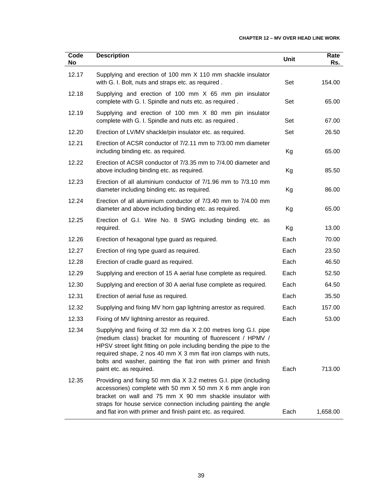## **CHAPTER 12 – MV OVER HEAD LINE WORK**

| Code<br>No | <b>Description</b>                                                                                                                                                                                                                                                                                                                                                   | <b>Unit</b> | Rate<br>Rs. |
|------------|----------------------------------------------------------------------------------------------------------------------------------------------------------------------------------------------------------------------------------------------------------------------------------------------------------------------------------------------------------------------|-------------|-------------|
| 12.17      | Supplying and erection of 100 mm X 110 mm shackle insulator<br>with G. I. Bolt, nuts and straps etc. as required.                                                                                                                                                                                                                                                    | Set         | 154.00      |
| 12.18      | Supplying and erection of 100 mm X 65 mm pin insulator<br>complete with G. I. Spindle and nuts etc. as required.                                                                                                                                                                                                                                                     | Set         | 65.00       |
| 12.19      | Supplying and erection of 100 mm X 80 mm pin insulator<br>complete with G. I. Spindle and nuts etc. as required.                                                                                                                                                                                                                                                     | Set         | 67.00       |
| 12.20      | Erection of LV/MV shackle/pin insulator etc. as required.                                                                                                                                                                                                                                                                                                            | Set         | 26.50       |
| 12.21      | Erection of ACSR conductor of 7/2.11 mm to 7/3.00 mm diameter<br>including binding etc. as required.                                                                                                                                                                                                                                                                 | Kg          | 65.00       |
| 12.22      | Erection of ACSR conductor of 7/3.35 mm to 7/4.00 diameter and<br>above including binding etc. as required.                                                                                                                                                                                                                                                          | Kg          | 85.50       |
| 12.23      | Erection of all aluminium conductor of 7/1.96 mm to 7/3.10 mm<br>diameter including binding etc. as required.                                                                                                                                                                                                                                                        | Kg          | 86.00       |
| 12.24      | Erection of all aluminium conductor of 7/3.40 mm to 7/4.00 mm<br>diameter and above including binding etc. as required.                                                                                                                                                                                                                                              | Kg          | 65.00       |
| 12.25      | Erection of G.I. Wire No. 8 SWG including binding etc. as<br>required.                                                                                                                                                                                                                                                                                               | Kg          | 13.00       |
| 12.26      | Erection of hexagonal type guard as required.                                                                                                                                                                                                                                                                                                                        | Each        | 70.00       |
| 12.27      | Erection of ring type guard as required.                                                                                                                                                                                                                                                                                                                             | Each        | 23.50       |
| 12.28      | Erection of cradle guard as required.                                                                                                                                                                                                                                                                                                                                | Each        | 46.50       |
| 12.29      | Supplying and erection of 15 A aerial fuse complete as required.                                                                                                                                                                                                                                                                                                     | Each        | 52.50       |
| 12.30      | Supplying and erection of 30 A aerial fuse complete as required.                                                                                                                                                                                                                                                                                                     | Each        | 64.50       |
| 12.31      | Erection of aerial fuse as required.                                                                                                                                                                                                                                                                                                                                 | Each        | 35.50       |
| 12.32      | Supplying and fixing MV horn gap lightning arrestor as required.                                                                                                                                                                                                                                                                                                     | Each        | 157.00      |
| 12.33      | Fixing of MV lightning arrestor as required.                                                                                                                                                                                                                                                                                                                         | Each        | 53.00       |
| 12.34      | Supplying and fixing of 32 mm dia X 2.00 metres long G.I. pipe<br>(medium class) bracket for mounting of fluorescent / HPMV /<br>HPSV street light fitting on pole including bending the pipe to the<br>required shape, 2 nos 40 mm X 3 mm flat iron clamps with nuts,<br>bolts and washer, painting the flat iron with primer and finish<br>paint etc. as required. | Each        | 713.00      |
| 12.35      | Providing and fixing 50 mm dia X 3.2 metres G.I. pipe (including<br>accessories) complete with 50 mm X 50 mm X 6 mm angle iron<br>bracket on wall and 75 mm X 90 mm shackle insulator with<br>straps for house service connection including painting the angle<br>and flat iron with primer and finish paint etc. as required.                                       | Each        | 1,658.00    |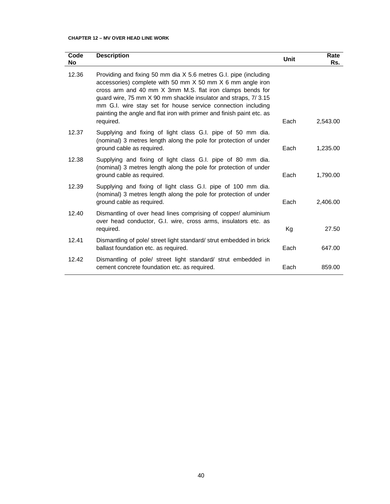## **CHAPTER 12 – MV OVER HEAD LINE WORK**

| Code<br>No | <b>Description</b>                                                                                                                                                                                                                                                                                                                                                                                                      | Unit | Rate<br>Rs. |
|------------|-------------------------------------------------------------------------------------------------------------------------------------------------------------------------------------------------------------------------------------------------------------------------------------------------------------------------------------------------------------------------------------------------------------------------|------|-------------|
| 12.36      | Providing and fixing 50 mm dia X 5.6 metres G.I. pipe (including<br>accessories) complete with 50 mm $X$ 50 mm $X$ 6 mm angle iron<br>cross arm and 40 mm X 3mm M.S. flat iron clamps bends for<br>guard wire, 75 mm X 90 mm shackle insulator and straps, 7/3.15<br>mm G.I. wire stay set for house service connection including<br>painting the angle and flat iron with primer and finish paint etc. as<br>required. | Each | 2,543.00    |
| 12.37      | Supplying and fixing of light class G.I. pipe of 50 mm dia.<br>(nominal) 3 metres length along the pole for protection of under<br>ground cable as required.                                                                                                                                                                                                                                                            | Each | 1,235.00    |
| 12.38      | Supplying and fixing of light class G.I. pipe of 80 mm dia.<br>(nominal) 3 metres length along the pole for protection of under<br>ground cable as required.                                                                                                                                                                                                                                                            | Each | 1,790.00    |
| 12.39      | Supplying and fixing of light class G.I. pipe of 100 mm dia.<br>(nominal) 3 metres length along the pole for protection of under<br>ground cable as required.                                                                                                                                                                                                                                                           | Each | 2.406.00    |
| 12.40      | Dismantling of over head lines comprising of copper/ aluminium<br>over head conductor, G.I. wire, cross arms, insulators etc. as<br>required.                                                                                                                                                                                                                                                                           | Кg   | 27.50       |
| 12.41      | Dismantling of pole/ street light standard/ strut embedded in brick<br>ballast foundation etc. as required.                                                                                                                                                                                                                                                                                                             | Each | 647.00      |
| 12.42      | Dismantling of pole/ street light standard/ strut embedded in<br>cement concrete foundation etc. as required.                                                                                                                                                                                                                                                                                                           | Each | 859.00      |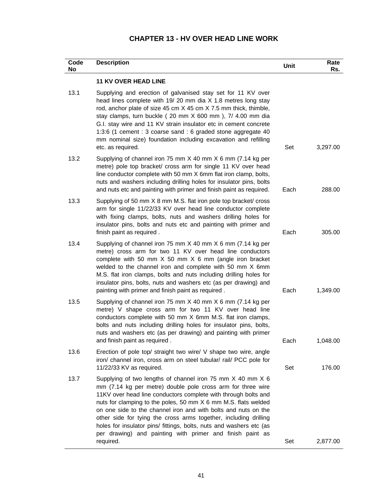| <b>CHAPTER 13 - HV OVER HEAD LINE WORK</b> |  |  |  |  |
|--------------------------------------------|--|--|--|--|
|--------------------------------------------|--|--|--|--|

| Code<br>No | <b>Description</b>                                                                                                                                                                                                                                                                                                                                                                                                                                                                                                                                   | Unit | Rate<br>Rs. |
|------------|------------------------------------------------------------------------------------------------------------------------------------------------------------------------------------------------------------------------------------------------------------------------------------------------------------------------------------------------------------------------------------------------------------------------------------------------------------------------------------------------------------------------------------------------------|------|-------------|
|            | <b>11 KV OVER HEAD LINE</b>                                                                                                                                                                                                                                                                                                                                                                                                                                                                                                                          |      |             |
| 13.1       | Supplying and erection of galvanised stay set for 11 KV over<br>head lines complete with 19/20 mm dia X 1.8 metres long stay<br>rod, anchor plate of size 45 cm X 45 cm X 7.5 mm thick, thimble,<br>stay clamps, turn buckle (20 mm X 600 mm), 7/ 4.00 mm dia<br>G.I. stay wire and 11 KV strain insulator etc in cement concrete<br>1:3:6 (1 cement : 3 coarse sand : 6 graded stone aggregate 40<br>mm nominal size) foundation including excavation and refilling<br>etc. as required.                                                            | Set  | 3,297.00    |
| 13.2       | Supplying of channel iron 75 mm X 40 mm X 6 mm (7.14 kg per<br>metre) pole top bracket/ cross arm for single 11 KV over head<br>line conductor complete with 50 mm X 6mm flat iron clamp, bolts,<br>nuts and washers including drilling holes for insulator pins, bolts<br>and nuts etc and painting with primer and finish paint as required.                                                                                                                                                                                                       | Each | 288.00      |
| 13.3       | Supplying of 50 mm X 8 mm M.S. flat iron pole top bracket/ cross<br>arm for single 11/22/33 KV over head line conductor complete<br>with fixing clamps, bolts, nuts and washers drilling holes for<br>insulator pins, bolts and nuts etc and painting with primer and<br>finish paint as required.                                                                                                                                                                                                                                                   | Each | 305.00      |
| 13.4       | Supplying of channel iron 75 mm X 40 mm X 6 mm (7.14 kg per<br>metre) cross arm for two 11 KV over head line conductors<br>complete with 50 mm $X$ 50 mm $X$ 6 mm (angle iron bracket<br>welded to the channel iron and complete with 50 mm X 6mm<br>M.S. flat iron clamps, bolts and nuts including drilling holes for<br>insulator pins, bolts, nuts and washers etc (as per drawing) and<br>painting with primer and finish paint as required.                                                                                                    | Each | 1,349.00    |
| 13.5       | Supplying of channel iron 75 mm X 40 mm X 6 mm (7.14 kg per<br>metre) V shape cross arm for two 11 KV over head line<br>conductors complete with 50 mm X 6mm M.S. flat iron clamps,<br>bolts and nuts including drilling holes for insulator pins, bolts,<br>nuts and washers etc (as per drawing) and painting with primer<br>and finish paint as required.                                                                                                                                                                                         | Each | 1,048.00    |
| 13.6       | Erection of pole top/ straight two wire/ V shape two wire, angle<br>iron/ channel iron, cross arm on steel tubular/ rail/ PCC pole for<br>11/22/33 KV as required.                                                                                                                                                                                                                                                                                                                                                                                   | Set  | 176.00      |
| 13.7       | Supplying of two lengths of channel iron 75 mm X 40 mm X 6<br>mm (7.14 kg per metre) double pole cross arm for three wire<br>11KV over head line conductors complete with through bolts and<br>nuts for clamping to the poles, 50 mm X 6 mm M.S. flats welded<br>on one side to the channel iron and with bolts and nuts on the<br>other side for tying the cross arms together, including drilling<br>holes for insulator pins/ fittings, bolts, nuts and washers etc (as<br>per drawing) and painting with primer and finish paint as<br>required. | Set  | 2,877.00    |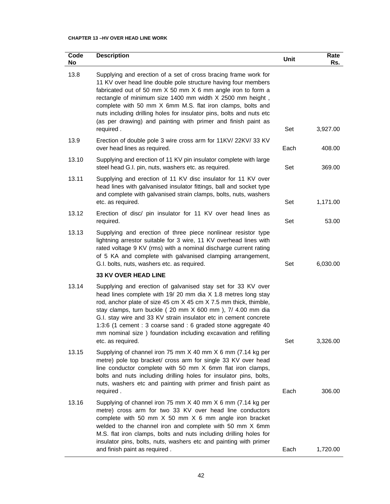## **CHAPTER 13 –HV OVER HEAD LINE WORK**

| Code<br>No | <b>Description</b>                                                                                                                                                                                                                                                                                                                                                                                                                                                                        | Unit | Rate<br>Rs. |
|------------|-------------------------------------------------------------------------------------------------------------------------------------------------------------------------------------------------------------------------------------------------------------------------------------------------------------------------------------------------------------------------------------------------------------------------------------------------------------------------------------------|------|-------------|
| 13.8       | Supplying and erection of a set of cross bracing frame work for<br>11 KV over head line double pole structure having four members<br>fabricated out of 50 mm X 50 mm X 6 mm angle iron to form a<br>rectangle of minimum size 1400 mm width X 2500 mm height,<br>complete with 50 mm X 6mm M.S. flat iron clamps, bolts and<br>nuts including drilling holes for insulator pins, bolts and nuts etc<br>(as per drawing) and painting with primer and finish paint as<br>required.         | Set  | 3,927.00    |
| 13.9       | Erection of double pole 3 wire cross arm for 11KV/ 22KV/ 33 KV<br>over head lines as required.                                                                                                                                                                                                                                                                                                                                                                                            | Each | 408.00      |
| 13.10      | Supplying and erection of 11 KV pin insulator complete with large<br>steel head G.I. pin, nuts, washers etc. as required.                                                                                                                                                                                                                                                                                                                                                                 | Set  | 369.00      |
| 13.11      | Supplying and erection of 11 KV disc insulator for 11 KV over<br>head lines with galvanised insulator fittings, ball and socket type<br>and complete with galvanised strain clamps, bolts, nuts, washers<br>etc. as required.                                                                                                                                                                                                                                                             | Set  | 1,171.00    |
| 13.12      | Erection of disc/ pin insulator for 11 KV over head lines as<br>required.                                                                                                                                                                                                                                                                                                                                                                                                                 | Set  | 53.00       |
| 13.13      | Supplying and erection of three piece nonlinear resistor type<br>lightning arrestor suitable for 3 wire, 11 KV overhead lines with<br>rated voltage 9 KV (rms) with a nominal discharge current rating<br>of 5 KA and complete with galvanised clamping arrangement,<br>G.I. bolts, nuts, washers etc. as required.                                                                                                                                                                       | Set  | 6,030.00    |
|            | <b>33 KV OVER HEAD LINE</b>                                                                                                                                                                                                                                                                                                                                                                                                                                                               |      |             |
| 13.14      | Supplying and erection of galvanised stay set for 33 KV over<br>head lines complete with 19/20 mm dia X 1.8 metres long stay<br>rod, anchor plate of size 45 cm X 45 cm X 7.5 mm thick, thimble,<br>stay clamps, turn buckle (20 mm X 600 mm), 7/ 4.00 mm dia<br>G.I. stay wire and 33 KV strain insulator etc in cement concrete<br>1:3:6 (1 cement : 3 coarse sand : 6 graded stone aggregate 40<br>mm nominal size) foundation including excavation and refilling<br>etc. as required. | Set  | 3,326.00    |
| 13.15      | Supplying of channel iron 75 mm X 40 mm X 6 mm (7.14 kg per<br>metre) pole top bracket/ cross arm for single 33 KV over head<br>line conductor complete with 50 mm X 6mm flat iron clamps,<br>bolts and nuts including drilling holes for insulator pins, bolts,<br>nuts, washers etc and painting with primer and finish paint as<br>required.                                                                                                                                           | Each | 306.00      |
| 13.16      | Supplying of channel iron 75 mm X 40 mm X 6 mm (7.14 kg per<br>metre) cross arm for two 33 KV over head line conductors<br>complete with 50 mm X 50 mm X 6 mm angle iron bracket<br>welded to the channel iron and complete with 50 mm X 6mm<br>M.S. flat iron clamps, bolts and nuts including drilling holes for<br>insulator pins, bolts, nuts, washers etc and painting with primer<br>and finish paint as required.                                                                  | Each | 1,720.00    |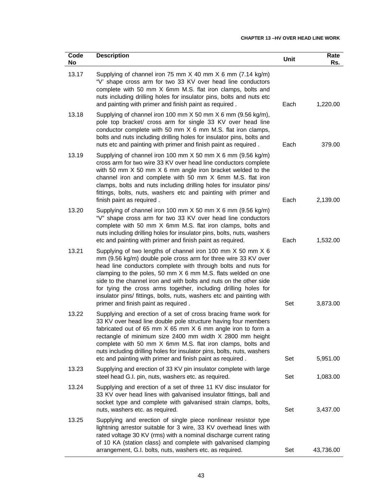## **CHAPTER 13 –HV OVER HEAD LINE WORK**

| Code<br>No | <b>Description</b>                                                                                                                                                                                                                                                                                                                                                                                                                                                                                                      | Unit | Rate<br>Rs. |
|------------|-------------------------------------------------------------------------------------------------------------------------------------------------------------------------------------------------------------------------------------------------------------------------------------------------------------------------------------------------------------------------------------------------------------------------------------------------------------------------------------------------------------------------|------|-------------|
| 13.17      | Supplying of channel iron 75 mm X 40 mm X 6 mm (7.14 kg/m)<br>"V' shape cross arm for two 33 KV over head line conductors<br>complete with 50 mm X 6mm M.S. flat iron clamps, bolts and<br>nuts including drilling holes for insulator pins, bolts and nuts etc<br>and painting with primer and finish paint as required.                                                                                                                                                                                               | Each | 1,220.00    |
| 13.18      | Supplying of channel iron 100 mm X 50 mm X 6 mm (9.56 kg/m),<br>pole top bracket/ cross arm for single 33 KV over head line<br>conductor complete with 50 mm X 6 mm M.S. flat iron clamps,<br>bolts and nuts including drilling holes for insulator pins, bolts and<br>nuts etc and painting with primer and finish paint as required.                                                                                                                                                                                  | Each | 379.00      |
| 13.19      | Supplying of channel iron 100 mm X 50 mm X 6 mm (9.56 kg/m)<br>cross arm for two wire 33 KV over head line conductors complete<br>with 50 mm X 50 mm X 6 mm angle iron bracket welded to the<br>channel iron and complete with 50 mm X 6mm M.S. flat iron<br>clamps, bolts and nuts including drilling holes for insulator pins/<br>fittings, bolts, nuts, washers etc and painting with primer and<br>finish paint as required.                                                                                        | Each | 2,139.00    |
| 13.20      | Supplying of channel iron 100 mm X 50 mm X 6 mm (9.56 kg/m)<br>"V" shape cross arm for two 33 KV over head line conductors<br>complete with 50 mm X 6mm M.S. flat iron clamps, bolts and<br>nuts including drilling holes for insulator pins, bolts, nuts, washers<br>etc and painting with primer and finish paint as required.                                                                                                                                                                                        | Each | 1,532.00    |
| 13.21      | Supplying of two lengths of channel iron 100 mm X 50 mm X 6<br>mm (9.56 kg/m) double pole cross arm for three wire 33 KV over<br>head line conductors complete with through bolts and nuts for<br>clamping to the poles, 50 mm X 6 mm M.S. flats welded on one<br>side to the channel iron and with bolts and nuts on the other side<br>for tying the cross arms together, including drilling holes for<br>insulator pins/ fittings, bolts, nuts, washers etc and painting with<br>primer and finish paint as required. | Set  | 3,873.00    |
| 13.22      | Supplying and erection of a set of cross bracing frame work for<br>33 KV over head line double pole structure having four members<br>fabricated out of 65 mm X 65 mm X 6 mm angle iron to form a<br>rectangle of minimum size 2400 mm width X 2800 mm height<br>complete with 50 mm X 6mm M.S. flat iron clamps, bolts and<br>nuts including drilling holes for insulator pins, bolts, nuts, washers<br>etc and painting with primer and finish paint as required.                                                      | Set  | 5,951.00    |
| 13.23      | Supplying and erection of 33 KV pin insulator complete with large<br>steel head G.I. pin, nuts, washers etc. as required.                                                                                                                                                                                                                                                                                                                                                                                               | Set  | 1,083.00    |
| 13.24      | Supplying and erection of a set of three 11 KV disc insulator for<br>33 KV over head lines with galvanised insulator fittings, ball and<br>socket type and complete with galvanised strain clamps, bolts,<br>nuts, washers etc. as required.                                                                                                                                                                                                                                                                            | Set  | 3,437.00    |
| 13.25      | Supplying and erection of single piece nonlinear resistor type<br>lightning arrestor suitable for 3 wire, 33 KV overhead lines with<br>rated voltage 30 KV (rms) with a nominal discharge current rating<br>of 10 KA (station class) and complete with galvanised clamping<br>arrangement, G.I. bolts, nuts, washers etc. as required.                                                                                                                                                                                  | Set  | 43,736.00   |
|            |                                                                                                                                                                                                                                                                                                                                                                                                                                                                                                                         |      |             |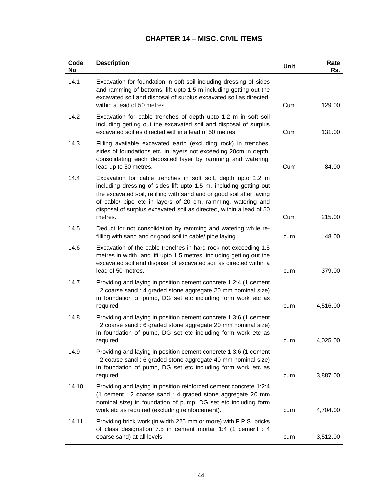# **CHAPTER 14 – MISC. CIVIL ITEMS**

| Code<br>No | <b>Description</b>                                                                                                                                                                                                                                                                                                                                            | Unit | Rate<br>Rs. |
|------------|---------------------------------------------------------------------------------------------------------------------------------------------------------------------------------------------------------------------------------------------------------------------------------------------------------------------------------------------------------------|------|-------------|
| 14.1       | Excavation for foundation in soft soil including dressing of sides<br>and ramming of bottoms, lift upto 1.5 m including getting out the<br>excavated soil and disposal of surplus excavated soil as directed,<br>within a lead of 50 metres.                                                                                                                  | Cum  | 129.00      |
| 14.2       | Excavation for cable trenches of depth upto 1.2 m in soft soil<br>including getting out the excavated soil and disposal of surplus<br>excavated soil as directed within a lead of 50 metres.                                                                                                                                                                  | Cum  | 131.00      |
| 14.3       | Filling available excavated earth (excluding rock) in trenches,<br>sides of foundations etc. in layers not exceeding 20cm in depth,<br>consolidating each deposited layer by ramming and watering,<br>lead up to 50 metres.                                                                                                                                   | Cum  | 84.00       |
| 14.4       | Excavation for cable trenches in soft soil, depth upto 1.2 m<br>including dressing of sides lift upto 1.5 m, including getting out<br>the excavated soil, refilling with sand and or good soil after laying<br>of cable/ pipe etc in layers of 20 cm, ramming, watering and<br>disposal of surplus excavated soil as directed, within a lead of 50<br>metres. | Cum  | 215.00      |
| 14.5       | Deduct for not consolidation by ramming and watering while re-<br>filling with sand and or good soil in cable/ pipe laying.                                                                                                                                                                                                                                   | cum  | 48.00       |
| 14.6       | Excavation of the cable trenches in hard rock not exceeding 1.5<br>metres in width, and lift upto 1.5 metres, including getting out the<br>excavated soil and disposal of excavated soil as directed within a<br>lead of 50 metres.                                                                                                                           | cum  | 379.00      |
| 14.7       | Providing and laying in position cement concrete 1:2:4 (1 cement<br>: 2 coarse sand : 4 graded stone aggregate 20 mm nominal size)<br>in foundation of pump, DG set etc including form work etc as<br>required.                                                                                                                                               | cum  | 4,516.00    |
| 14.8       | Providing and laying in position cement concrete 1:3:6 (1 cement<br>: 2 coarse sand : 6 graded stone aggregate 20 mm nominal size)<br>in foundation of pump, DG set etc including form work etc as<br>required.                                                                                                                                               | cum  | 4,025.00    |
| 14.9       | Providing and laying in position cement concrete 1:3:6 (1 cement<br>: 2 coarse sand : 6 graded stone aggregate 40 mm nominal size)<br>in foundation of pump, DG set etc including form work etc as<br>required.                                                                                                                                               | cum  | 3,887.00    |
| 14.10      | Providing and laying in position reinforced cement concrete 1:2:4<br>(1 cement : 2 coarse sand : 4 graded stone aggregate 20 mm<br>nominal size) in foundation of pump, DG set etc including form<br>work etc as required (excluding reinforcement).                                                                                                          | cum  | 4,704.00    |
| 14.11      | Providing brick work (in width 225 mm or more) with F.P.S. bricks<br>of class designation 7.5 in cement mortar 1:4 (1 cement : 4<br>coarse sand) at all levels.                                                                                                                                                                                               | cum  | 3,512.00    |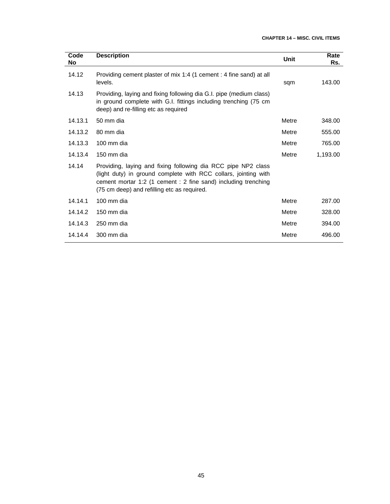| Code<br>No | <b>Description</b>                                                                                                                                                                                                                                | <b>Unit</b> | Rate<br>Rs. |
|------------|---------------------------------------------------------------------------------------------------------------------------------------------------------------------------------------------------------------------------------------------------|-------------|-------------|
| 14.12      | Providing cement plaster of mix 1:4 (1 cement : 4 fine sand) at all<br>levels.                                                                                                                                                                    | sqm         | 143.00      |
| 14.13      | Providing, laying and fixing following dia G.I. pipe (medium class)<br>in ground complete with G.I. fittings including trenching (75 cm<br>deep) and re-filling etc as required                                                                   |             |             |
| 14.13.1    | 50 mm dia                                                                                                                                                                                                                                         | Metre       | 348.00      |
| 14.13.2    | 80 mm dia                                                                                                                                                                                                                                         | Metre       | 555.00      |
| 14.13.3    | 100 mm dia                                                                                                                                                                                                                                        | Metre       | 765.00      |
| 14.13.4    | 150 mm dia                                                                                                                                                                                                                                        | Metre       | 1,193.00    |
| 14.14      | Providing, laying and fixing following dia RCC pipe NP2 class<br>(light duty) in ground complete with RCC collars, jointing with<br>cement mortar 1:2 (1 cement : 2 fine sand) including trenching<br>(75 cm deep) and refilling etc as required. |             |             |
| 14.14.1    | 100 mm dia                                                                                                                                                                                                                                        | Metre       | 287.00      |
| 14.14.2    | 150 mm dia                                                                                                                                                                                                                                        | Metre       | 328.00      |
| 14.14.3    | 250 mm dia                                                                                                                                                                                                                                        | Metre       | 394.00      |
| 14.14.4    | 300 mm dia                                                                                                                                                                                                                                        | Metre       | 496.00      |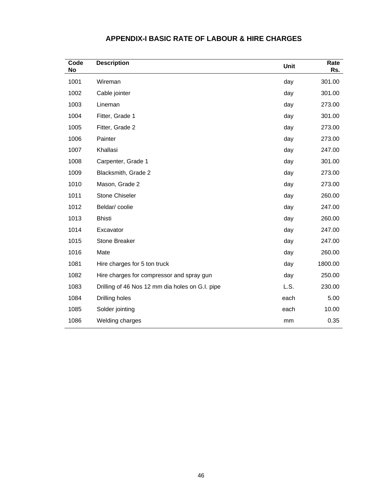| Code<br><b>No</b> | <b>Description</b>                              | Unit | Rate<br>Rs. |
|-------------------|-------------------------------------------------|------|-------------|
| 1001              | Wireman                                         | day  | 301.00      |
| 1002              | Cable jointer                                   | day  | 301.00      |
| 1003              | Lineman                                         | day  | 273.00      |
| 1004              | Fitter, Grade 1                                 | day  | 301.00      |
| 1005              | Fitter, Grade 2                                 | day  | 273.00      |
| 1006              | Painter                                         | day  | 273.00      |
| 1007              | Khallasi                                        | day  | 247.00      |
| 1008              | Carpenter, Grade 1                              | day  | 301.00      |
| 1009              | Blacksmith, Grade 2                             | day  | 273.00      |
| 1010              | Mason, Grade 2                                  | day  | 273.00      |
| 1011              | <b>Stone Chiseler</b>                           | day  | 260.00      |
| 1012              | Beldar/coolie                                   | day  | 247.00      |
| 1013              | <b>Bhisti</b>                                   | day  | 260.00      |
| 1014              | Excavator                                       | day  | 247.00      |
| 1015              | <b>Stone Breaker</b>                            | day  | 247.00      |
| 1016              | Mate                                            | day  | 260.00      |
| 1081              | Hire charges for 5 ton truck                    | day  | 1800.00     |
| 1082              | Hire charges for compressor and spray gun       | day  | 250.00      |
| 1083              | Drilling of 46 Nos 12 mm dia holes on G.I. pipe | L.S. | 230.00      |
| 1084              | Drilling holes                                  | each | 5.00        |
| 1085              | Solder jointing                                 | each | 10.00       |
| 1086              | Welding charges                                 | mm   | 0.35        |

## **APPENDIX-I BASIC RATE OF LABOUR & HIRE CHARGES**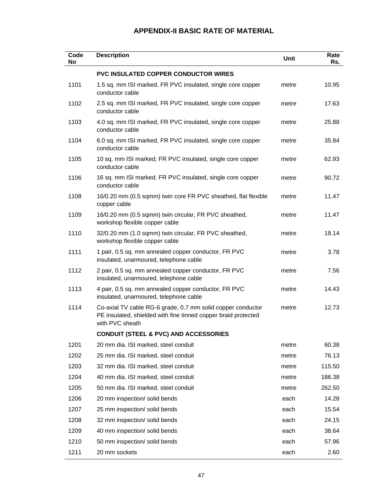| Code<br><b>No</b> | <b>Description</b>                                                                                                                               | Unit  | Rate<br>Rs. |
|-------------------|--------------------------------------------------------------------------------------------------------------------------------------------------|-------|-------------|
|                   | <b>PVC INSULATED COPPER CONDUCTOR WIRES</b>                                                                                                      |       |             |
| 1101              | 1.5 sq. mm ISI marked, FR PVC insulated, single core copper<br>conductor cable                                                                   | metre | 10.95       |
| 1102              | 2.5 sq. mm ISI marked, FR PVC insulated, single core copper<br>conductor cable                                                                   | metre | 17.63       |
| 1103              | 4.0 sq. mm ISI marked, FR PVC insulated, single core copper<br>conductor cable                                                                   | metre | 25.88       |
| 1104              | 6.0 sq. mm ISI marked, FR PVC insulated, single core copper<br>conductor cable                                                                   | metre | 35.84       |
| 1105              | 10 sq. mm ISI marked, FR PVC insulated, single core copper<br>conductor cable                                                                    | metre | 62.93       |
| 1106              | 16 sq. mm ISI marked, FR PVC insulated, single core copper<br>conductor cable                                                                    | metre | 90.72       |
| 1108              | 16/0.20 mm (0.5 sqmm) twin core FR PVC sheathed, flat flexible<br>copper cable                                                                   | metre | 11.47       |
| 1109              | 16/0.20 mm (0.5 sqmm) twin circular, FR PVC sheathed,<br>workshop flexible copper cable                                                          | metre | 11.47       |
| 1110              | 32/0.20 mm (1.0 sqmm) twin circular, FR PVC sheathed,<br>workshop flexible copper cable                                                          | metre | 18.14       |
| 1111              | 1 pair, 0.5 sq. mm annealed copper conductor, FR PVC<br>insulated, unarmoured, telephone cable                                                   | metre | 3.78        |
| 1112              | 2 pair, 0.5 sq. mm annealed copper conductor, FR PVC<br>insulated, unarmoured, telephone cable                                                   | metre | 7.56        |
| 1113              | 4 pair, 0.5 sq. mm annealed copper conductor, FR PVC<br>insulated, unarmoured, telephone cable                                                   | metre | 14.43       |
| 1114              | Co-axial TV cable RG-6 grade, 0.7 mm solid copper conductor<br>PE insulated, shielded with fine tinned copper braid protected<br>with PVC sheath | metre | 12.73       |
|                   | <b>CONDUIT (STEEL &amp; PVC) AND ACCESSORIES</b>                                                                                                 |       |             |
| 1201              | 20 mm dia. ISI marked, steel conduit                                                                                                             | metre | 60.38       |
| 1202              | 25 mm dia. ISI marked, steel conduit                                                                                                             | metre | 76.13       |
| 1203              | 32 mm dia. ISI marked, steel conduit                                                                                                             | metre | 115.50      |
| 1204              | 40 mm dia. ISI marked, steel conduit                                                                                                             | metre | 186.38      |
| 1205              | 50 mm dia. ISI marked, steel conduit                                                                                                             | metre | 262.50      |
| 1206              | 20 mm inspection/ solid bends                                                                                                                    | each  | 14.28       |
| 1207              | 25 mm inspection/ solid bends                                                                                                                    | each  | 15.54       |
| 1208              | 32 mm inspection/ solid bends                                                                                                                    | each  | 24.15       |
| 1209              | 40 mm inspection/ solid bends                                                                                                                    | each  | 38.64       |
| 1210              | 50 mm inspection/ solid bends                                                                                                                    | each  | 57.96       |
| 1211              | 20 mm sockets                                                                                                                                    | each  | 2.60        |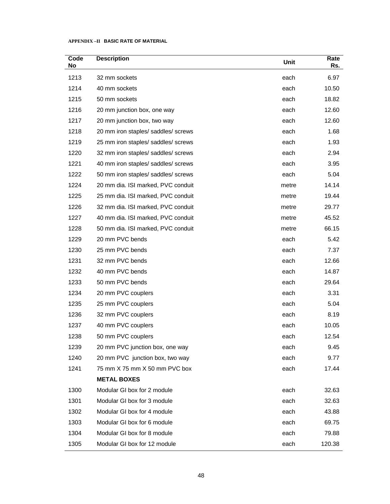| Code<br>No | <b>Description</b>                  | Unit  | Rate<br>Rs. |
|------------|-------------------------------------|-------|-------------|
| 1213       | 32 mm sockets                       | each  | 6.97        |
| 1214       | 40 mm sockets                       | each  | 10.50       |
| 1215       | 50 mm sockets                       | each  | 18.82       |
| 1216       | 20 mm junction box, one way         | each  | 12.60       |
| 1217       | 20 mm junction box, two way         | each  | 12.60       |
| 1218       | 20 mm iron staples/ saddles/ screws | each  | 1.68        |
| 1219       | 25 mm iron staples/ saddles/ screws | each  | 1.93        |
| 1220       | 32 mm iron staples/ saddles/ screws | each  | 2.94        |
| 1221       | 40 mm iron staples/ saddles/ screws | each  | 3.95        |
| 1222       | 50 mm iron staples/ saddles/ screws | each  | 5.04        |
| 1224       | 20 mm dia. ISI marked, PVC conduit  | metre | 14.14       |
| 1225       | 25 mm dia. ISI marked, PVC conduit  | metre | 19.44       |
| 1226       | 32 mm dia. ISI marked, PVC conduit  | metre | 29.77       |
| 1227       | 40 mm dia. ISI marked, PVC conduit  | metre | 45.52       |
| 1228       | 50 mm dia. ISI marked, PVC conduit  | metre | 66.15       |
| 1229       | 20 mm PVC bends                     | each  | 5.42        |
| 1230       | 25 mm PVC bends                     | each  | 7.37        |
| 1231       | 32 mm PVC bends                     | each  | 12.66       |
| 1232       | 40 mm PVC bends                     | each  | 14.87       |
| 1233       | 50 mm PVC bends                     | each  | 29.64       |
| 1234       | 20 mm PVC couplers                  | each  | 3.31        |
| 1235       | 25 mm PVC couplers                  | each  | 5.04        |
| 1236       | 32 mm PVC couplers                  | each  | 8.19        |
| 1237       | 40 mm PVC couplers                  | each  | 10.05       |
| 1238       | 50 mm PVC couplers                  | each  | 12.54       |
| 1239       | 20 mm PVC junction box, one way     | each  | 9.45        |
| 1240       | 20 mm PVC junction box, two way     | each  | 9.77        |
| 1241       | 75 mm X 75 mm X 50 mm PVC box       | each  | 17.44       |
|            | <b>METAL BOXES</b>                  |       |             |
| 1300       | Modular GI box for 2 module         | each  | 32.63       |
| 1301       | Modular GI box for 3 module         | each  | 32.63       |
| 1302       | Modular GI box for 4 module         | each  | 43.88       |
| 1303       | Modular GI box for 6 module         | each  | 69.75       |
| 1304       | Modular GI box for 8 module         | each  | 79.88       |
| 1305       | Modular GI box for 12 module        | each  | 120.38      |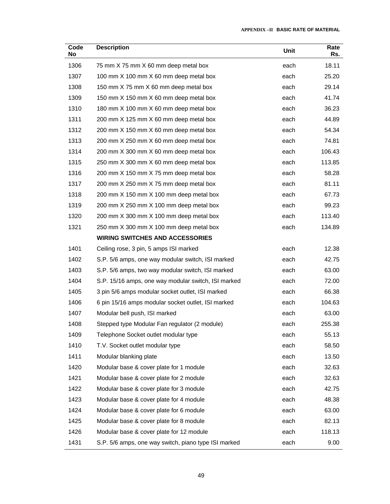| Code<br>No | <b>Description</b>                                   | Unit | Rate<br>Rs. |
|------------|------------------------------------------------------|------|-------------|
| 1306       | 75 mm X 75 mm X 60 mm deep metal box                 | each | 18.11       |
| 1307       | 100 mm X 100 mm X 60 mm deep metal box               | each | 25.20       |
| 1308       | 150 mm X 75 mm X 60 mm deep metal box                | each | 29.14       |
| 1309       | 150 mm X 150 mm X 60 mm deep metal box               | each | 41.74       |
| 1310       | 180 mm X 100 mm X 60 mm deep metal box               | each | 36.23       |
| 1311       | 200 mm X 125 mm X 60 mm deep metal box               | each | 44.89       |
| 1312       | 200 mm X 150 mm X 60 mm deep metal box               | each | 54.34       |
| 1313       | 200 mm X 250 mm X 60 mm deep metal box               | each | 74.81       |
| 1314       | 200 mm X 300 mm X 60 mm deep metal box               | each | 106.43      |
| 1315       | 250 mm X 300 mm X 60 mm deep metal box               | each | 113.85      |
| 1316       | 200 mm X 150 mm X 75 mm deep metal box               | each | 58.28       |
| 1317       | 200 mm X 250 mm X 75 mm deep metal box               | each | 81.11       |
| 1318       | 200 mm X 150 mm X 100 mm deep metal box              | each | 67.73       |
| 1319       | 200 mm X 250 mm X 100 mm deep metal box              | each | 99.23       |
| 1320       | 200 mm X 300 mm X 100 mm deep metal box              | each | 113.40      |
| 1321       | 250 mm X 300 mm X 100 mm deep metal box              | each | 134.89      |
|            | <b>WIRING SWITCHES AND ACCESSORIES</b>               |      |             |
| 1401       | Ceiling rose, 3 pin, 5 amps ISI marked               | each | 12.38       |
| 1402       | S.P. 5/6 amps, one way modular switch, ISI marked    | each | 42.75       |
| 1403       | S.P. 5/6 amps, two way modular switch, ISI marked    | each | 63.00       |
| 1404       | S.P. 15/16 amps, one way modular switch, ISI marked  | each | 72.00       |
| 1405       | 3 pin 5/6 amps modular socket outlet, ISI marked     | each | 66.38       |
| 1406       | 6 pin 15/16 amps modular socket outlet, ISI marked   | each | 104.63      |
| 1407       | Modular bell push, ISI marked                        | each | 63.00       |
| 1408       | Stepped type Modular Fan regulator (2 module)        | each | 255.38      |
| 1409       | Telephone Socket outlet modular type                 | each | 55.13       |
| 1410       | T.V. Socket outlet modular type                      | each | 58.50       |
| 1411       | Modular blanking plate                               | each | 13.50       |
| 1420       | Modular base & cover plate for 1 module              | each | 32.63       |
| 1421       | Modular base & cover plate for 2 module              | each | 32.63       |
| 1422       | Modular base & cover plate for 3 module              | each | 42.75       |
| 1423       | Modular base & cover plate for 4 module              | each | 48.38       |
| 1424       | Modular base & cover plate for 6 module              | each | 63.00       |
| 1425       | Modular base & cover plate for 8 module              | each | 82.13       |
| 1426       | Modular base & cover plate for 12 module             | each | 118.13      |
| 1431       | S.P. 5/6 amps, one way switch, piano type ISI marked | each | 9.00        |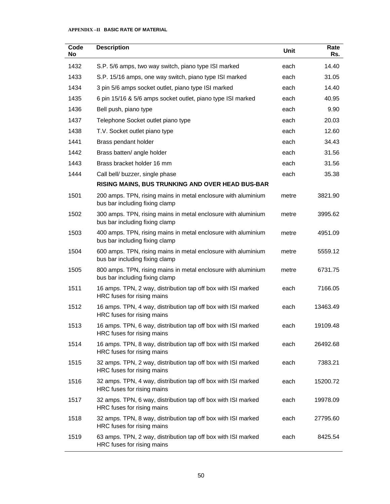| Code<br><b>No</b> | <b>Description</b>                                                                              | Unit  | Rate<br>Rs. |
|-------------------|-------------------------------------------------------------------------------------------------|-------|-------------|
| 1432              | S.P. 5/6 amps, two way switch, piano type ISI marked                                            | each  | 14.40       |
| 1433              | S.P. 15/16 amps, one way switch, piano type ISI marked                                          | each  | 31.05       |
| 1434              | 3 pin 5/6 amps socket outlet, piano type ISI marked                                             | each  | 14.40       |
| 1435              | 6 pin 15/16 & 5/6 amps socket outlet, piano type ISI marked                                     | each  | 40.95       |
| 1436              | Bell push, piano type                                                                           | each  | 9.90        |
| 1437              | Telephone Socket outlet piano type                                                              | each  | 20.03       |
| 1438              | T.V. Socket outlet piano type                                                                   | each  | 12.60       |
| 1441              | Brass pendant holder                                                                            | each  | 34.43       |
| 1442              | Brass batten/ angle holder                                                                      | each  | 31.56       |
| 1443              | Brass bracket holder 16 mm                                                                      | each  | 31.56       |
| 1444              | Call bell/ buzzer, single phase                                                                 | each  | 35.38       |
|                   | RISING MAINS, BUS TRUNKING AND OVER HEAD BUS-BAR                                                |       |             |
| 1501              | 200 amps. TPN, rising mains in metal enclosure with aluminium<br>bus bar including fixing clamp | metre | 3821.90     |
| 1502              | 300 amps. TPN, rising mains in metal enclosure with aluminium<br>bus bar including fixing clamp | metre | 3995.62     |
| 1503              | 400 amps. TPN, rising mains in metal enclosure with aluminium<br>bus bar including fixing clamp | metre | 4951.09     |
| 1504              | 600 amps. TPN, rising mains in metal enclosure with aluminium<br>bus bar including fixing clamp | metre | 5559.12     |
| 1505              | 800 amps. TPN, rising mains in metal enclosure with aluminium<br>bus bar including fixing clamp | metre | 6731.75     |
| 1511              | 16 amps. TPN, 2 way, distribution tap off box with ISI marked<br>HRC fuses for rising mains     | each  | 7166.05     |
| 1512              | 16 amps. TPN, 4 way, distribution tap off box with ISI marked<br>HRC fuses for rising mains     | each  | 13463.49    |
| 1513              | 16 amps. TPN, 6 way, distribution tap off box with ISI marked<br>HRC fuses for rising mains     | each  | 19109.48    |
| 1514              | 16 amps. TPN, 8 way, distribution tap off box with ISI marked<br>HRC fuses for rising mains     | each  | 26492.68    |
| 1515              | 32 amps. TPN, 2 way, distribution tap off box with ISI marked<br>HRC fuses for rising mains     | each  | 7383.21     |
| 1516              | 32 amps. TPN, 4 way, distribution tap off box with ISI marked<br>HRC fuses for rising mains     | each  | 15200.72    |
| 1517              | 32 amps. TPN, 6 way, distribution tap off box with ISI marked<br>HRC fuses for rising mains     | each  | 19978.09    |
| 1518              | 32 amps. TPN, 8 way, distribution tap off box with ISI marked<br>HRC fuses for rising mains     | each  | 27795.60    |
| 1519              | 63 amps. TPN, 2 way, distribution tap off box with ISI marked<br>HRC fuses for rising mains     | each  | 8425.54     |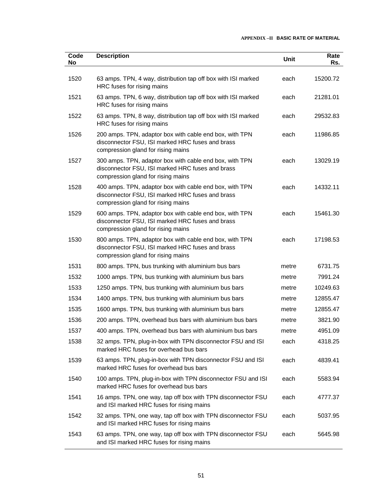| Code<br>No | <b>Description</b>                                                                                                                                | Unit  | Rate<br>Rs. |
|------------|---------------------------------------------------------------------------------------------------------------------------------------------------|-------|-------------|
|            |                                                                                                                                                   |       |             |
| 1520       | 63 amps. TPN, 4 way, distribution tap off box with ISI marked<br>HRC fuses for rising mains                                                       | each  | 15200.72    |
| 1521       | 63 amps. TPN, 6 way, distribution tap off box with ISI marked<br>HRC fuses for rising mains                                                       | each  | 21281.01    |
| 1522       | 63 amps. TPN, 8 way, distribution tap off box with ISI marked<br>HRC fuses for rising mains                                                       | each  | 29532.83    |
| 1526       | 200 amps. TPN, adaptor box with cable end box, with TPN<br>disconnector FSU, ISI marked HRC fuses and brass<br>compression gland for rising mains | each  | 11986.85    |
| 1527       | 300 amps. TPN, adaptor box with cable end box, with TPN<br>disconnector FSU, ISI marked HRC fuses and brass<br>compression gland for rising mains | each  | 13029.19    |
| 1528       | 400 amps. TPN, adaptor box with cable end box, with TPN<br>disconnector FSU, ISI marked HRC fuses and brass<br>compression gland for rising mains | each  | 14332.11    |
| 1529       | 600 amps. TPN, adaptor box with cable end box, with TPN<br>disconnector FSU, ISI marked HRC fuses and brass<br>compression gland for rising mains | each  | 15461.30    |
| 1530       | 800 amps. TPN, adaptor box with cable end box, with TPN<br>disconnector FSU, ISI marked HRC fuses and brass<br>compression gland for rising mains | each  | 17198.53    |
| 1531       | 800 amps. TPN, bus trunking with aluminium bus bars                                                                                               | metre | 6731.75     |
| 1532       | 1000 amps. TPN, bus trunking with aluminium bus bars                                                                                              | metre | 7991.24     |
| 1533       | 1250 amps. TPN, bus trunking with aluminium bus bars                                                                                              | metre | 10249.63    |
| 1534       | 1400 amps. TPN, bus trunking with aluminium bus bars                                                                                              | metre | 12855.47    |
| 1535       | 1600 amps. TPN, bus trunking with aluminium bus bars                                                                                              | metre | 12855.47    |
| 1536       | 200 amps. TPN, overhead bus bars with aluminium bus bars                                                                                          | metre | 3821.90     |
| 1537       | 400 amps. TPN, overhead bus bars with aluminium bus bars                                                                                          | metre | 4951.09     |
| 1538       | 32 amps. TPN, plug-in-box with TPN disconnector FSU and ISI<br>marked HRC fuses for overhead bus bars                                             | each  | 4318.25     |
| 1539       | 63 amps. TPN, plug-in-box with TPN disconnector FSU and ISI<br>marked HRC fuses for overhead bus bars                                             | each  | 4839.41     |
| 1540       | 100 amps. TPN, plug-in-box with TPN disconnector FSU and ISI<br>marked HRC fuses for overhead bus bars                                            | each  | 5583.94     |
| 1541       | 16 amps. TPN, one way, tap off box with TPN disconnector FSU<br>and ISI marked HRC fuses for rising mains                                         | each  | 4777.37     |
| 1542       | 32 amps. TPN, one way, tap off box with TPN disconnector FSU<br>and ISI marked HRC fuses for rising mains                                         | each  | 5037.95     |
| 1543       | 63 amps. TPN, one way, tap off box with TPN disconnector FSU<br>and ISI marked HRC fuses for rising mains                                         | each  | 5645.98     |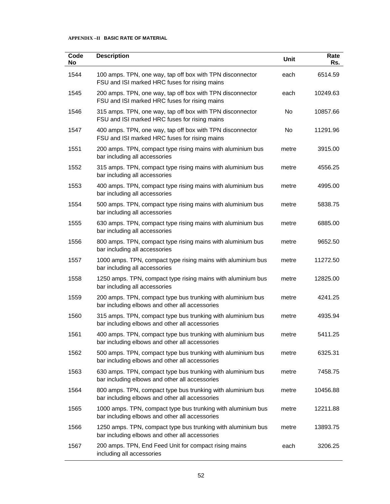| Code<br>No | <b>Description</b>                                                                                             | Unit      | Rate<br>Rs. |
|------------|----------------------------------------------------------------------------------------------------------------|-----------|-------------|
| 1544       | 100 amps. TPN, one way, tap off box with TPN disconnector<br>FSU and ISI marked HRC fuses for rising mains     | each      | 6514.59     |
| 1545       | 200 amps. TPN, one way, tap off box with TPN disconnector<br>FSU and ISI marked HRC fuses for rising mains     | each      | 10249.63    |
| 1546       | 315 amps. TPN, one way, tap off box with TPN disconnector<br>FSU and ISI marked HRC fuses for rising mains     | <b>No</b> | 10857.66    |
| 1547       | 400 amps. TPN, one way, tap off box with TPN disconnector<br>FSU and ISI marked HRC fuses for rising mains     | No        | 11291.96    |
| 1551       | 200 amps. TPN, compact type rising mains with aluminium bus<br>bar including all accessories                   | metre     | 3915.00     |
| 1552       | 315 amps. TPN, compact type rising mains with aluminium bus<br>bar including all accessories                   | metre     | 4556.25     |
| 1553       | 400 amps. TPN, compact type rising mains with aluminium bus<br>bar including all accessories                   | metre     | 4995.00     |
| 1554       | 500 amps. TPN, compact type rising mains with aluminium bus<br>bar including all accessories                   | metre     | 5838.75     |
| 1555       | 630 amps. TPN, compact type rising mains with aluminium bus<br>bar including all accessories                   | metre     | 6885.00     |
| 1556       | 800 amps. TPN, compact type rising mains with aluminium bus<br>bar including all accessories                   | metre     | 9652.50     |
| 1557       | 1000 amps. TPN, compact type rising mains with aluminium bus<br>bar including all accessories                  | metre     | 11272.50    |
| 1558       | 1250 amps. TPN, compact type rising mains with aluminium bus<br>bar including all accessories                  | metre     | 12825.00    |
| 1559       | 200 amps. TPN, compact type bus trunking with aluminium bus<br>bar including elbows and other all accessories  | metre     | 4241.25     |
| 1560       | 315 amps. TPN, compact type bus trunking with aluminium bus<br>bar including elbows and other all accessories  | metre     | 4935.94     |
| 1561       | 400 amps. TPN, compact type bus trunking with aluminium bus<br>bar including elbows and other all accessories  | metre     | 5411.25     |
| 1562       | 500 amps. TPN, compact type bus trunking with aluminium bus<br>bar including elbows and other all accessories  | metre     | 6325.31     |
| 1563       | 630 amps. TPN, compact type bus trunking with aluminium bus<br>bar including elbows and other all accessories  | metre     | 7458.75     |
| 1564       | 800 amps. TPN, compact type bus trunking with aluminium bus<br>bar including elbows and other all accessories  | metre     | 10456.88    |
| 1565       | 1000 amps. TPN, compact type bus trunking with aluminium bus<br>bar including elbows and other all accessories | metre     | 12211.88    |
| 1566       | 1250 amps. TPN, compact type bus trunking with aluminium bus<br>bar including elbows and other all accessories | metre     | 13893.75    |
| 1567       | 200 amps. TPN, End Feed Unit for compact rising mains<br>including all accessories                             | each      | 3206.25     |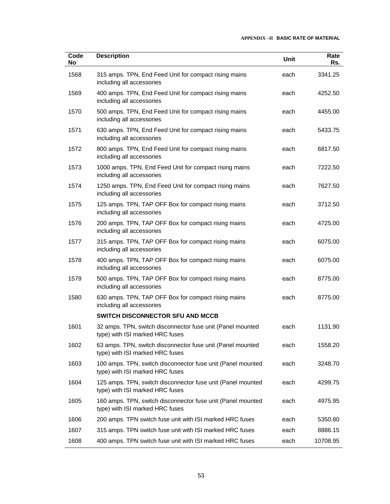| Code<br>No | <b>Description</b>                                                                             | Unit | Rate<br>Rs. |
|------------|------------------------------------------------------------------------------------------------|------|-------------|
| 1568       | 315 amps. TPN, End Feed Unit for compact rising mains<br>including all accessories             | each | 3341.25     |
| 1569       | 400 amps. TPN, End Feed Unit for compact rising mains<br>including all accessories             | each | 4252.50     |
| 1570       | 500 amps. TPN, End Feed Unit for compact rising mains<br>including all accessories             | each | 4455.00     |
| 1571       | 630 amps. TPN, End Feed Unit for compact rising mains<br>including all accessories             | each | 5433.75     |
| 1572       | 800 amps. TPN, End Feed Unit for compact rising mains<br>including all accessories             | each | 6817.50     |
| 1573       | 1000 amps. TPN, End Feed Unit for compact rising mains<br>including all accessories            | each | 7222.50     |
| 1574       | 1250 amps. TPN, End Feed Unit for compact rising mains<br>including all accessories            | each | 7627.50     |
| 1575       | 125 amps. TPN, TAP OFF Box for compact rising mains<br>including all accessories               | each | 3712.50     |
| 1576       | 200 amps. TPN, TAP OFF Box for compact rising mains<br>including all accessories               | each | 4725.00     |
| 1577       | 315 amps. TPN, TAP OFF Box for compact rising mains<br>including all accessories               | each | 6075.00     |
| 1578       | 400 amps. TPN, TAP OFF Box for compact rising mains<br>including all accessories               | each | 6075.00     |
| 1579       | 500 amps. TPN, TAP OFF Box for compact rising mains<br>including all accessories               | each | 8775.00     |
| 1580       | 630 amps. TPN, TAP OFF Box for compact rising mains<br>including all accessories               | each | 8775.00     |
|            | SWITCH DISCONNECTOR SFU AND MCCB                                                               |      |             |
| 1601       | 32 amps. TPN, switch disconnector fuse unit (Panel mounted<br>type) with ISI marked HRC fuses  | each | 1131.90     |
| 1602       | 63 amps. TPN, switch disconnector fuse unit (Panel mounted<br>type) with ISI marked HRC fuses  | each | 1558.20     |
| 1603       | 100 amps. TPN, switch disconnector fuse unit (Panel mounted<br>type) with ISI marked HRC fuses | each | 3248.70     |
| 1604       | 125 amps. TPN, switch disconnector fuse unit (Panel mounted<br>type) with ISI marked HRC fuses | each | 4299.75     |
| 1605       | 160 amps. TPN, switch disconnector fuse unit (Panel mounted<br>type) with ISI marked HRC fuses | each | 4975.95     |
| 1606       | 200 amps. TPN switch fuse unit with ISI marked HRC fuses                                       | each | 5350.80     |
| 1607       | 315 amps. TPN switch fuse unit with ISI marked HRC fuses                                       | each | 8886.15     |
| 1608       | 400 amps. TPN switch fuse unit with ISI marked HRC fuses                                       | each | 10708.95    |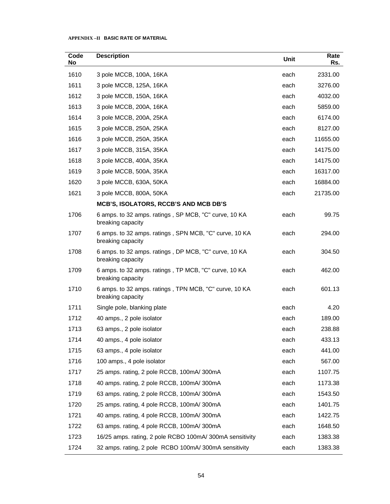| Code<br>No | <b>Description</b>                                                          | Unit | Rate<br>Rs. |
|------------|-----------------------------------------------------------------------------|------|-------------|
| 1610       | 3 pole MCCB, 100A, 16KA                                                     | each | 2331.00     |
| 1611       | 3 pole MCCB, 125A, 16KA                                                     | each | 3276.00     |
| 1612       | 3 pole MCCB, 150A, 16KA                                                     | each | 4032.00     |
| 1613       | 3 pole MCCB, 200A, 16KA                                                     | each | 5859.00     |
| 1614       | 3 pole MCCB, 200A, 25KA                                                     | each | 6174.00     |
| 1615       | 3 pole MCCB, 250A, 25KA                                                     | each | 8127.00     |
| 1616       | 3 pole MCCB, 250A, 35KA                                                     | each | 11655.00    |
| 1617       | 3 pole MCCB, 315A, 35KA                                                     | each | 14175.00    |
| 1618       | 3 pole MCCB, 400A, 35KA                                                     | each | 14175.00    |
| 1619       | 3 pole MCCB, 500A, 35KA                                                     | each | 16317.00    |
| 1620       | 3 pole MCCB, 630A, 50KA                                                     | each | 16884.00    |
| 1621       | 3 pole MCCB, 800A, 50KA                                                     | each | 21735.00    |
|            | MCB'S, ISOLATORS, RCCB'S AND MCB DB'S                                       |      |             |
| 1706       | 6 amps. to 32 amps. ratings, SP MCB, "C" curve, 10 KA<br>breaking capacity  | each | 99.75       |
| 1707       | 6 amps. to 32 amps. ratings, SPN MCB, "C" curve, 10 KA<br>breaking capacity | each | 294.00      |
| 1708       | 6 amps. to 32 amps. ratings, DP MCB, "C" curve, 10 KA<br>breaking capacity  | each | 304.50      |
| 1709       | 6 amps. to 32 amps. ratings, TP MCB, "C" curve, 10 KA<br>breaking capacity  | each | 462.00      |
| 1710       | 6 amps. to 32 amps. ratings, TPN MCB, "C" curve, 10 KA<br>breaking capacity | each | 601.13      |
| 1711       | Single pole, blanking plate                                                 | each | 4.20        |
| 1712       | 40 amps., 2 pole isolator                                                   | each | 189.00      |
| 1713       | 63 amps., 2 pole isolator                                                   | each | 238.88      |
| 1714       | 40 amps., 4 pole isolator                                                   | each | 433.13      |
| 1715       | 63 amps., 4 pole isolator                                                   | each | 441.00      |
| 1716       | 100 amps., 4 pole isolator                                                  | each | 567.00      |
| 1717       | 25 amps. rating, 2 pole RCCB, 100mA/300mA                                   | each | 1107.75     |
| 1718       | 40 amps. rating, 2 pole RCCB, 100mA/300mA                                   | each | 1173.38     |
| 1719       | 63 amps. rating, 2 pole RCCB, 100mA/300mA                                   | each | 1543.50     |
| 1720       | 25 amps. rating, 4 pole RCCB, 100mA/300mA                                   | each | 1401.75     |
| 1721       | 40 amps. rating, 4 pole RCCB, 100mA/300mA                                   | each | 1422.75     |
| 1722       | 63 amps. rating, 4 pole RCCB, 100mA/300mA                                   | each | 1648.50     |
| 1723       | 16/25 amps. rating, 2 pole RCBO 100mA/300mA sensitivity                     | each | 1383.38     |
| 1724       | 32 amps. rating, 2 pole RCBO 100mA/300mA sensitivity                        | each | 1383.38     |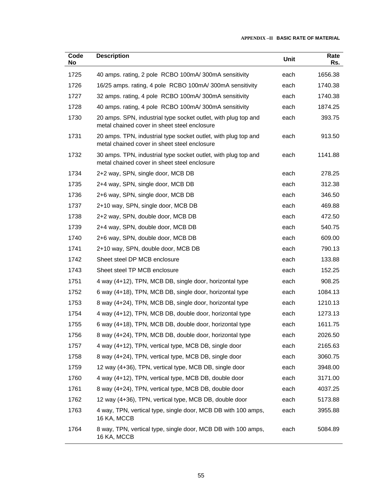| Code<br>No | <b>Description</b>                                                                                             | Unit | Rate<br>Rs. |
|------------|----------------------------------------------------------------------------------------------------------------|------|-------------|
| 1725       | 40 amps. rating, 2 pole RCBO 100mA/300mA sensitivity                                                           | each | 1656.38     |
| 1726       | 16/25 amps. rating, 4 pole RCBO 100mA/300mA sensitivity                                                        | each | 1740.38     |
| 1727       | 32 amps. rating, 4 pole RCBO 100mA/300mA sensitivity                                                           | each | 1740.38     |
| 1728       | 40 amps. rating, 4 pole RCBO 100mA/300mA sensitivity                                                           | each | 1874.25     |
| 1730       | 20 amps. SPN, industrial type socket outlet, with plug top and<br>metal chained cover in sheet steel enclosure | each | 393.75      |
| 1731       | 20 amps. TPN, industrial type socket outlet, with plug top and<br>metal chained cover in sheet steel enclosure | each | 913.50      |
| 1732       | 30 amps. TPN, industrial type socket outlet, with plug top and<br>metal chained cover in sheet steel enclosure | each | 1141.88     |
| 1734       | 2+2 way, SPN, single door, MCB DB                                                                              | each | 278.25      |
| 1735       | 2+4 way, SPN, single door, MCB DB                                                                              | each | 312.38      |
| 1736       | 2+6 way, SPN, single door, MCB DB                                                                              | each | 346.50      |
| 1737       | 2+10 way, SPN, single door, MCB DB                                                                             | each | 469.88      |
| 1738       | 2+2 way, SPN, double door, MCB DB                                                                              | each | 472.50      |
| 1739       | 2+4 way, SPN, double door, MCB DB                                                                              | each | 540.75      |
| 1740       | 2+6 way, SPN, double door, MCB DB                                                                              | each | 609.00      |
| 1741       | 2+10 way, SPN, double door, MCB DB                                                                             | each | 790.13      |
| 1742       | Sheet steel DP MCB enclosure                                                                                   | each | 133.88      |
| 1743       | Sheet steel TP MCB enclosure                                                                                   | each | 152.25      |
| 1751       | 4 way (4+12), TPN, MCB DB, single door, horizontal type                                                        | each | 908.25      |
| 1752       | 6 way (4+18), TPN, MCB DB, single door, horizontal type                                                        | each | 1084.13     |
| 1753       | 8 way (4+24), TPN, MCB DB, single door, horizontal type                                                        | each | 1210.13     |
| 1754       | 4 way (4+12), TPN, MCB DB, double door, horizontal type                                                        | each | 1273.13     |
| 1755       | 6 way (4+18), TPN, MCB DB, double door, horizontal type                                                        | each | 1611.75     |
| 1756       | 8 way (4+24), TPN, MCB DB, double door, horizontal type                                                        | each | 2026.50     |
| 1757       | 4 way (4+12), TPN, vertical type, MCB DB, single door                                                          | each | 2165.63     |
| 1758       | 8 way (4+24), TPN, vertical type, MCB DB, single door                                                          | each | 3060.75     |
| 1759       | 12 way (4+36), TPN, vertical type, MCB DB, single door                                                         | each | 3948.00     |
| 1760       | 4 way (4+12), TPN, vertical type, MCB DB, double door                                                          | each | 3171.00     |
| 1761       | 8 way (4+24), TPN, vertical type, MCB DB, double door                                                          | each | 4037.25     |
| 1762       | 12 way (4+36), TPN, vertical type, MCB DB, double door                                                         | each | 5173.88     |
| 1763       | 4 way, TPN, vertical type, single door, MCB DB with 100 amps,<br>16 KA, MCCB                                   | each | 3955.88     |
| 1764       | 8 way, TPN, vertical type, single door, MCB DB with 100 amps,<br>16 KA, MCCB                                   | each | 5084.89     |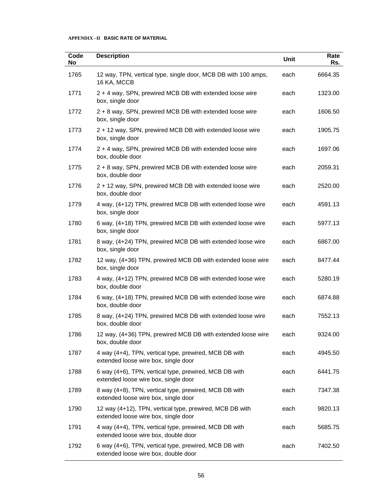| Code<br>No | <b>Description</b>                                                                               | Unit | Rate<br>Rs. |
|------------|--------------------------------------------------------------------------------------------------|------|-------------|
| 1765       | 12 way, TPN, vertical type, single door, MCB DB with 100 amps,<br>16 KA, MCCB                    | each | 6664.35     |
| 1771       | 2 + 4 way, SPN, prewired MCB DB with extended loose wire<br>box, single door                     | each | 1323.00     |
| 1772       | 2 + 8 way, SPN, prewired MCB DB with extended loose wire<br>box, single door                     | each | 1606.50     |
| 1773       | 2 + 12 way, SPN, prewired MCB DB with extended loose wire<br>box, single door                    | each | 1905.75     |
| 1774       | 2 + 4 way, SPN, prewired MCB DB with extended loose wire<br>box, double door                     | each | 1697.06     |
| 1775       | 2 + 8 way, SPN, prewired MCB DB with extended loose wire<br>box, double door                     | each | 2059.31     |
| 1776       | 2 + 12 way, SPN, prewired MCB DB with extended loose wire<br>box, double door                    | each | 2520.00     |
| 1779       | 4 way, (4+12) TPN, prewired MCB DB with extended loose wire<br>box, single door                  | each | 4591.13     |
| 1780       | 6 way, (4+18) TPN, prewired MCB DB with extended loose wire<br>box, single door                  | each | 5977.13     |
| 1781       | 8 way, (4+24) TPN, prewired MCB DB with extended loose wire<br>box, single door                  | each | 6867.00     |
| 1782       | 12 way, (4+36) TPN, prewired MCB DB with extended loose wire<br>box, single door                 | each | 8477.44     |
| 1783       | 4 way, (4+12) TPN, prewired MCB DB with extended loose wire<br>box, double door                  | each | 5280.19     |
| 1784       | 6 way, (4+18) TPN, prewired MCB DB with extended loose wire<br>box, double door                  | each | 6874.88     |
| 1785       | 8 way, (4+24) TPN, prewired MCB DB with extended loose wire<br>box, double door                  | each | 7552.13     |
| 1786       | 12 way, (4+36) TPN, prewired MCB DB with extended loose wire<br>box, double door                 | each | 9324.00     |
| 1787       | 4 way (4+4), TPN, vertical type, prewired, MCB DB with<br>extended loose wire box, single door   | each | 4945.50     |
| 1788       | 6 way (4+6), TPN, vertical type, prewired, MCB DB with<br>extended loose wire box, single door   | each | 6441.75     |
| 1789       | 8 way (4+8), TPN, vertical type, prewired, MCB DB with<br>extended loose wire box, single door   | each | 7347.38     |
| 1790       | 12 way (4+12), TPN, vertical type, prewired, MCB DB with<br>extended loose wire box, single door | each | 9820.13     |
| 1791       | 4 way (4+4), TPN, vertical type, prewired, MCB DB with<br>extended loose wire box, double door   | each | 5685.75     |
| 1792       | 6 way (4+6), TPN, vertical type, prewired, MCB DB with<br>extended loose wire box, double door   | each | 7402.50     |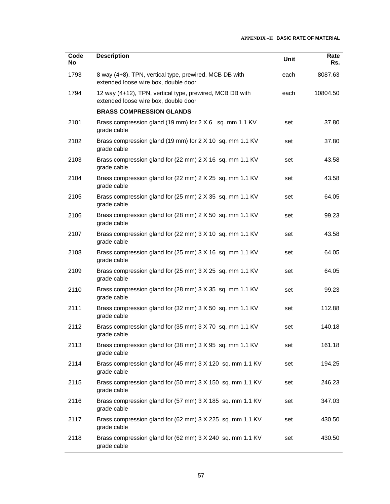| Code<br>No | <b>Description</b>                                                                               | Unit | Rate<br>Rs. |
|------------|--------------------------------------------------------------------------------------------------|------|-------------|
| 1793       | 8 way (4+8), TPN, vertical type, prewired, MCB DB with<br>extended loose wire box, double door   | each | 8087.63     |
| 1794       | 12 way (4+12), TPN, vertical type, prewired, MCB DB with<br>extended loose wire box, double door | each | 10804.50    |
|            | <b>BRASS COMPRESSION GLANDS</b>                                                                  |      |             |
| 2101       | Brass compression gland (19 mm) for 2 X 6 sq. mm 1.1 KV<br>grade cable                           | set  | 37.80       |
| 2102       | Brass compression gland (19 mm) for 2 X 10 sq. mm 1.1 KV<br>grade cable                          | set  | 37.80       |
| 2103       | Brass compression gland for (22 mm) 2 X 16 sq. mm 1.1 KV<br>grade cable                          | set  | 43.58       |
| 2104       | Brass compression gland for (22 mm) 2 X 25 sq. mm 1.1 KV<br>grade cable                          | set  | 43.58       |
| 2105       | Brass compression gland for (25 mm) 2 X 35 sq. mm 1.1 KV<br>grade cable                          | set  | 64.05       |
| 2106       | Brass compression gland for (28 mm) 2 X 50 sq. mm 1.1 KV<br>grade cable                          | set  | 99.23       |
| 2107       | Brass compression gland for (22 mm) 3 X 10 sq. mm 1.1 KV<br>grade cable                          | set  | 43.58       |
| 2108       | Brass compression gland for (25 mm) 3 X 16 sq. mm 1.1 KV<br>grade cable                          | set  | 64.05       |
| 2109       | Brass compression gland for (25 mm) 3 X 25 sq. mm 1.1 KV<br>grade cable                          | set  | 64.05       |
| 2110       | Brass compression gland for (28 mm) 3 X 35 sq. mm 1.1 KV<br>grade cable                          | set  | 99.23       |
| 2111       | Brass compression gland for (32 mm) 3 X 50 sq. mm 1.1 KV<br>grade cable                          | set  | 112.88      |
| 2112       | Brass compression gland for (35 mm) 3 X 70 sq. mm 1.1 KV<br>grade cable                          | set  | 140.18      |
| 2113       | Brass compression gland for (38 mm) 3 X 95 sq. mm 1.1 KV<br>grade cable                          | set  | 161.18      |
| 2114       | Brass compression gland for (45 mm) 3 X 120 sq. mm 1.1 KV<br>grade cable                         | set  | 194.25      |
| 2115       | Brass compression gland for (50 mm) 3 X 150 sq. mm 1.1 KV<br>grade cable                         | set  | 246.23      |
| 2116       | Brass compression gland for (57 mm) 3 X 185 sq. mm 1.1 KV<br>grade cable                         | set  | 347.03      |
| 2117       | Brass compression gland for (62 mm) 3 X 225 sq. mm 1.1 KV<br>grade cable                         | set  | 430.50      |
| 2118       | Brass compression gland for (62 mm) 3 X 240 sq. mm 1.1 KV<br>grade cable                         | set  | 430.50      |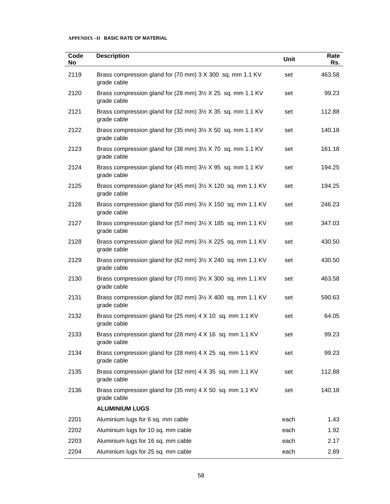| Code<br>No | <b>Description</b>                                                                              | Unit | Rate<br>Rs. |
|------------|-------------------------------------------------------------------------------------------------|------|-------------|
| 2119       | Brass compression gland for (70 mm) 3 X 300 sq. mm 1.1 KV<br>grade cable                        | set  | 463.58      |
| 2120       | Brass compression gland for (28 mm) 31/2 X 25 sq. mm 1.1 KV<br>grade cable                      | set  | 99.23       |
| 2121       | Brass compression gland for (32 mm) 3½ X 35 sq. mm 1.1 KV<br>grade cable                        | set  | 112.88      |
| 2122       | Brass compression gland for (35 mm) 3½ X 50 sq. mm 1.1 KV<br>grade cable                        | set  | 140.18      |
| 2123       | Brass compression gland for (38 mm) 3½ X 70 sq. mm 1.1 KV<br>grade cable                        | set  | 161.18      |
| 2124       | Brass compression gland for $(45 \text{ mm})$ 3 $\frac{1}{2}$ X 95 sq. mm 1.1 KV<br>grade cable | set  | 194.25      |
| 2125       | Brass compression gland for (45 mm) 3½ X 120 sq. mm 1.1 KV<br>grade cable                       | set  | 194.25      |
| 2126       | Brass compression gland for (50 mm) 3½ X 150 sq. mm 1.1 KV<br>grade cable                       | set  | 246.23      |
| 2127       | Brass compression gland for (57 mm) 3½ X 185 sq. mm 1.1 KV<br>grade cable                       | set  | 347.03      |
| 2128       | Brass compression gland for (62 mm) 31/2 X 225 sq. mm 1.1 KV<br>grade cable                     | set  | 430.50      |
| 2129       | Brass compression gland for (62 mm) 3½ X 240 sq. mm 1.1 KV<br>grade cable                       | set  | 430.50      |
| 2130       | Brass compression gland for (70 mm) 31/2 X 300 sq. mm 1.1 KV<br>grade cable                     | set  | 463.58      |
| 2131       | Brass compression gland for (82 mm) 3½ X 400 sq. mm 1.1 KV<br>grade cable                       | set  | 590.63      |
| 2132       | Brass compression gland for (25 mm) 4 X 10 sq. mm 1.1 KV<br>grade cable                         | set  | 64.05       |
| 2133       | Brass compression gland for (28 mm) 4 X 16 sq. mm 1.1 KV<br>grade cable                         | set  | 99.23       |
| 2134       | Brass compression gland for (28 mm) 4 X 25 sq. mm 1.1 KV<br>grade cable                         | set  | 99.23       |
| 2135       | Brass compression gland for (32 mm) 4 X 35 sq. mm 1.1 KV<br>grade cable                         | set  | 112.88      |
| 2136       | Brass compression gland for (35 mm) 4 X 50 sq. mm 1.1 KV<br>grade cable                         | set  | 140.18      |
|            | <b>ALUMINIUM LUGS</b>                                                                           |      |             |
| 2201       | Aluminium lugs for 6 sq. mm cable                                                               | each | 1.43        |
| 2202       | Aluminium lugs for 10 sq. mm cable                                                              | each | 1.92        |
| 2203       | Aluminium lugs for 16 sq. mm cable                                                              | each | 2.17        |
| 2204       | Aluminium lugs for 25 sq. mm cable                                                              | each | 2.89        |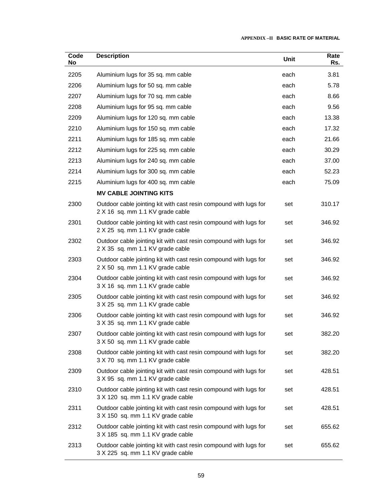| Code<br>No | <b>Description</b>                                                                                     | Unit | Rate<br>Rs. |
|------------|--------------------------------------------------------------------------------------------------------|------|-------------|
| 2205       | Aluminium lugs for 35 sq. mm cable                                                                     | each | 3.81        |
| 2206       | Aluminium lugs for 50 sq. mm cable                                                                     | each | 5.78        |
| 2207       | Aluminium lugs for 70 sq. mm cable                                                                     | each | 8.66        |
| 2208       | Aluminium lugs for 95 sq. mm cable                                                                     | each | 9.56        |
| 2209       | Aluminium lugs for 120 sq. mm cable                                                                    | each | 13.38       |
| 2210       | Aluminium lugs for 150 sq. mm cable                                                                    | each | 17.32       |
| 2211       | Aluminium lugs for 185 sq. mm cable                                                                    | each | 21.66       |
| 2212       | Aluminium lugs for 225 sq. mm cable                                                                    | each | 30.29       |
| 2213       | Aluminium lugs for 240 sq. mm cable                                                                    | each | 37.00       |
| 2214       | Aluminium lugs for 300 sq. mm cable                                                                    | each | 52.23       |
| 2215       | Aluminium lugs for 400 sq. mm cable                                                                    | each | 75.09       |
|            | <b>MV CABLE JOINTING KITS</b>                                                                          |      |             |
| 2300       | Outdoor cable jointing kit with cast resin compound with lugs for<br>2 X 16 sq. mm 1.1 KV grade cable  | set  | 310.17      |
| 2301       | Outdoor cable jointing kit with cast resin compound with lugs for<br>2 X 25 sq. mm 1.1 KV grade cable  | set  | 346.92      |
| 2302       | Outdoor cable jointing kit with cast resin compound with lugs for<br>2 X 35 sq. mm 1.1 KV grade cable  | set  | 346.92      |
| 2303       | Outdoor cable jointing kit with cast resin compound with lugs for<br>2 X 50 sq. mm 1.1 KV grade cable  | set  | 346.92      |
| 2304       | Outdoor cable jointing kit with cast resin compound with lugs for<br>3 X 16 sq. mm 1.1 KV grade cable  | set  | 346.92      |
| 2305       | Outdoor cable jointing kit with cast resin compound with lugs for<br>3 X 25 sq. mm 1.1 KV grade cable  | set  | 346.92      |
| 2306       | Outdoor cable jointing kit with cast resin compound with lugs for<br>3 X 35 sq. mm 1.1 KV grade cable  | set  | 346.92      |
| 2307       | Outdoor cable jointing kit with cast resin compound with lugs for<br>3 X 50 sq. mm 1.1 KV grade cable  | set  | 382.20      |
| 2308       | Outdoor cable jointing kit with cast resin compound with lugs for<br>3 X 70 sq. mm 1.1 KV grade cable  | set  | 382.20      |
| 2309       | Outdoor cable jointing kit with cast resin compound with lugs for<br>3 X 95 sq. mm 1.1 KV grade cable  | set  | 428.51      |
| 2310       | Outdoor cable jointing kit with cast resin compound with lugs for<br>3 X 120 sq. mm 1.1 KV grade cable | set  | 428.51      |
| 2311       | Outdoor cable jointing kit with cast resin compound with lugs for<br>3 X 150 sq. mm 1.1 KV grade cable | set  | 428.51      |
| 2312       | Outdoor cable jointing kit with cast resin compound with lugs for<br>3 X 185 sq. mm 1.1 KV grade cable | set  | 655.62      |
| 2313       | Outdoor cable jointing kit with cast resin compound with lugs for<br>3 X 225 sq. mm 1.1 KV grade cable | set  | 655.62      |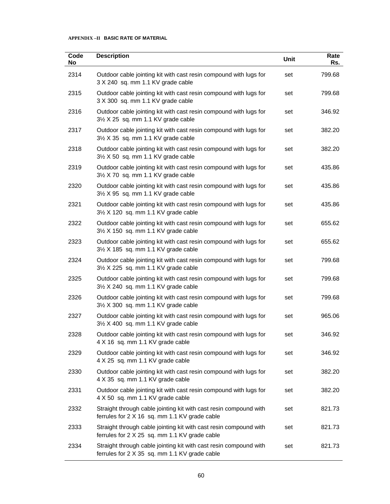| Code<br>No | <b>Description</b>                                                                                                 | <b>Unit</b> | Rate<br>Rs. |
|------------|--------------------------------------------------------------------------------------------------------------------|-------------|-------------|
| 2314       | Outdoor cable jointing kit with cast resin compound with lugs for<br>3 X 240 sq. mm 1.1 KV grade cable             | set         | 799.68      |
| 2315       | Outdoor cable jointing kit with cast resin compound with lugs for<br>3 X 300 sq. mm 1.1 KV grade cable             | set         | 799.68      |
| 2316       | Outdoor cable jointing kit with cast resin compound with lugs for<br>3½ X 25 sq. mm 1.1 KV grade cable             | set         | 346.92      |
| 2317       | Outdoor cable jointing kit with cast resin compound with lugs for<br>3½ X 35 sq. mm 1.1 KV grade cable             | set         | 382.20      |
| 2318       | Outdoor cable jointing kit with cast resin compound with lugs for<br>3½ X 50 sq. mm 1.1 KV grade cable             | set         | 382.20      |
| 2319       | Outdoor cable jointing kit with cast resin compound with lugs for<br>3½ X 70 sq. mm 1.1 KV grade cable             | set         | 435.86      |
| 2320       | Outdoor cable jointing kit with cast resin compound with lugs for<br>31/2 X 95 sq. mm 1.1 KV grade cable           | set         | 435.86      |
| 2321       | Outdoor cable jointing kit with cast resin compound with lugs for<br>31/2 X 120 sq. mm 1.1 KV grade cable          | set         | 435.86      |
| 2322       | Outdoor cable jointing kit with cast resin compound with lugs for<br>3½ X 150 sq. mm 1.1 KV grade cable            | set         | 655.62      |
| 2323       | Outdoor cable jointing kit with cast resin compound with lugs for<br>3½ X 185 sq. mm 1.1 KV grade cable            | set         | 655.62      |
| 2324       | Outdoor cable jointing kit with cast resin compound with lugs for<br>3½ X 225 sq. mm 1.1 KV grade cable            | set         | 799.68      |
| 2325       | Outdoor cable jointing kit with cast resin compound with lugs for<br>3½ X 240 sq. mm 1.1 KV grade cable            | set         | 799.68      |
| 2326       | Outdoor cable jointing kit with cast resin compound with lugs for<br>3½ X 300 sq. mm 1.1 KV grade cable            | set         | 799.68      |
| 2327       | Outdoor cable jointing kit with cast resin compound with lugs for<br>3½ X 400 sq. mm 1.1 KV grade cable            | set         | 965.06      |
| 2328       | Outdoor cable jointing kit with cast resin compound with lugs for<br>4 X 16 sq. mm 1.1 KV grade cable              | set         | 346.92      |
| 2329       | Outdoor cable jointing kit with cast resin compound with lugs for<br>4 X 25 sq. mm 1.1 KV grade cable              | set         | 346.92      |
| 2330       | Outdoor cable jointing kit with cast resin compound with lugs for<br>4 X 35 sq. mm 1.1 KV grade cable              | set         | 382.20      |
| 2331       | Outdoor cable jointing kit with cast resin compound with lugs for<br>4 X 50 sq. mm 1.1 KV grade cable              | set         | 382.20      |
| 2332       | Straight through cable jointing kit with cast resin compound with<br>ferrules for 2 X 16 sq. mm 1.1 KV grade cable | set         | 821.73      |
| 2333       | Straight through cable jointing kit with cast resin compound with<br>ferrules for 2 X 25 sq. mm 1.1 KV grade cable | set         | 821.73      |
| 2334       | Straight through cable jointing kit with cast resin compound with<br>ferrules for 2 X 35 sq. mm 1.1 KV grade cable | set         | 821.73      |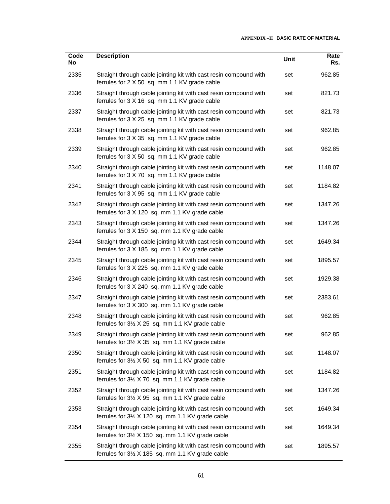| Code<br>No | <b>Description</b>                                                                                                              | Unit | Rate<br>Rs. |
|------------|---------------------------------------------------------------------------------------------------------------------------------|------|-------------|
| 2335       | Straight through cable jointing kit with cast resin compound with<br>ferrules for 2 X 50 sq. mm 1.1 KV grade cable              | set  | 962.85      |
| 2336       | Straight through cable jointing kit with cast resin compound with<br>ferrules for 3 X 16 sq. mm 1.1 KV grade cable              | set  | 821.73      |
| 2337       | Straight through cable jointing kit with cast resin compound with<br>ferrules for 3 X 25 sq. mm 1.1 KV grade cable              | set  | 821.73      |
| 2338       | Straight through cable jointing kit with cast resin compound with<br>ferrules for 3 X 35 sq. mm 1.1 KV grade cable              | set  | 962.85      |
| 2339       | Straight through cable jointing kit with cast resin compound with<br>ferrules for 3 X 50 sq. mm 1.1 KV grade cable              | set  | 962.85      |
| 2340       | Straight through cable jointing kit with cast resin compound with<br>ferrules for 3 X 70 sq. mm 1.1 KV grade cable              | set  | 1148.07     |
| 2341       | Straight through cable jointing kit with cast resin compound with<br>ferrules for 3 X 95 sq. mm 1.1 KV grade cable              | set  | 1184.82     |
| 2342       | Straight through cable jointing kit with cast resin compound with<br>ferrules for 3 X 120 sq. mm 1.1 KV grade cable             | set  | 1347.26     |
| 2343       | Straight through cable jointing kit with cast resin compound with<br>ferrules for 3 X 150 sq. mm 1.1 KV grade cable             | set  | 1347.26     |
| 2344       | Straight through cable jointing kit with cast resin compound with<br>ferrules for 3 X 185 sq. mm 1.1 KV grade cable             | set  | 1649.34     |
| 2345       | Straight through cable jointing kit with cast resin compound with<br>ferrules for 3 X 225 sq. mm 1.1 KV grade cable             | set  | 1895.57     |
| 2346       | Straight through cable jointing kit with cast resin compound with<br>ferrules for 3 X 240 sq. mm 1.1 KV grade cable             | set  | 1929.38     |
| 2347       | Straight through cable jointing kit with cast resin compound with<br>ferrules for 3 X 300 sq. mm 1.1 KV grade cable             | set  | 2383.61     |
| 2348       | Straight through cable jointing kit with cast resin compound with<br>ferrules for 3½ X 25 sq. mm 1.1 KV grade cable             | set  | 962.85      |
| 2349       | Straight through cable jointing kit with cast resin compound with<br>ferrules for 3½ X 35 sq. mm 1.1 KV grade cable             | set  | 962.85      |
| 2350       | Straight through cable jointing kit with cast resin compound with<br>ferrules for $3\frac{1}{2}$ X 50 sq. mm 1.1 KV grade cable | set  | 1148.07     |
| 2351       | Straight through cable jointing kit with cast resin compound with<br>ferrules for 31/2 X 70 sq. mm 1.1 KV grade cable           | set  | 1184.82     |
| 2352       | Straight through cable jointing kit with cast resin compound with<br>ferrules for 3½ X 95 sq. mm 1.1 KV grade cable             | set  | 1347.26     |
| 2353       | Straight through cable jointing kit with cast resin compound with<br>ferrules for 3½ X 120 sq. mm 1.1 KV grade cable            | set  | 1649.34     |
| 2354       | Straight through cable jointing kit with cast resin compound with<br>ferrules for 3½ X 150 sq. mm 1.1 KV grade cable            | set  | 1649.34     |
| 2355       | Straight through cable jointing kit with cast resin compound with<br>ferrules for 31/2 X 185 sq. mm 1.1 KV grade cable          | set  | 1895.57     |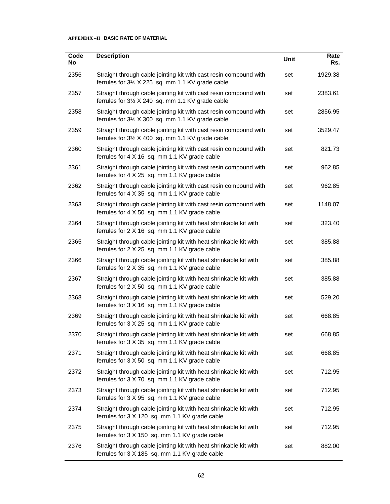| Code<br>No | <b>Description</b>                                                                                                     | Unit | Rate<br>Rs. |
|------------|------------------------------------------------------------------------------------------------------------------------|------|-------------|
| 2356       | Straight through cable jointing kit with cast resin compound with<br>ferrules for 3½ X 225 sq. mm 1.1 KV grade cable   | set  | 1929.38     |
| 2357       | Straight through cable jointing kit with cast resin compound with<br>ferrules for 31/2 X 240 sq. mm 1.1 KV grade cable | set  | 2383.61     |
| 2358       | Straight through cable jointing kit with cast resin compound with<br>ferrules for 3½ X 300 sq. mm 1.1 KV grade cable   | set  | 2856.95     |
| 2359       | Straight through cable jointing kit with cast resin compound with<br>ferrules for 3½ X 400 sq. mm 1.1 KV grade cable   | set  | 3529.47     |
| 2360       | Straight through cable jointing kit with cast resin compound with<br>ferrules for 4 X 16 sq. mm 1.1 KV grade cable     | set  | 821.73      |
| 2361       | Straight through cable jointing kit with cast resin compound with<br>ferrules for 4 X 25 sq. mm 1.1 KV grade cable     | set  | 962.85      |
| 2362       | Straight through cable jointing kit with cast resin compound with<br>ferrules for 4 X 35 sq. mm 1.1 KV grade cable     | set  | 962.85      |
| 2363       | Straight through cable jointing kit with cast resin compound with<br>ferrules for 4 X 50 sq. mm 1.1 KV grade cable     | set  | 1148.07     |
| 2364       | Straight through cable jointing kit with heat shrinkable kit with<br>ferrules for 2 X 16 sq. mm 1.1 KV grade cable     | set  | 323.40      |
| 2365       | Straight through cable jointing kit with heat shrinkable kit with<br>ferrules for 2 X 25 sq. mm 1.1 KV grade cable     | set  | 385.88      |
| 2366       | Straight through cable jointing kit with heat shrinkable kit with<br>ferrules for 2 X 35 sq. mm 1.1 KV grade cable     | set  | 385.88      |
| 2367       | Straight through cable jointing kit with heat shrinkable kit with<br>ferrules for 2 X 50 sq. mm 1.1 KV grade cable     | set  | 385.88      |
| 2368       | Straight through cable jointing kit with heat shrinkable kit with<br>ferrules for 3 X 16 sq. mm 1.1 KV grade cable     | set  | 529.20      |
| 2369       | Straight through cable jointing kit with heat shrinkable kit with<br>ferrules for 3 X 25 sq. mm 1.1 KV grade cable     | set  | 668.85      |
| 2370       | Straight through cable jointing kit with heat shrinkable kit with<br>ferrules for 3 X 35 sq. mm 1.1 KV grade cable     | set  | 668.85      |
| 2371       | Straight through cable jointing kit with heat shrinkable kit with<br>ferrules for 3 X 50 sq. mm 1.1 KV grade cable     | set  | 668.85      |
| 2372       | Straight through cable jointing kit with heat shrinkable kit with<br>ferrules for 3 X 70 sq. mm 1.1 KV grade cable     | set  | 712.95      |
| 2373       | Straight through cable jointing kit with heat shrinkable kit with<br>ferrules for 3 X 95 sq. mm 1.1 KV grade cable     | set  | 712.95      |
| 2374       | Straight through cable jointing kit with heat shrinkable kit with<br>ferrules for 3 X 120 sq. mm 1.1 KV grade cable    | set  | 712.95      |
| 2375       | Straight through cable jointing kit with heat shrinkable kit with<br>ferrules for 3 X 150 sq. mm 1.1 KV grade cable    | set  | 712.95      |
| 2376       | Straight through cable jointing kit with heat shrinkable kit with<br>ferrules for 3 X 185 sq. mm 1.1 KV grade cable    | set  | 882.00      |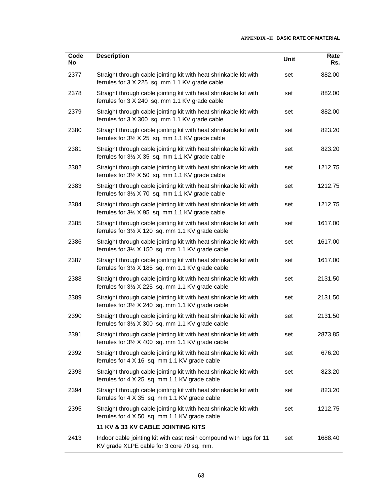| Code<br><b>No</b> | <b>Description</b>                                                                                                     | Unit | Rate<br>Rs. |
|-------------------|------------------------------------------------------------------------------------------------------------------------|------|-------------|
| 2377              | Straight through cable jointing kit with heat shrinkable kit with<br>ferrules for 3 X 225 sq. mm 1.1 KV grade cable    | set  | 882.00      |
| 2378              | Straight through cable jointing kit with heat shrinkable kit with<br>ferrules for 3 X 240 sq. mm 1.1 KV grade cable    | set  | 882.00      |
| 2379              | Straight through cable jointing kit with heat shrinkable kit with<br>ferrules for 3 X 300 sq. mm 1.1 KV grade cable    | set  | 882.00      |
| 2380              | Straight through cable jointing kit with heat shrinkable kit with<br>ferrules for 3½ X 25 sq. mm 1.1 KV grade cable    | set  | 823.20      |
| 2381              | Straight through cable jointing kit with heat shrinkable kit with<br>ferrules for 3½ X 35 sq. mm 1.1 KV grade cable    | set  | 823.20      |
| 2382              | Straight through cable jointing kit with heat shrinkable kit with<br>ferrules for 3½ X 50 sq. mm 1.1 KV grade cable    | set  | 1212.75     |
| 2383              | Straight through cable jointing kit with heat shrinkable kit with<br>ferrules for 3½ X 70 sq. mm 1.1 KV grade cable    | set  | 1212.75     |
| 2384              | Straight through cable jointing kit with heat shrinkable kit with<br>ferrules for 3½ X 95 sq. mm 1.1 KV grade cable    | set  | 1212.75     |
| 2385              | Straight through cable jointing kit with heat shrinkable kit with<br>ferrules for 3½ X 120 sq. mm 1.1 KV grade cable   | set  | 1617.00     |
| 2386              | Straight through cable jointing kit with heat shrinkable kit with<br>ferrules for 3½ X 150 sq. mm 1.1 KV grade cable   | set  | 1617.00     |
| 2387              | Straight through cable jointing kit with heat shrinkable kit with<br>ferrules for 3½ X 185 sq. mm 1.1 KV grade cable   | set  | 1617.00     |
| 2388              | Straight through cable jointing kit with heat shrinkable kit with<br>ferrules for 31/2 X 225 sq. mm 1.1 KV grade cable | set  | 2131.50     |
| 2389              | Straight through cable jointing kit with heat shrinkable kit with<br>ferrules for 31/2 X 240 sq. mm 1.1 KV grade cable | set  | 2131.50     |
| 2390              | Straight through cable jointing kit with heat shrinkable kit with<br>ferrules for 3½ X 300 sq. mm 1.1 KV grade cable   | set  | 2131.50     |
| 2391              | Straight through cable jointing kit with heat shrinkable kit with<br>ferrules for 3½ X 400 sq. mm 1.1 KV grade cable   | set  | 2873.85     |
| 2392              | Straight through cable jointing kit with heat shrinkable kit with<br>ferrules for 4 X 16 sq. mm 1.1 KV grade cable     | set  | 676.20      |
| 2393              | Straight through cable jointing kit with heat shrinkable kit with<br>ferrules for 4 X 25 sq. mm 1.1 KV grade cable     | set  | 823.20      |
| 2394              | Straight through cable jointing kit with heat shrinkable kit with<br>ferrules for 4 X 35 sq. mm 1.1 KV grade cable     | set  | 823.20      |
| 2395              | Straight through cable jointing kit with heat shrinkable kit with<br>ferrules for 4 X 50 sq. mm 1.1 KV grade cable     | set  | 1212.75     |
|                   | 11 KV & 33 KV CABLE JOINTING KITS                                                                                      |      |             |
| 2413              | Indoor cable jointing kit with cast resin compound with lugs for 11<br>KV grade XLPE cable for 3 core 70 sq. mm.       | set  | 1688.40     |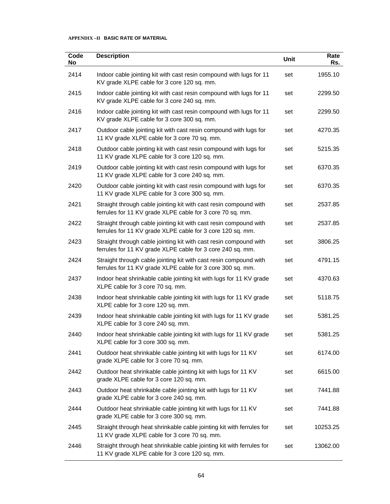| Code<br>No | <b>Description</b>                                                                                                              | Unit | Rate<br>Rs. |
|------------|---------------------------------------------------------------------------------------------------------------------------------|------|-------------|
| 2414       | Indoor cable jointing kit with cast resin compound with lugs for 11<br>KV grade XLPE cable for 3 core 120 sq. mm.               | set  | 1955.10     |
| 2415       | Indoor cable jointing kit with cast resin compound with lugs for 11<br>KV grade XLPE cable for 3 core 240 sq. mm.               | set  | 2299.50     |
| 2416       | Indoor cable jointing kit with cast resin compound with lugs for 11<br>KV grade XLPE cable for 3 core 300 sq. mm.               | set  | 2299.50     |
| 2417       | Outdoor cable jointing kit with cast resin compound with lugs for<br>11 KV grade XLPE cable for 3 core 70 sq. mm.               | set  | 4270.35     |
| 2418       | Outdoor cable jointing kit with cast resin compound with lugs for<br>11 KV grade XLPE cable for 3 core 120 sq. mm.              | set  | 5215.35     |
| 2419       | Outdoor cable jointing kit with cast resin compound with lugs for<br>11 KV grade XLPE cable for 3 core 240 sq. mm.              | set  | 6370.35     |
| 2420       | Outdoor cable jointing kit with cast resin compound with lugs for<br>11 KV grade XLPE cable for 3 core 300 sq. mm.              | set  | 6370.35     |
| 2421       | Straight through cable jointing kit with cast resin compound with<br>ferrules for 11 KV grade XLPE cable for 3 core 70 sq. mm.  | set  | 2537.85     |
| 2422       | Straight through cable jointing kit with cast resin compound with<br>ferrules for 11 KV grade XLPE cable for 3 core 120 sq. mm. | set  | 2537.85     |
| 2423       | Straight through cable jointing kit with cast resin compound with<br>ferrules for 11 KV grade XLPE cable for 3 core 240 sq. mm. | set  | 3806.25     |
| 2424       | Straight through cable jointing kit with cast resin compound with<br>ferrules for 11 KV grade XLPE cable for 3 core 300 sq. mm. | set  | 4791.15     |
| 2437       | Indoor heat shrinkable cable jointing kit with lugs for 11 KV grade<br>XLPE cable for 3 core 70 sq. mm.                         | set  | 4370.63     |
| 2438       | Indoor heat shrinkable cable jointing kit with lugs for 11 KV grade<br>XLPE cable for 3 core 120 sq. mm.                        | set  | 5118.75     |
| 2439       | Indoor heat shrinkable cable jointing kit with lugs for 11 KV grade<br>XLPE cable for 3 core 240 sq. mm.                        | set  | 5381.25     |
| 2440       | Indoor heat shrinkable cable jointing kit with lugs for 11 KV grade<br>XLPE cable for 3 core 300 sq. mm.                        | set  | 5381.25     |
| 2441       | Outdoor heat shrinkable cable jointing kit with lugs for 11 KV<br>grade XLPE cable for 3 core 70 sq. mm.                        | set  | 6174.00     |
| 2442       | Outdoor heat shrinkable cable jointing kit with lugs for 11 KV<br>grade XLPE cable for 3 core 120 sq. mm.                       | set  | 6615.00     |
| 2443       | Outdoor heat shrinkable cable jointing kit with lugs for 11 KV<br>grade XLPE cable for 3 core 240 sq. mm.                       | set  | 7441.88     |
| 2444       | Outdoor heat shrinkable cable jointing kit with lugs for 11 KV<br>grade XLPE cable for 3 core 300 sq. mm.                       | set  | 7441.88     |
| 2445       | Straight through heat shrinkable cable jointing kit with ferrules for<br>11 KV grade XLPE cable for 3 core 70 sq. mm.           | set  | 10253.25    |
| 2446       | Straight through heat shrinkable cable jointing kit with ferrules for<br>11 KV grade XLPE cable for 3 core 120 sq. mm.          | set  | 13062.00    |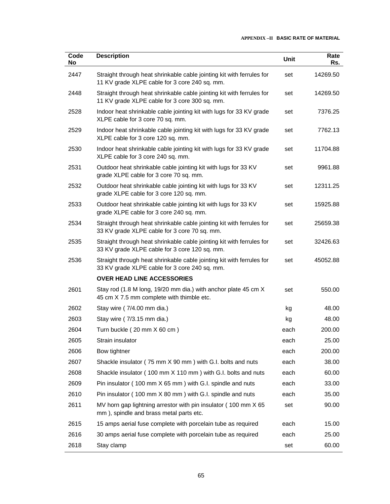| Code<br><b>No</b> | <b>Description</b>                                                                                                     | Unit | Rate<br>Rs. |
|-------------------|------------------------------------------------------------------------------------------------------------------------|------|-------------|
| 2447              | Straight through heat shrinkable cable jointing kit with ferrules for<br>11 KV grade XLPE cable for 3 core 240 sq. mm. | set  | 14269.50    |
| 2448              | Straight through heat shrinkable cable jointing kit with ferrules for<br>11 KV grade XLPE cable for 3 core 300 sq. mm. | set  | 14269.50    |
| 2528              | Indoor heat shrinkable cable jointing kit with lugs for 33 KV grade<br>XLPE cable for 3 core 70 sq. mm.                | set  | 7376.25     |
| 2529              | Indoor heat shrinkable cable jointing kit with lugs for 33 KV grade<br>XLPE cable for 3 core 120 sq. mm.               | set  | 7762.13     |
| 2530              | Indoor heat shrinkable cable jointing kit with lugs for 33 KV grade<br>XLPE cable for 3 core 240 sq. mm.               | set  | 11704.88    |
| 2531              | Outdoor heat shrinkable cable jointing kit with lugs for 33 KV<br>grade XLPE cable for 3 core 70 sq. mm.               | set  | 9961.88     |
| 2532              | Outdoor heat shrinkable cable jointing kit with lugs for 33 KV<br>grade XLPE cable for 3 core 120 sq. mm.              | set  | 12311.25    |
| 2533              | Outdoor heat shrinkable cable jointing kit with lugs for 33 KV<br>grade XLPE cable for 3 core 240 sq. mm.              | set  | 15925.88    |
| 2534              | Straight through heat shrinkable cable jointing kit with ferrules for<br>33 KV grade XLPE cable for 3 core 70 sq. mm.  | set  | 25659.38    |
| 2535              | Straight through heat shrinkable cable jointing kit with ferrules for<br>33 KV grade XLPE cable for 3 core 120 sq. mm. | set  | 32426.63    |
| 2536              | Straight through heat shrinkable cable jointing kit with ferrules for<br>33 KV grade XLPE cable for 3 core 240 sq. mm. | set  | 45052.88    |
|                   | <b>OVER HEAD LINE ACCESSORIES</b>                                                                                      |      |             |
| 2601              | Stay rod (1.8 M long, 19/20 mm dia.) with anchor plate 45 cm X<br>45 cm X 7.5 mm complete with thimble etc.            | set  | 550.00      |
| 2602              | Stay wire (7/4.00 mm dia.)                                                                                             | kg   | 48.00       |
| 2603              | Stay wire (7/3.15 mm dia.)                                                                                             | kg   | 48.00       |
| 2604              | Turn buckle (20 mm X 60 cm)                                                                                            | each | 200.00      |
| 2605              | Strain insulator                                                                                                       | each | 25.00       |
| 2606              | Bow tightner                                                                                                           | each | 200.00      |
| 2607              | Shackle insulator (75 mm X 90 mm) with G.I. bolts and nuts                                                             | each | 38.00       |
| 2608              | Shackle insulator (100 mm X 110 mm) with G.I. bolts and nuts                                                           | each | 60.00       |
| 2609              | Pin insulator (100 mm X 65 mm) with G.I. spindle and nuts                                                              | each | 33.00       |
| 2610              | Pin insulator (100 mm X 80 mm) with G.I. spindle and nuts                                                              | each | 35.00       |
| 2611              | MV horn gap lightning arrestor with pin insulator (100 mm X 65)<br>mm), spindle and brass metal parts etc.             | set  | 90.00       |
| 2615              | 15 amps aerial fuse complete with porcelain tube as required                                                           | each | 15.00       |
| 2616              | 30 amps aerial fuse complete with porcelain tube as required                                                           | each | 25.00       |
| 2618              | Stay clamp                                                                                                             | set  | 60.00       |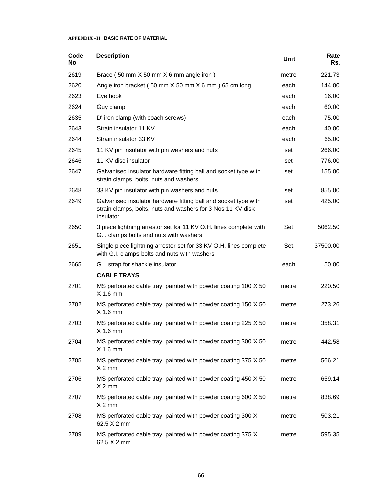| Code<br>No | <b>Description</b>                                                                                                                          | Unit  | Rate<br>Rs. |
|------------|---------------------------------------------------------------------------------------------------------------------------------------------|-------|-------------|
| 2619       | Brace (50 mm X 50 mm X 6 mm angle iron)                                                                                                     | metre | 221.73      |
| 2620       | Angle iron bracket (50 mm X 50 mm X 6 mm ) 65 cm long                                                                                       | each  | 144.00      |
| 2623       | Eye hook                                                                                                                                    | each  | 16.00       |
| 2624       | Guy clamp                                                                                                                                   | each  | 60.00       |
| 2635       | D' iron clamp (with coach screws)                                                                                                           | each  | 75.00       |
| 2643       | Strain insulator 11 KV                                                                                                                      | each  | 40.00       |
| 2644       | Strain insulator 33 KV                                                                                                                      | each  | 65.00       |
| 2645       | 11 KV pin insulator with pin washers and nuts                                                                                               | set   | 266.00      |
| 2646       | 11 KV disc insulator                                                                                                                        | set   | 776.00      |
| 2647       | Galvanised insulator hardware fitting ball and socket type with<br>strain clamps, bolts, nuts and washers                                   | set   | 155.00      |
| 2648       | 33 KV pin insulator with pin washers and nuts                                                                                               | set   | 855.00      |
| 2649       | Galvanised insulator hardware fitting ball and socket type with<br>strain clamps, bolts, nuts and washers for 3 Nos 11 KV disk<br>insulator | set   | 425.00      |
| 2650       | 3 piece lightning arrestor set for 11 KV O.H. lines complete with<br>G.I. clamps bolts and nuts with washers                                | Set   | 5062.50     |
| 2651       | Single piece lightning arrestor set for 33 KV O.H. lines complete<br>with G.I. clamps bolts and nuts with washers                           | Set   | 37500.00    |
| 2665       | G.I. strap for shackle insulator                                                                                                            | each  | 50.00       |
|            | <b>CABLE TRAYS</b>                                                                                                                          |       |             |
| 2701       | MS perforated cable tray painted with powder coating 100 X 50<br>$X$ 1.6 mm                                                                 | metre | 220.50      |
| 2702       | MS perforated cable tray painted with powder coating 150 X 50<br>$X$ 1.6 mm                                                                 | metre | 273.26      |
| 2703       | MS perforated cable tray painted with powder coating 225 X 50<br>$X$ 1.6 mm                                                                 | metre | 358.31      |
| 2704       | MS perforated cable tray painted with powder coating 300 X 50<br>$X$ 1.6 mm                                                                 | metre | 442.58      |
| 2705       | MS perforated cable tray painted with powder coating 375 X 50<br>$X2$ mm                                                                    | metre | 566.21      |
| 2706       | MS perforated cable tray painted with powder coating 450 X 50<br>$X2$ mm                                                                    | metre | 659.14      |
| 2707       | MS perforated cable tray painted with powder coating 600 X 50<br>$X2$ mm                                                                    | metre | 838.69      |
| 2708       | MS perforated cable tray painted with powder coating 300 X<br>62.5 X 2 mm                                                                   | metre | 503.21      |
| 2709       | MS perforated cable tray painted with powder coating 375 X<br>62.5 X 2 mm                                                                   | metre | 595.35      |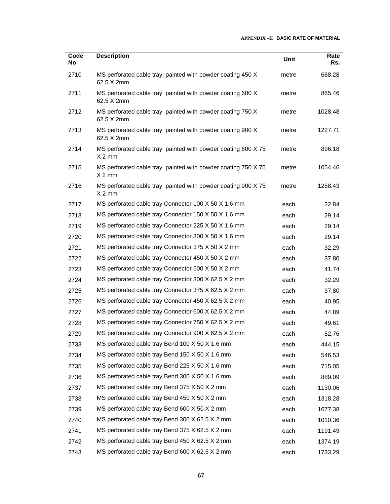| Code<br>No | <b>Description</b>                                                       | Unit  | Rate<br>Rs. |
|------------|--------------------------------------------------------------------------|-------|-------------|
| 2710       | MS perforated cable tray painted with powder coating 450 X<br>62.5 X 2mm | metre | 688.28      |
| 2711       | MS perforated cable tray painted with powder coating 600 X<br>62.5 X 2mm | metre | 865.46      |
| 2712       | MS perforated cable tray painted with powder coating 750 X<br>62.5 X 2mm | metre | 1028.48     |
| 2713       | MS perforated cable tray painted with powder coating 900 X<br>62.5 X 2mm | metre | 1227.71     |
| 2714       | MS perforated cable tray painted with powder coating 600 X 75<br>$X2$ mm | metre | 896.18      |
| 2715       | MS perforated cable tray painted with powder coating 750 X 75<br>$X2$ mm | metre | 1054.46     |
| 2716       | MS perforated cable tray painted with powder coating 900 X 75<br>$X2$ mm | metre | 1258.43     |
| 2717       | MS perforated cable tray Connector 100 X 50 X 1.6 mm                     | each  | 22.84       |
| 2718       | MS perforated cable tray Connector 150 X 50 X 1.6 mm                     | each  | 29.14       |
| 2719       | MS perforated cable tray Connector 225 X 50 X 1.6 mm                     | each  | 29.14       |
| 2720       | MS perforated cable tray Connector 300 X 50 X 1.6 mm                     | each  | 29.14       |
| 2721       | MS perforated cable tray Connector 375 X 50 X 2 mm                       | each  | 32.29       |
| 2722       | MS perforated cable tray Connector 450 X 50 X 2 mm                       | each  | 37.80       |
| 2723       | MS perforated cable tray Connector 600 X 50 X 2 mm                       | each  | 41.74       |
| 2724       | MS perforated cable tray Connector 300 X 62.5 X 2 mm                     | each  | 32.29       |
| 2725       | MS perforated cable tray Connector 375 X 62.5 X 2 mm                     | each  | 37.80       |
| 2726       | MS perforated cable tray Connector 450 X 62.5 X 2 mm                     | each  | 40.95       |
| 2727       | MS perforated cable tray Connector 600 X 62.5 X 2 mm                     | each  | 44.89       |
| 2728       | MS perforated cable tray Connector 750 X 62.5 X 2 mm                     | each  | 49.61       |
| 2729       | MS perforated cable tray Connector 900 X 62.5 X 2 mm                     | each  | 52.76       |
| 2733       | MS perforated cable tray Bend 100 X 50 X 1.6 mm                          | each  | 444.15      |
| 2734       | MS perforated cable tray Bend 150 X 50 X 1.6 mm                          | each  | 546.53      |
| 2735       | MS perforated cable tray Bend 225 X 50 X 1.6 mm                          | each  | 715.05      |
| 2736       | MS perforated cable tray Bend 300 X 50 X 1.6 mm                          | each  | 889.09      |
| 2737       | MS perforated cable tray Bend 375 X 50 X 2 mm                            | each  | 1130.06     |
| 2738       | MS perforated cable tray Bend 450 X 50 X 2 mm                            | each  | 1318.28     |
| 2739       | MS perforated cable tray Bend 600 X 50 X 2 mm                            | each  | 1677.38     |
| 2740       | MS perforated cable tray Bend 300 X 62.5 X 2 mm                          | each  | 1010.36     |
| 2741       | MS perforated cable tray Bend 375 X 62.5 X 2 mm                          | each  | 1191.49     |
| 2742       | MS perforated cable tray Bend 450 X 62.5 X 2 mm                          | each  | 1374.19     |
| 2743       | MS perforated cable tray Bend 600 X 62.5 X 2 mm                          | each  | 1733.29     |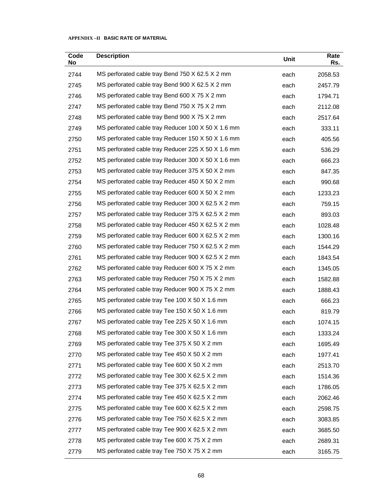| Code<br>No | <b>Description</b>                                 | Unit | Rate<br>Rs. |
|------------|----------------------------------------------------|------|-------------|
| 2744       | MS perforated cable tray Bend 750 X 62.5 X 2 mm    | each | 2058.53     |
| 2745       | MS perforated cable tray Bend 900 X 62.5 X 2 mm    | each | 2457.79     |
| 2746       | MS perforated cable tray Bend 600 X 75 X 2 mm      | each | 1794.71     |
| 2747       | MS perforated cable tray Bend 750 X 75 X 2 mm      | each | 2112.08     |
| 2748       | MS perforated cable tray Bend 900 X 75 X 2 mm      | each | 2517.64     |
| 2749       | MS perforated cable tray Reducer 100 X 50 X 1.6 mm | each | 333.11      |
| 2750       | MS perforated cable tray Reducer 150 X 50 X 1.6 mm | each | 405.56      |
| 2751       | MS perforated cable tray Reducer 225 X 50 X 1.6 mm | each | 536.29      |
| 2752       | MS perforated cable tray Reducer 300 X 50 X 1.6 mm | each | 666.23      |
| 2753       | MS perforated cable tray Reducer 375 X 50 X 2 mm   | each | 847.35      |
| 2754       | MS perforated cable tray Reducer 450 X 50 X 2 mm   | each | 990.68      |
| 2755       | MS perforated cable tray Reducer 600 X 50 X 2 mm   | each | 1233.23     |
| 2756       | MS perforated cable tray Reducer 300 X 62.5 X 2 mm | each | 759.15      |
| 2757       | MS perforated cable tray Reducer 375 X 62.5 X 2 mm | each | 893.03      |
| 2758       | MS perforated cable tray Reducer 450 X 62.5 X 2 mm | each | 1028.48     |
| 2759       | MS perforated cable tray Reducer 600 X 62.5 X 2 mm | each | 1300.16     |
| 2760       | MS perforated cable tray Reducer 750 X 62.5 X 2 mm | each | 1544.29     |
| 2761       | MS perforated cable tray Reducer 900 X 62.5 X 2 mm | each | 1843.54     |
| 2762       | MS perforated cable tray Reducer 600 X 75 X 2 mm   | each | 1345.05     |
| 2763       | MS perforated cable tray Reducer 750 X 75 X 2 mm   | each | 1582.88     |
| 2764       | MS perforated cable tray Reducer 900 X 75 X 2 mm   | each | 1888.43     |
| 2765       | MS perforated cable tray Tee 100 X 50 X 1.6 mm     | each | 666.23      |
| 2766       | MS perforated cable tray Tee 150 X 50 X 1.6 mm     | each | 819.79      |
| 2767       | MS perforated cable tray Tee 225 X 50 X 1.6 mm     | each | 1074.15     |
| 2768       | MS perforated cable tray Tee 300 X 50 X 1.6 mm     | each | 1333.24     |
| 2769       | MS perforated cable tray Tee 375 X 50 X 2 mm       | each | 1695.49     |
| 2770       | MS perforated cable tray Tee 450 X 50 X 2 mm       | each | 1977.41     |
| 2771       | MS perforated cable tray Tee 600 X 50 X 2 mm       | each | 2513.70     |
| 2772       | MS perforated cable tray Tee 300 X 62.5 X 2 mm     | each | 1514.36     |
| 2773       | MS perforated cable tray Tee 375 X 62.5 X 2 mm     | each | 1786.05     |
| 2774       | MS perforated cable tray Tee 450 X 62.5 X 2 mm     | each | 2062.46     |
| 2775       | MS perforated cable tray Tee 600 X 62.5 X 2 mm     | each | 2598.75     |
| 2776       | MS perforated cable tray Tee 750 X 62.5 X 2 mm     | each | 3083.85     |
| 2777       | MS perforated cable tray Tee 900 X 62.5 X 2 mm     | each | 3685.50     |
| 2778       | MS perforated cable tray Tee 600 X 75 X 2 mm       | each | 2689.31     |
| 2779       | MS perforated cable tray Tee 750 X 75 X 2 mm       | each | 3165.75     |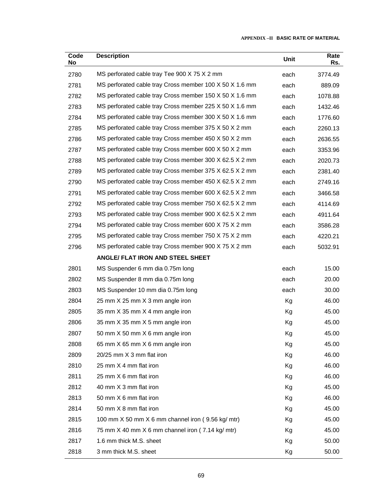| Code<br>No | <b>Description</b>                                      | Unit | Rate<br>Rs. |
|------------|---------------------------------------------------------|------|-------------|
| 2780       | MS perforated cable tray Tee 900 X 75 X 2 mm            | each | 3774.49     |
| 2781       | MS perforated cable tray Cross member 100 X 50 X 1.6 mm | each | 889.09      |
| 2782       | MS perforated cable tray Cross member 150 X 50 X 1.6 mm | each | 1078.88     |
| 2783       | MS perforated cable tray Cross member 225 X 50 X 1.6 mm | each | 1432.46     |
| 2784       | MS perforated cable tray Cross member 300 X 50 X 1.6 mm | each | 1776.60     |
| 2785       | MS perforated cable tray Cross member 375 X 50 X 2 mm   | each | 2260.13     |
| 2786       | MS perforated cable tray Cross member 450 X 50 X 2 mm   | each | 2636.55     |
| 2787       | MS perforated cable tray Cross member 600 X 50 X 2 mm   | each | 3353.96     |
| 2788       | MS perforated cable tray Cross member 300 X 62.5 X 2 mm | each | 2020.73     |
| 2789       | MS perforated cable tray Cross member 375 X 62.5 X 2 mm | each | 2381.40     |
| 2790       | MS perforated cable tray Cross member 450 X 62.5 X 2 mm | each | 2749.16     |
| 2791       | MS perforated cable tray Cross member 600 X 62.5 X 2 mm | each | 3466.58     |
| 2792       | MS perforated cable tray Cross member 750 X 62.5 X 2 mm | each | 4114.69     |
| 2793       | MS perforated cable tray Cross member 900 X 62.5 X 2 mm | each | 4911.64     |
| 2794       | MS perforated cable tray Cross member 600 X 75 X 2 mm   | each | 3586.28     |
| 2795       | MS perforated cable tray Cross member 750 X 75 X 2 mm   | each | 4220.21     |
| 2796       | MS perforated cable tray Cross member 900 X 75 X 2 mm   | each | 5032.91     |
|            | ANGLE/ FLAT IRON AND STEEL SHEET                        |      |             |
| 2801       | MS Suspender 6 mm dia 0.75m long                        | each | 15.00       |
| 2802       | MS Suspender 8 mm dia 0.75m long                        | each | 20.00       |
| 2803       | MS Suspender 10 mm dia 0.75m long                       | each | 30.00       |
| 2804       | 25 mm X 25 mm X 3 mm angle iron                         | Kg   | 46.00       |
| 2805       | 35 mm X 35 mm X 4 mm angle iron                         | Кg   | 45.00       |
| 2806       | 35 mm X 35 mm X 5 mm angle iron                         | Κg   | 45.00       |
| 2807       | 50 mm X 50 mm X 6 mm angle iron                         | Кg   | 45.00       |
| 2808       | 65 mm X 65 mm X 6 mm angle iron                         | Кg   | 45.00       |
| 2809       | 20/25 mm X 3 mm flat iron                               | Kg   | 46.00       |
| 2810       | 25 mm X 4 mm flat iron                                  | Kg   | 46.00       |
| 2811       | 25 mm X 6 mm flat iron                                  | Kg   | 46.00       |
| 2812       | 40 mm X 3 mm flat iron                                  | Kg   | 45.00       |
| 2813       | 50 mm X 6 mm flat iron                                  | Кg   | 46.00       |
| 2814       | 50 mm X 8 mm flat iron                                  | Kg   | 45.00       |
| 2815       | 100 mm X 50 mm X 6 mm channel iron (9.56 kg/ mtr)       | Kg   | 45.00       |
| 2816       | 75 mm X 40 mm X 6 mm channel iron (7.14 kg/ mtr)        | Кg   | 45.00       |
| 2817       | 1.6 mm thick M.S. sheet                                 | Kg   | 50.00       |
| 2818       | 3 mm thick M.S. sheet                                   | Кg   | 50.00       |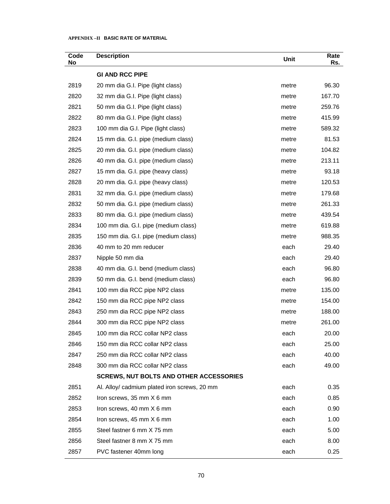| Code<br>No | <b>Description</b>                             | Unit  | Rate<br>Rs. |
|------------|------------------------------------------------|-------|-------------|
|            | <b>GI AND RCC PIPE</b>                         |       |             |
| 2819       | 20 mm dia G.I. Pipe (light class)              | metre | 96.30       |
| 2820       | 32 mm dia G.I. Pipe (light class)              | metre | 167.70      |
| 2821       | 50 mm dia G.I. Pipe (light class)              | metre | 259.76      |
| 2822       | 80 mm dia G.I. Pipe (light class)              | metre | 415.99      |
| 2823       | 100 mm dia G.I. Pipe (light class)             | metre | 589.32      |
| 2824       | 15 mm dia. G.I. pipe (medium class)            | metre | 81.53       |
| 2825       | 20 mm dia. G.I. pipe (medium class)            | metre | 104.82      |
| 2826       | 40 mm dia. G.I. pipe (medium class)            | metre | 213.11      |
| 2827       | 15 mm dia. G.I. pipe (heavy class)             | metre | 93.18       |
| 2828       | 20 mm dia. G.I. pipe (heavy class)             | metre | 120.53      |
| 2831       | 32 mm dia. G.I. pipe (medium class)            | metre | 179.68      |
| 2832       | 50 mm dia. G.I. pipe (medium class)            | metre | 261.33      |
| 2833       | 80 mm dia. G.I. pipe (medium class)            | metre | 439.54      |
| 2834       | 100 mm dia. G.I. pipe (medium class)           | metre | 619.88      |
| 2835       | 150 mm dia. G.I. pipe (medium class)           | metre | 988.35      |
| 2836       | 40 mm to 20 mm reducer                         | each  | 29.40       |
| 2837       | Nipple 50 mm dia                               | each  | 29.40       |
| 2838       | 40 mm dia. G.I. bend (medium class)            | each  | 96.80       |
| 2839       | 50 mm dia. G.I. bend (medium class)            | each  | 96.80       |
| 2841       | 100 mm dia RCC pipe NP2 class                  | metre | 135.00      |
| 2842       | 150 mm dia RCC pipe NP2 class                  | metre | 154.00      |
| 2843       | 250 mm dia RCC pipe NP2 class                  | metre | 188.00      |
| 2844       | 300 mm dia RCC pipe NP2 class                  | metre | 261.00      |
| 2845       | 100 mm dia RCC collar NP2 class                | each  | 20.00       |
| 2846       | 150 mm dia RCC collar NP2 class                | each  | 25.00       |
| 2847       | 250 mm dia RCC collar NP2 class                | each  | 40.00       |
| 2848       | 300 mm dia RCC collar NP2 class                | each  | 49.00       |
|            | <b>SCREWS, NUT BOLTS AND OTHER ACCESSORIES</b> |       |             |
| 2851       | Al. Alloy/ cadmium plated iron screws, 20 mm   | each  | 0.35        |
| 2852       | Iron screws, 35 mm X 6 mm                      | each  | 0.85        |
| 2853       | Iron screws, 40 mm X 6 mm                      | each  | 0.90        |
| 2854       | Iron screws, 45 mm X 6 mm                      | each  | 1.00        |
| 2855       | Steel fastner 6 mm X 75 mm                     | each  | 5.00        |
| 2856       | Steel fastner 8 mm X 75 mm                     | each  | 8.00        |
| 2857       | PVC fastener 40mm long                         | each  | 0.25        |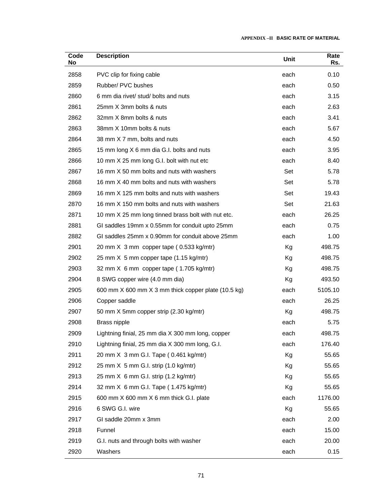| Code<br>No | <b>Description</b>                                  | Unit | Rate<br>Rs. |
|------------|-----------------------------------------------------|------|-------------|
| 2858       | PVC clip for fixing cable                           | each | 0.10        |
| 2859       | Rubber/ PVC bushes                                  | each | 0.50        |
| 2860       | 6 mm dia rivet/ stud/ bolts and nuts                | each | 3.15        |
| 2861       | 25mm X 3mm bolts & nuts                             | each | 2.63        |
| 2862       | 32mm X 8mm bolts & nuts                             | each | 3.41        |
| 2863       | 38mm X 10mm bolts & nuts                            | each | 5.67        |
| 2864       | 38 mm X 7 mm, bolts and nuts                        | each | 4.50        |
| 2865       | 15 mm long X 6 mm dia G.I. bolts and nuts           | each | 3.95        |
| 2866       | 10 mm X 25 mm long G.I. bolt with nut etc           | each | 8.40        |
| 2867       | 16 mm X 50 mm bolts and nuts with washers           | Set  | 5.78        |
| 2868       | 16 mm X 40 mm bolts and nuts with washers           | Set  | 5.78        |
| 2869       | 16 mm X 125 mm bolts and nuts with washers          | Set  | 19.43       |
| 2870       | 16 mm X 150 mm bolts and nuts with washers          | Set  | 21.63       |
| 2871       | 10 mm X 25 mm long tinned brass bolt with nut etc.  | each | 26.25       |
| 2881       | GI saddles 19mm x 0.55mm for conduit upto 25mm      | each | 0.75        |
| 2882       | GI saddles 25mm x 0.90mm for conduit above 25mm     | each | 1.00        |
| 2901       | 20 mm X 3 mm copper tape (0.533 kg/mtr)             | Kg   | 498.75      |
| 2902       | 25 mm X 5 mm copper tape (1.15 kg/mtr)              | Kg   | 498.75      |
| 2903       | 32 mm X 6 mm copper tape (1.705 kg/mtr)             | Кg   | 498.75      |
| 2904       | 8 SWG copper wire (4.0 mm dia)                      | Kg   | 493.50      |
| 2905       | 600 mm X 600 mm X 3 mm thick copper plate (10.5 kg) | each | 5105.10     |
| 2906       | Copper saddle                                       | each | 26.25       |
| 2907       | 50 mm X 5mm copper strip (2.30 kg/mtr)              | Kg   | 498.75      |
| 2908       | Brass nipple                                        | each | 5.75        |
| 2909       | Lightning finial, 25 mm dia X 300 mm long, copper   | each | 498.75      |
| 2910       | Lightning finial, 25 mm dia X 300 mm long, G.I.     | each | 176.40      |
| 2911       | 20 mm X 3 mm G.I. Tape (0.461 kg/mtr)               | Kg   | 55.65       |
| 2912       | 25 mm X 5 mm G.I. strip (1.0 kg/mtr)                | Kg   | 55.65       |
| 2913       | 25 mm X 6 mm G.I. strip (1.2 kg/mtr)                | Kg   | 55.65       |
| 2914       | 32 mm X 6 mm G.I. Tape (1.475 kg/mtr)               | Kg   | 55.65       |
| 2915       | 600 mm X 600 mm X 6 mm thick G.I. plate             | each | 1176.00     |
| 2916       | 6 SWG G.I. wire                                     | Kg   | 55.65       |
| 2917       | GI saddle 20mm x 3mm                                | each | 2.00        |
| 2918       | Funnel                                              | each | 15.00       |
| 2919       | G.I. nuts and through bolts with washer             | each | 20.00       |
| 2920       | Washers                                             | each | 0.15        |